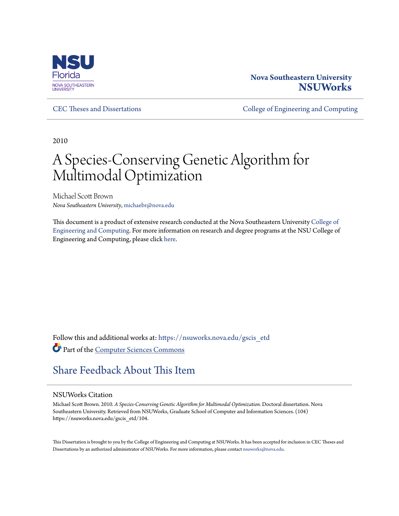

# **Nova Southeastern University [NSUWorks](https://nsuworks.nova.edu?utm_source=nsuworks.nova.edu%2Fgscis_etd%2F104&utm_medium=PDF&utm_campaign=PDFCoverPages)**

[CEC Theses and Dissertations](https://nsuworks.nova.edu/gscis_etd?utm_source=nsuworks.nova.edu%2Fgscis_etd%2F104&utm_medium=PDF&utm_campaign=PDFCoverPages) **CEC Theses and Dissertations** [College of Engineering and Computing](https://nsuworks.nova.edu/cec?utm_source=nsuworks.nova.edu%2Fgscis_etd%2F104&utm_medium=PDF&utm_campaign=PDFCoverPages)

2010

# A Species-Conserving Genetic Algorithm for Multimodal Optimization

Michael Scott Brown *Nova Southeastern University*, michaebr@nova.edu

This document is a product of extensive research conducted at the Nova Southeastern University [College of](http://cec.nova.edu/index.html) [Engineering and Computing](http://cec.nova.edu/index.html). For more information on research and degree programs at the NSU College of Engineering and Computing, please click [here.](http://cec.nova.edu/index.html)

Follow this and additional works at: [https://nsuworks.nova.edu/gscis\\_etd](https://nsuworks.nova.edu/gscis_etd?utm_source=nsuworks.nova.edu%2Fgscis_etd%2F104&utm_medium=PDF&utm_campaign=PDFCoverPages) Part of the [Computer Sciences Commons](http://network.bepress.com/hgg/discipline/142?utm_source=nsuworks.nova.edu%2Fgscis_etd%2F104&utm_medium=PDF&utm_campaign=PDFCoverPages)

# [Share Feedback About This Item](http://nsuworks.nova.edu/user_survey.html)

#### NSUWorks Citation

Michael Scott Brown. 2010. *A Species-Conserving Genetic Algorithm for Multimodal Optimization.* Doctoral dissertation. Nova Southeastern University. Retrieved from NSUWorks, Graduate School of Computer and Information Sciences. (104) https://nsuworks.nova.edu/gscis\_etd/104.

This Dissertation is brought to you by the College of Engineering and Computing at NSUWorks. It has been accepted for inclusion in CEC Theses and Dissertations by an authorized administrator of NSUWorks. For more information, please contact [nsuworks@nova.edu.](mailto:nsuworks@nova.edu)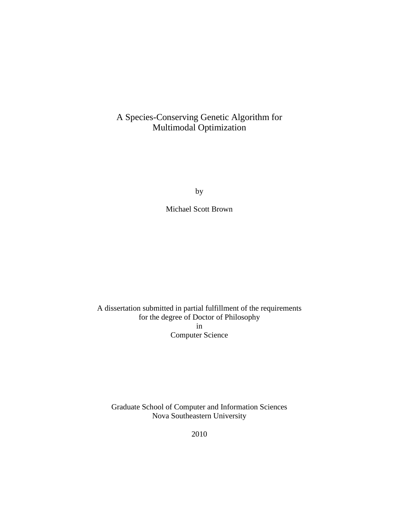# A Species-Conserving Genetic Algorithm for Multimodal Optimization

by

Michael Scott Brown

A dissertation submitted in partial fulfillment of the requirements for the degree of Doctor of Philosophy in Computer Science

Graduate School of Computer and Information Sciences Nova Southeastern University

2010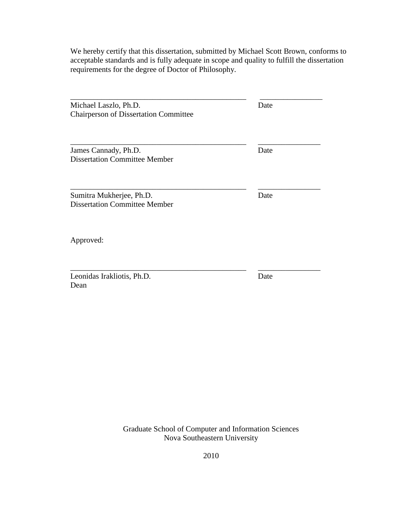We hereby certify that this dissertation, submitted by Michael Scott Brown, conforms to acceptable standards and is fully adequate in scope and quality to fulfill the dissertation requirements for the degree of Doctor of Philosophy.

| Michael Laszlo, Ph.D.<br><b>Chairperson of Dissertation Committee</b> | Date |
|-----------------------------------------------------------------------|------|
| James Cannady, Ph.D.<br><b>Dissertation Committee Member</b>          | Date |
| Sumitra Mukherjee, Ph.D.<br><b>Dissertation Committee Member</b>      | Date |
| Approved:                                                             |      |
| Leonidas Irakliotis, Ph.D.<br>Dean                                    | Date |

Graduate School of Computer and Information Sciences Nova Southeastern University

2010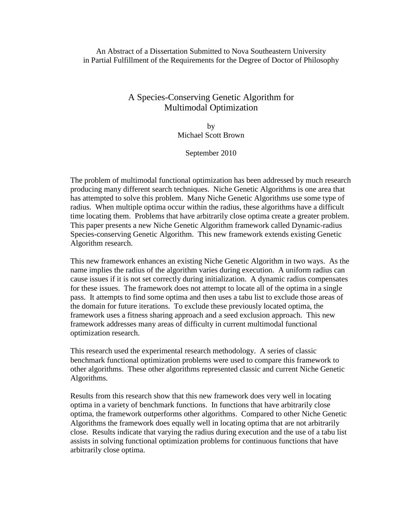An Abstract of a Dissertation Submitted to Nova Southeastern University in Partial Fulfillment of the Requirements for the Degree of Doctor of Philosophy

# A Species-Conserving Genetic Algorithm for Multimodal Optimization

by Michael Scott Brown

September 2010

The problem of multimodal functional optimization has been addressed by much research producing many different search techniques. Niche Genetic Algorithms is one area that has attempted to solve this problem. Many Niche Genetic Algorithms use some type of radius. When multiple optima occur within the radius, these algorithms have a difficult time locating them. Problems that have arbitrarily close optima create a greater problem. This paper presents a new Niche Genetic Algorithm framework called Dynamic-radius Species-conserving Genetic Algorithm. This new framework extends existing Genetic Algorithm research.

This new framework enhances an existing Niche Genetic Algorithm in two ways. As the name implies the radius of the algorithm varies during execution. A uniform radius can cause issues if it is not set correctly during initialization. A dynamic radius compensates for these issues. The framework does not attempt to locate all of the optima in a single pass. It attempts to find some optima and then uses a tabu list to exclude those areas of the domain for future iterations. To exclude these previously located optima, the framework uses a fitness sharing approach and a seed exclusion approach. This new framework addresses many areas of difficulty in current multimodal functional optimization research.

This research used the experimental research methodology. A series of classic benchmark functional optimization problems were used to compare this framework to other algorithms. These other algorithms represented classic and current Niche Genetic Algorithms.

Results from this research show that this new framework does very well in locating optima in a variety of benchmark functions. In functions that have arbitrarily close optima, the framework outperforms other algorithms. Compared to other Niche Genetic Algorithms the framework does equally well in locating optima that are not arbitrarily close. Results indicate that varying the radius during execution and the use of a tabu list assists in solving functional optimization problems for continuous functions that have arbitrarily close optima.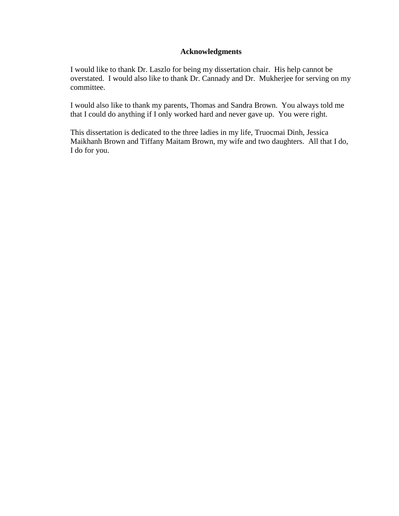### **Acknowledgments**

I would like to thank Dr. Laszlo for being my dissertation chair. His help cannot be overstated. I would also like to thank Dr. Cannady and Dr. Mukherjee for serving on my committee.

I would also like to thank my parents, Thomas and Sandra Brown. You always told me that I could do anything if I only worked hard and never gave up. You were right.

This dissertation is dedicated to the three ladies in my life, Truocmai Dinh, Jessica Maikhanh Brown and Tiffany Maitam Brown, my wife and two daughters. All that I do, I do for you.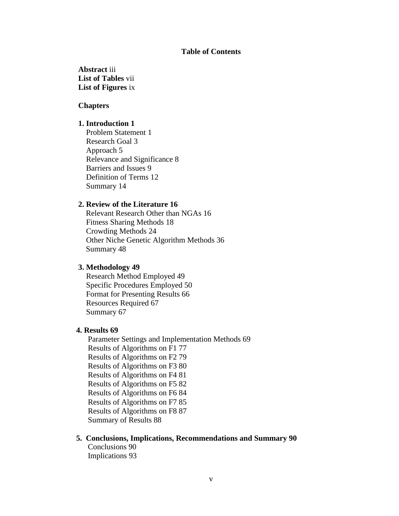#### **Table of Contents**

**Abstract** iii **List of Tables** vii **List of Figures** ix

#### **Chapters**

#### **1. Introduction 1**

 Problem Statement 1 Research Goal 3 Approach 5 Relevance and Significance 8 Barriers and Issues 9 Definition of Terms 12 Summary 14

#### **2. Review of the Literature 16**

Relevant Research Other than NGAs 16 Fitness Sharing Methods 18 Crowding Methods 24 Other Niche Genetic Algorithm Methods 36 Summary 48

#### **3. Methodology 49**

 Research Method Employed 49 Specific Procedures Employed 50 Format for Presenting Results 66 Resources Required 67 Summary 67

#### **4. Results 69**

Parameter Settings and Implementation Methods 69 Results of Algorithms on F1 77 Results of Algorithms on F2 79 Results of Algorithms on F3 80 Results of Algorithms on F4 81 Results of Algorithms on F5 82 Results of Algorithms on F6 84 Results of Algorithms on F7 85 Results of Algorithms on F8 87 Summary of Results 88

#### **5. Conclusions, Implications, Recommendations and Summary 90**

Conclusions 90 Implications 93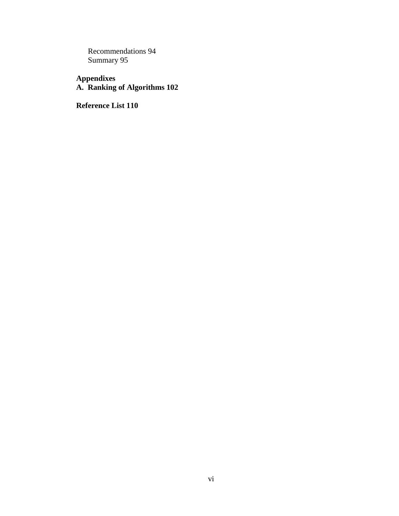Recommendations 94 Summary 95

**Appendixes A. Ranking of Algorithms 102** 

**Reference List 110**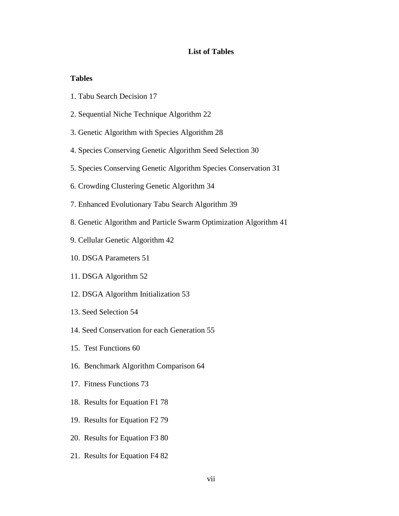#### **List of Tables**

#### **Tables**

- 1. Tabu Search Decision 17
- 2. Sequential Niche Technique Algorithm 22
- 3. Genetic Algorithm with Species Algorithm 28
- 4. Species Conserving Genetic Algorithm Seed Selection 30
- 5. Species Conserving Genetic Algorithm Species Conservation 31
- 6. Crowding Clustering Genetic Algorithm 34
- 7. Enhanced Evolutionary Tabu Search Algorithm 39
- 8. Genetic Algorithm and Particle Swarm Optimization Algorithm 41
- 9. Cellular Genetic Algorithm 42
- 10. DSGA Parameters 51
- 11. DSGA Algorithm 52
- 12. DSGA Algorithm Initialization 53
- 13. Seed Selection 54
- 14. Seed Conservation for each Generation 55
- 15. Test Functions 60
- 16. Benchmark Algorithm Comparison 64
- 17. Fitness Functions 73
- 18. Results for Equation F1 78
- 19. Results for Equation F2 79
- 20. Results for Equation F3 80
- 21. Results for Equation F4 82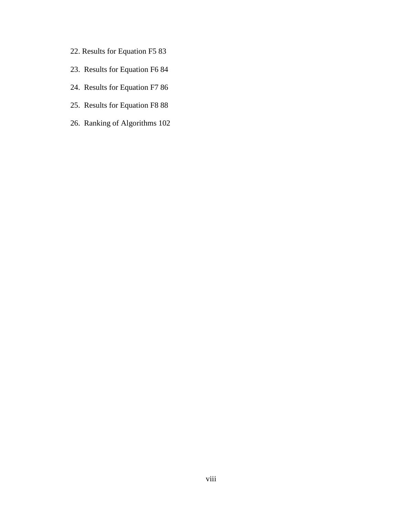- 22. Results for Equation F5 83
- 23. Results for Equation F6 84
- 24. Results for Equation F7 86
- 25. Results for Equation F8 88
- 26. Ranking of Algorithms 102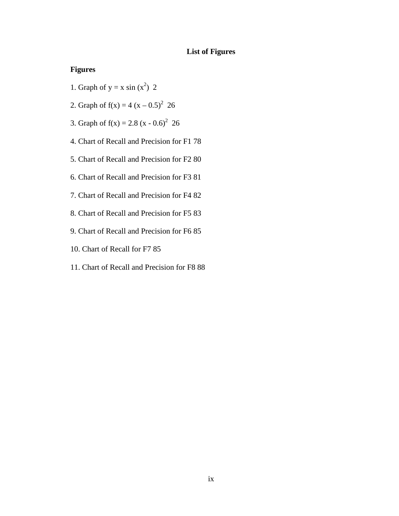# **List of Figures**

# **Figures**

- 1. Graph of  $y = x \sin(x^2)$  2
- 2. Graph of  $f(x) = 4 (x 0.5)^2$  26
- 3. Graph of  $f(x) = 2.8 (x 0.6)^2$  26
- 4. Chart of Recall and Precision for F1 78
- 5. Chart of Recall and Precision for F2 80
- 6. Chart of Recall and Precision for F3 81
- 7. Chart of Recall and Precision for F4 82
- 8. Chart of Recall and Precision for F5 83
- 9. Chart of Recall and Precision for F6 85
- 10. Chart of Recall for F7 85
- 11. Chart of Recall and Precision for F8 88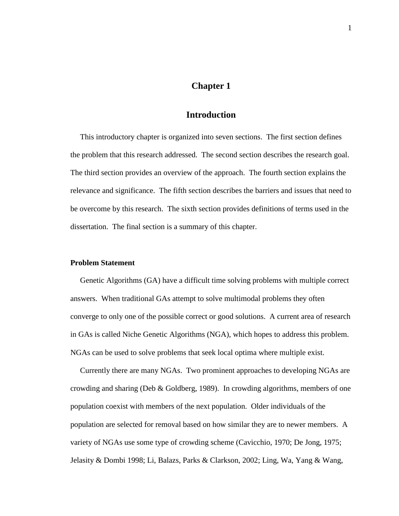# **Chapter 1**

### **Introduction**

 This introductory chapter is organized into seven sections. The first section defines the problem that this research addressed. The second section describes the research goal. The third section provides an overview of the approach. The fourth section explains the relevance and significance. The fifth section describes the barriers and issues that need to be overcome by this research. The sixth section provides definitions of terms used in the dissertation. The final section is a summary of this chapter.

### **Problem Statement**

 Genetic Algorithms (GA) have a difficult time solving problems with multiple correct answers. When traditional GAs attempt to solve multimodal problems they often converge to only one of the possible correct or good solutions. A current area of research in GAs is called Niche Genetic Algorithms (NGA), which hopes to address this problem. NGAs can be used to solve problems that seek local optima where multiple exist.

 Currently there are many NGAs. Two prominent approaches to developing NGAs are crowding and sharing (Deb & Goldberg, 1989). In crowding algorithms, members of one population coexist with members of the next population. Older individuals of the population are selected for removal based on how similar they are to newer members. A variety of NGAs use some type of crowding scheme (Cavicchio, 1970; De Jong, 1975; Jelasity & Dombi 1998; Li, Balazs, Parks & Clarkson, 2002; Ling, Wa, Yang & Wang,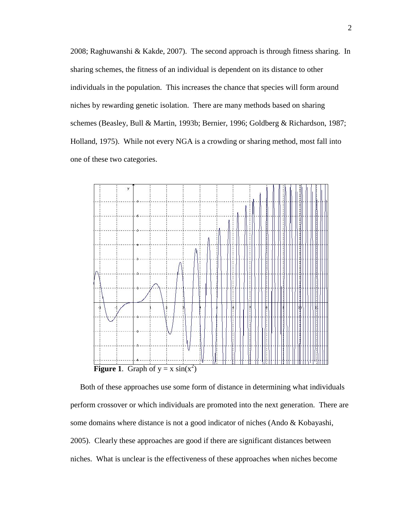2008; Raghuwanshi & Kakde, 2007). The second approach is through fitness sharing. In sharing schemes, the fitness of an individual is dependent on its distance to other individuals in the population. This increases the chance that species will form around niches by rewarding genetic isolation. There are many methods based on sharing schemes (Beasley, Bull & Martin, 1993b; Bernier, 1996; Goldberg & Richardson, 1987; Holland, 1975). While not every NGA is a crowding or sharing method, most fall into one of these two categories.



 Both of these approaches use some form of distance in determining what individuals perform crossover or which individuals are promoted into the next generation. There are some domains where distance is not a good indicator of niches (Ando & Kobayashi, 2005). Clearly these approaches are good if there are significant distances between niches. What is unclear is the effectiveness of these approaches when niches become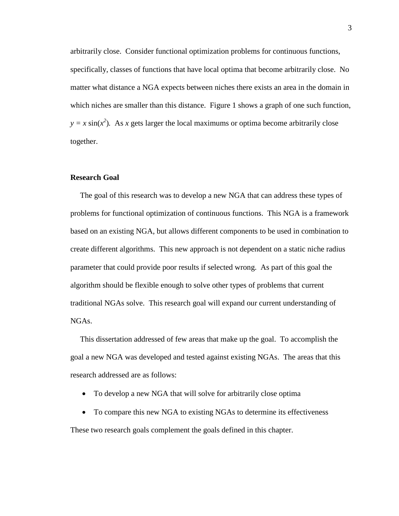arbitrarily close. Consider functional optimization problems for continuous functions, specifically, classes of functions that have local optima that become arbitrarily close. No matter what distance a NGA expects between niches there exists an area in the domain in which niches are smaller than this distance. Figure 1 shows a graph of one such function,  $y = x \sin(x^2)$ . As *x* gets larger the local maximums or optima become arbitrarily close together.

#### **Research Goal**

 The goal of this research was to develop a new NGA that can address these types of problems for functional optimization of continuous functions. This NGA is a framework based on an existing NGA, but allows different components to be used in combination to create different algorithms. This new approach is not dependent on a static niche radius parameter that could provide poor results if selected wrong. As part of this goal the algorithm should be flexible enough to solve other types of problems that current traditional NGAs solve. This research goal will expand our current understanding of NGAs.

 This dissertation addressed of few areas that make up the goal. To accomplish the goal a new NGA was developed and tested against existing NGAs. The areas that this research addressed are as follows:

- To develop a new NGA that will solve for arbitrarily close optima
- To compare this new NGA to existing NGAs to determine its effectiveness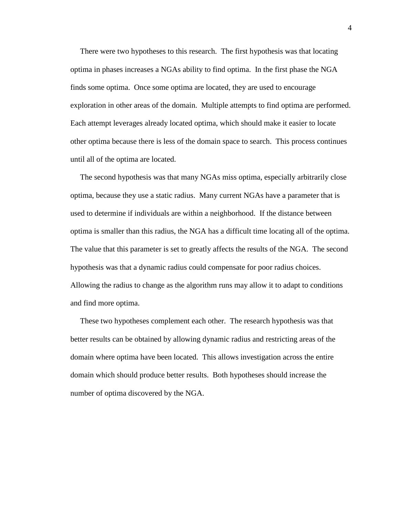There were two hypotheses to this research. The first hypothesis was that locating optima in phases increases a NGAs ability to find optima. In the first phase the NGA finds some optima. Once some optima are located, they are used to encourage exploration in other areas of the domain. Multiple attempts to find optima are performed. Each attempt leverages already located optima, which should make it easier to locate other optima because there is less of the domain space to search. This process continues until all of the optima are located.

 The second hypothesis was that many NGAs miss optima, especially arbitrarily close optima, because they use a static radius. Many current NGAs have a parameter that is used to determine if individuals are within a neighborhood. If the distance between optima is smaller than this radius, the NGA has a difficult time locating all of the optima. The value that this parameter is set to greatly affects the results of the NGA. The second hypothesis was that a dynamic radius could compensate for poor radius choices. Allowing the radius to change as the algorithm runs may allow it to adapt to conditions and find more optima.

 These two hypotheses complement each other. The research hypothesis was that better results can be obtained by allowing dynamic radius and restricting areas of the domain where optima have been located. This allows investigation across the entire domain which should produce better results. Both hypotheses should increase the number of optima discovered by the NGA.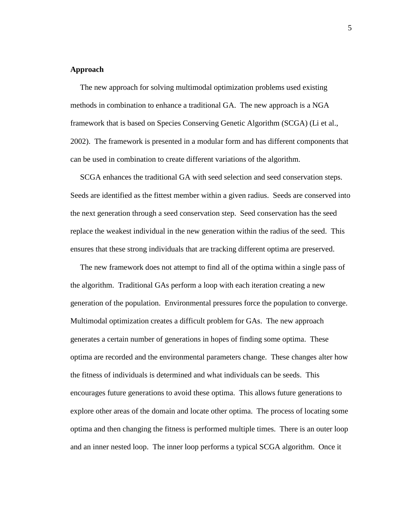#### **Approach**

 The new approach for solving multimodal optimization problems used existing methods in combination to enhance a traditional GA. The new approach is a NGA framework that is based on Species Conserving Genetic Algorithm (SCGA) (Li et al., 2002). The framework is presented in a modular form and has different components that can be used in combination to create different variations of the algorithm.

 SCGA enhances the traditional GA with seed selection and seed conservation steps. Seeds are identified as the fittest member within a given radius. Seeds are conserved into the next generation through a seed conservation step. Seed conservation has the seed replace the weakest individual in the new generation within the radius of the seed. This ensures that these strong individuals that are tracking different optima are preserved.

 The new framework does not attempt to find all of the optima within a single pass of the algorithm. Traditional GAs perform a loop with each iteration creating a new generation of the population. Environmental pressures force the population to converge. Multimodal optimization creates a difficult problem for GAs. The new approach generates a certain number of generations in hopes of finding some optima. These optima are recorded and the environmental parameters change. These changes alter how the fitness of individuals is determined and what individuals can be seeds. This encourages future generations to avoid these optima. This allows future generations to explore other areas of the domain and locate other optima. The process of locating some optima and then changing the fitness is performed multiple times. There is an outer loop and an inner nested loop. The inner loop performs a typical SCGA algorithm. Once it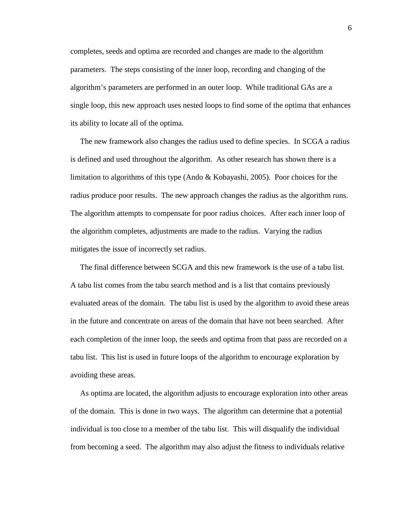completes, seeds and optima are recorded and changes are made to the algorithm parameters. The steps consisting of the inner loop, recording and changing of the algorithm's parameters are performed in an outer loop. While traditional GAs are a single loop, this new approach uses nested loops to find some of the optima that enhances its ability to locate all of the optima.

 The new framework also changes the radius used to define species. In SCGA a radius is defined and used throughout the algorithm. As other research has shown there is a limitation to algorithms of this type (Ando & Kobayashi, 2005). Poor choices for the radius produce poor results. The new approach changes the radius as the algorithm runs. The algorithm attempts to compensate for poor radius choices. After each inner loop of the algorithm completes, adjustments are made to the radius. Varying the radius mitigates the issue of incorrectly set radius.

 The final difference between SCGA and this new framework is the use of a tabu list. A tabu list comes from the tabu search method and is a list that contains previously evaluated areas of the domain. The tabu list is used by the algorithm to avoid these areas in the future and concentrate on areas of the domain that have not been searched. After each completion of the inner loop, the seeds and optima from that pass are recorded on a tabu list. This list is used in future loops of the algorithm to encourage exploration by avoiding these areas.

 As optima are located, the algorithm adjusts to encourage exploration into other areas of the domain. This is done in two ways. The algorithm can determine that a potential individual is too close to a member of the tabu list. This will disqualify the individual from becoming a seed. The algorithm may also adjust the fitness to individuals relative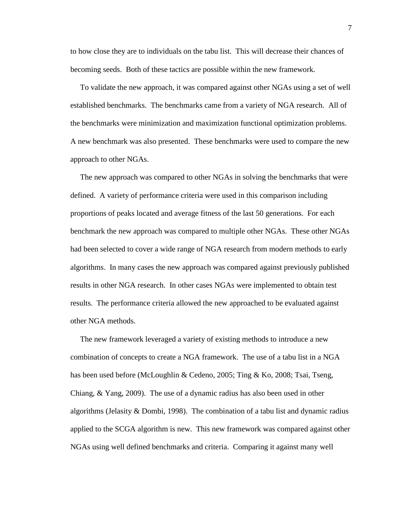to how close they are to individuals on the tabu list. This will decrease their chances of becoming seeds. Both of these tactics are possible within the new framework.

 To validate the new approach, it was compared against other NGAs using a set of well established benchmarks. The benchmarks came from a variety of NGA research. All of the benchmarks were minimization and maximization functional optimization problems. A new benchmark was also presented. These benchmarks were used to compare the new approach to other NGAs.

 The new approach was compared to other NGAs in solving the benchmarks that were defined. A variety of performance criteria were used in this comparison including proportions of peaks located and average fitness of the last 50 generations. For each benchmark the new approach was compared to multiple other NGAs. These other NGAs had been selected to cover a wide range of NGA research from modern methods to early algorithms. In many cases the new approach was compared against previously published results in other NGA research. In other cases NGAs were implemented to obtain test results. The performance criteria allowed the new approached to be evaluated against other NGA methods.

 The new framework leveraged a variety of existing methods to introduce a new combination of concepts to create a NGA framework. The use of a tabu list in a NGA has been used before (McLoughlin & Cedeno, 2005; Ting & Ko, 2008; Tsai, Tseng, Chiang, & Yang, 2009). The use of a dynamic radius has also been used in other algorithms (Jelasity & Dombi, 1998). The combination of a tabu list and dynamic radius applied to the SCGA algorithm is new. This new framework was compared against other NGAs using well defined benchmarks and criteria. Comparing it against many well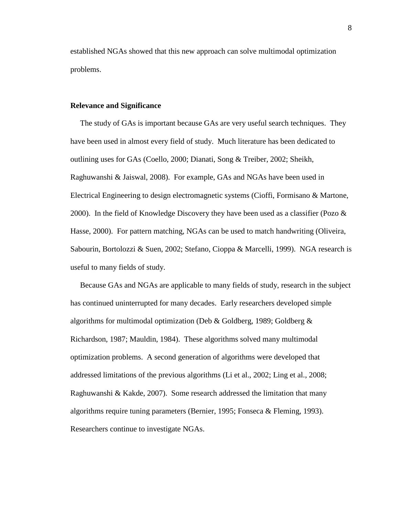established NGAs showed that this new approach can solve multimodal optimization problems.

#### **Relevance and Significance**

 The study of GAs is important because GAs are very useful search techniques. They have been used in almost every field of study. Much literature has been dedicated to outlining uses for GAs (Coello, 2000; Dianati, Song & Treiber, 2002; Sheikh, Raghuwanshi & Jaiswal, 2008). For example, GAs and NGAs have been used in Electrical Engineering to design electromagnetic systems (Cioffi, Formisano & Martone, 2000). In the field of Knowledge Discovery they have been used as a classifier (Pozo  $\&$ Hasse, 2000). For pattern matching, NGAs can be used to match handwriting (Oliveira, Sabourin, Bortolozzi & Suen, 2002; Stefano, Cioppa & Marcelli, 1999). NGA research is useful to many fields of study.

 Because GAs and NGAs are applicable to many fields of study, research in the subject has continued uninterrupted for many decades. Early researchers developed simple algorithms for multimodal optimization (Deb & Goldberg, 1989; Goldberg & Richardson, 1987; Mauldin, 1984). These algorithms solved many multimodal optimization problems. A second generation of algorithms were developed that addressed limitations of the previous algorithms (Li et al., 2002; Ling et al., 2008; Raghuwanshi & Kakde, 2007). Some research addressed the limitation that many algorithms require tuning parameters (Bernier, 1995; Fonseca & Fleming, 1993). Researchers continue to investigate NGAs.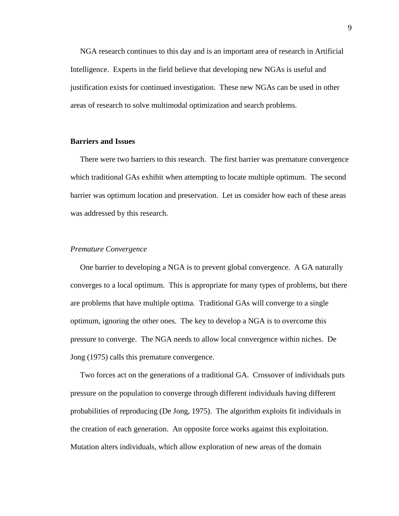NGA research continues to this day and is an important area of research in Artificial Intelligence. Experts in the field believe that developing new NGAs is useful and justification exists for continued investigation. These new NGAs can be used in other areas of research to solve multimodal optimization and search problems.

#### **Barriers and Issues**

 There were two barriers to this research. The first barrier was premature convergence which traditional GAs exhibit when attempting to locate multiple optimum. The second barrier was optimum location and preservation. Let us consider how each of these areas was addressed by this research.

#### *Premature Convergence*

 One barrier to developing a NGA is to prevent global convergence. A GA naturally converges to a local optimum. This is appropriate for many types of problems, but there are problems that have multiple optima. Traditional GAs will converge to a single optimum, ignoring the other ones. The key to develop a NGA is to overcome this pressure to converge. The NGA needs to allow local convergence within niches. De Jong (1975) calls this premature convergence.

 Two forces act on the generations of a traditional GA. Crossover of individuals puts pressure on the population to converge through different individuals having different probabilities of reproducing (De Jong, 1975). The algorithm exploits fit individuals in the creation of each generation. An opposite force works against this exploitation. Mutation alters individuals, which allow exploration of new areas of the domain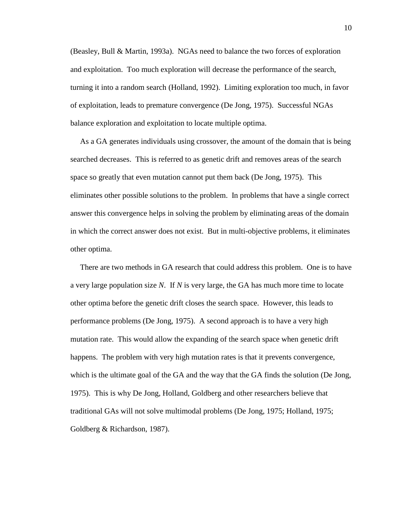(Beasley, Bull & Martin, 1993a). NGAs need to balance the two forces of exploration and exploitation. Too much exploration will decrease the performance of the search, turning it into a random search (Holland, 1992). Limiting exploration too much, in favor of exploitation, leads to premature convergence (De Jong, 1975). Successful NGAs balance exploration and exploitation to locate multiple optima.

 As a GA generates individuals using crossover, the amount of the domain that is being searched decreases. This is referred to as genetic drift and removes areas of the search space so greatly that even mutation cannot put them back (De Jong, 1975). This eliminates other possible solutions to the problem. In problems that have a single correct answer this convergence helps in solving the problem by eliminating areas of the domain in which the correct answer does not exist. But in multi-objective problems, it eliminates other optima.

 There are two methods in GA research that could address this problem. One is to have a very large population size *N*. If *N* is very large, the GA has much more time to locate other optima before the genetic drift closes the search space. However, this leads to performance problems (De Jong, 1975). A second approach is to have a very high mutation rate. This would allow the expanding of the search space when genetic drift happens. The problem with very high mutation rates is that it prevents convergence, which is the ultimate goal of the GA and the way that the GA finds the solution (De Jong, 1975). This is why De Jong, Holland, Goldberg and other researchers believe that traditional GAs will not solve multimodal problems (De Jong, 1975; Holland, 1975; Goldberg & Richardson, 1987).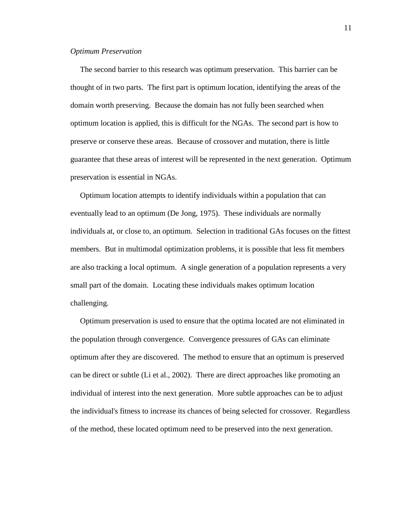#### *Optimum Preservation*

 The second barrier to this research was optimum preservation. This barrier can be thought of in two parts. The first part is optimum location, identifying the areas of the domain worth preserving. Because the domain has not fully been searched when optimum location is applied, this is difficult for the NGAs. The second part is how to preserve or conserve these areas. Because of crossover and mutation, there is little guarantee that these areas of interest will be represented in the next generation. Optimum preservation is essential in NGAs.

 Optimum location attempts to identify individuals within a population that can eventually lead to an optimum (De Jong, 1975). These individuals are normally individuals at, or close to, an optimum. Selection in traditional GAs focuses on the fittest members. But in multimodal optimization problems, it is possible that less fit members are also tracking a local optimum. A single generation of a population represents a very small part of the domain. Locating these individuals makes optimum location challenging.

 Optimum preservation is used to ensure that the optima located are not eliminated in the population through convergence. Convergence pressures of GAs can eliminate optimum after they are discovered. The method to ensure that an optimum is preserved can be direct or subtle (Li et al., 2002). There are direct approaches like promoting an individual of interest into the next generation. More subtle approaches can be to adjust the individual's fitness to increase its chances of being selected for crossover. Regardless of the method, these located optimum need to be preserved into the next generation.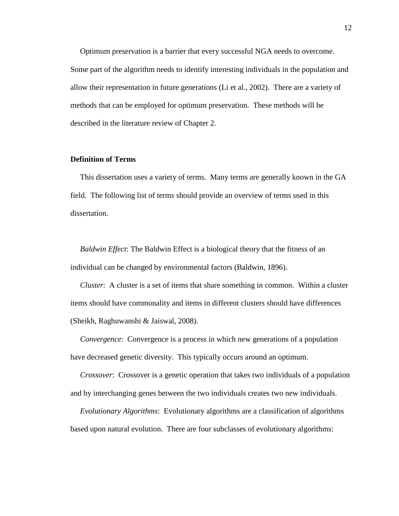Optimum preservation is a barrier that every successful NGA needs to overcome. Some part of the algorithm needs to identify interesting individuals in the population and allow their representation in future generations (Li et al., 2002). There are a variety of methods that can be employed for optimum preservation. These methods will be described in the literature review of Chapter 2.

#### **Definition of Terms**

 This dissertation uses a variety of terms. Many terms are generally known in the GA field. The following list of terms should provide an overview of terms used in this dissertation.

 *Baldwin Effect*: The Baldwin Effect is a biological theory that the fitness of an individual can be changed by environmental factors (Baldwin, 1896).

 *Cluster*: A cluster is a set of items that share something in common. Within a cluster items should have commonality and items in different clusters should have differences (Sheikh, Raghuwanshi & Jaiswal, 2008).

 *Convergence*: Convergence is a process in which new generations of a population have decreased genetic diversity. This typically occurs around an optimum.

 *Crossover*: Crossover is a genetic operation that takes two individuals of a population and by interchanging genes between the two individuals creates two new individuals.

 *Evolutionary Algorithms*: Evolutionary algorithms are a classification of algorithms based upon natural evolution. There are four subclasses of evolutionary algorithms: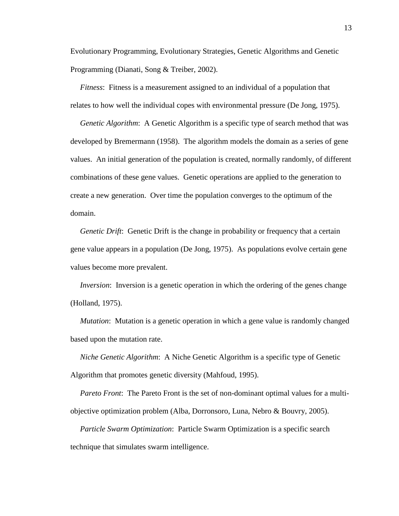Evolutionary Programming, Evolutionary Strategies, Genetic Algorithms and Genetic Programming (Dianati, Song & Treiber, 2002).

 *Fitness*: Fitness is a measurement assigned to an individual of a population that relates to how well the individual copes with environmental pressure (De Jong, 1975).

*Genetic Algorithm*: A Genetic Algorithm is a specific type of search method that was developed by Bremermann (1958). The algorithm models the domain as a series of gene values. An initial generation of the population is created, normally randomly, of different combinations of these gene values. Genetic operations are applied to the generation to create a new generation. Over time the population converges to the optimum of the domain.

*Genetic Drift*: Genetic Drift is the change in probability or frequency that a certain gene value appears in a population (De Jong, 1975). As populations evolve certain gene values become more prevalent.

*Inversion*: Inversion is a genetic operation in which the ordering of the genes change (Holland, 1975).

 *Mutation*: Mutation is a genetic operation in which a gene value is randomly changed based upon the mutation rate.

 *Niche Genetic Algorithm*: A Niche Genetic Algorithm is a specific type of Genetic Algorithm that promotes genetic diversity (Mahfoud, 1995).

 *Pareto Front*: The Pareto Front is the set of non-dominant optimal values for a multiobjective optimization problem (Alba, Dorronsoro, Luna, Nebro & Bouvry, 2005).

 *Particle Swarm Optimization*: Particle Swarm Optimization is a specific search technique that simulates swarm intelligence.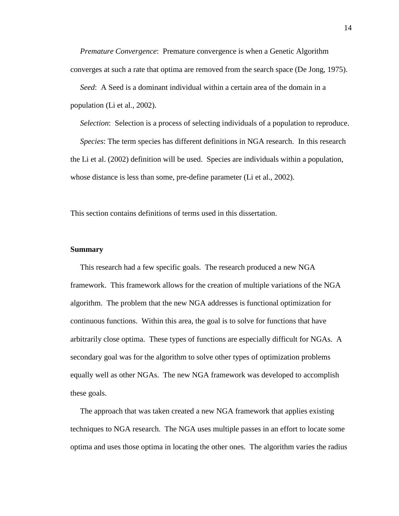*Premature Convergence*: Premature convergence is when a Genetic Algorithm converges at such a rate that optima are removed from the search space (De Jong, 1975).

 *Seed*: A Seed is a dominant individual within a certain area of the domain in a population (Li et al., 2002).

 *Selection*: Selection is a process of selecting individuals of a population to reproduce.

 *Species*: The term species has different definitions in NGA research. In this research the Li et al. (2002) definition will be used. Species are individuals within a population, whose distance is less than some, pre-define parameter (Li et al., 2002).

This section contains definitions of terms used in this dissertation.

#### **Summary**

 This research had a few specific goals. The research produced a new NGA framework. This framework allows for the creation of multiple variations of the NGA algorithm. The problem that the new NGA addresses is functional optimization for continuous functions. Within this area, the goal is to solve for functions that have arbitrarily close optima. These types of functions are especially difficult for NGAs. A secondary goal was for the algorithm to solve other types of optimization problems equally well as other NGAs. The new NGA framework was developed to accomplish these goals.

 The approach that was taken created a new NGA framework that applies existing techniques to NGA research. The NGA uses multiple passes in an effort to locate some optima and uses those optima in locating the other ones. The algorithm varies the radius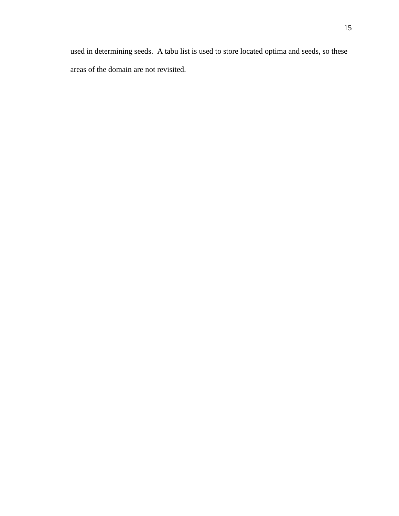used in determining seeds. A tabu list is used to store located optima and seeds, so these areas of the domain are not revisited.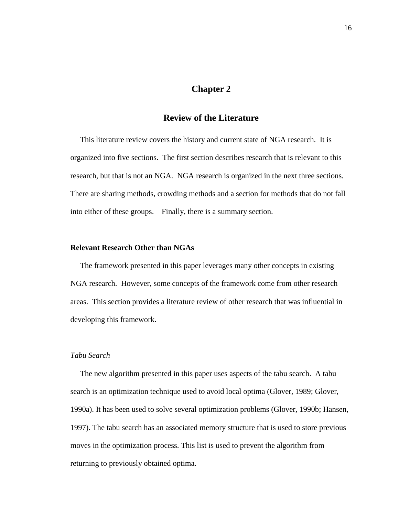### **Chapter 2**

# **Review of the Literature**

 This literature review covers the history and current state of NGA research. It is organized into five sections. The first section describes research that is relevant to this research, but that is not an NGA. NGA research is organized in the next three sections. There are sharing methods, crowding methods and a section for methods that do not fall into either of these groups. Finally, there is a summary section.

#### **Relevant Research Other than NGAs**

 The framework presented in this paper leverages many other concepts in existing NGA research. However, some concepts of the framework come from other research areas. This section provides a literature review of other research that was influential in developing this framework.

#### *Tabu Search*

 The new algorithm presented in this paper uses aspects of the tabu search. A tabu search is an optimization technique used to avoid local optima (Glover, 1989; Glover, 1990a). It has been used to solve several optimization problems (Glover, 1990b; Hansen, 1997). The tabu search has an associated memory structure that is used to store previous moves in the optimization process. This list is used to prevent the algorithm from returning to previously obtained optima.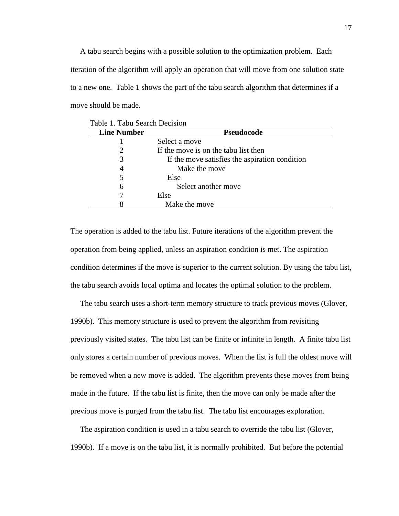A tabu search begins with a possible solution to the optimization problem. Each iteration of the algorithm will apply an operation that will move from one solution state to a new one. Table 1 shows the part of the tabu search algorithm that determines if a move should be made.

| <b>Line Number</b> | Pseudocode                                     |
|--------------------|------------------------------------------------|
|                    | Select a move                                  |
|                    | If the move is on the tabu list then           |
| 3                  | If the move satisfies the aspiration condition |
|                    | Make the move                                  |
|                    | Else                                           |
| 6                  | Select another move                            |
|                    | Else                                           |
|                    | Make the move                                  |

The operation is added to the tabu list. Future iterations of the algorithm prevent the operation from being applied, unless an aspiration condition is met. The aspiration condition determines if the move is superior to the current solution. By using the tabu list, the tabu search avoids local optima and locates the optimal solution to the problem.

 The tabu search uses a short-term memory structure to track previous moves (Glover, 1990b). This memory structure is used to prevent the algorithm from revisiting previously visited states. The tabu list can be finite or infinite in length. A finite tabu list only stores a certain number of previous moves. When the list is full the oldest move will be removed when a new move is added. The algorithm prevents these moves from being made in the future. If the tabu list is finite, then the move can only be made after the previous move is purged from the tabu list. The tabu list encourages exploration.

 The aspiration condition is used in a tabu search to override the tabu list (Glover, 1990b). If a move is on the tabu list, it is normally prohibited. But before the potential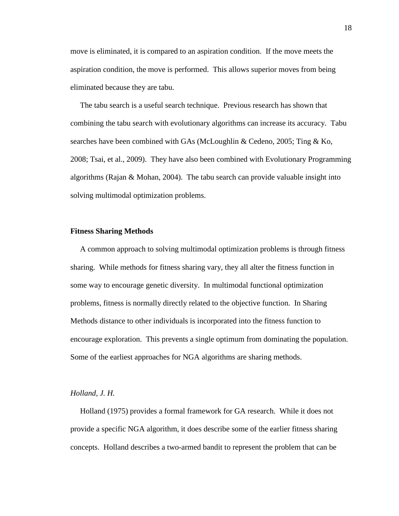move is eliminated, it is compared to an aspiration condition. If the move meets the aspiration condition, the move is performed. This allows superior moves from being eliminated because they are tabu.

 The tabu search is a useful search technique. Previous research has shown that combining the tabu search with evolutionary algorithms can increase its accuracy. Tabu searches have been combined with GAs (McLoughlin & Cedeno, 2005; Ting & Ko, 2008; Tsai, et al., 2009). They have also been combined with Evolutionary Programming algorithms (Rajan & Mohan, 2004). The tabu search can provide valuable insight into solving multimodal optimization problems.

#### **Fitness Sharing Methods**

 A common approach to solving multimodal optimization problems is through fitness sharing. While methods for fitness sharing vary, they all alter the fitness function in some way to encourage genetic diversity. In multimodal functional optimization problems, fitness is normally directly related to the objective function. In Sharing Methods distance to other individuals is incorporated into the fitness function to encourage exploration. This prevents a single optimum from dominating the population. Some of the earliest approaches for NGA algorithms are sharing methods.

#### *Holland, J. H.*

 Holland (1975) provides a formal framework for GA research. While it does not provide a specific NGA algorithm, it does describe some of the earlier fitness sharing concepts. Holland describes a two-armed bandit to represent the problem that can be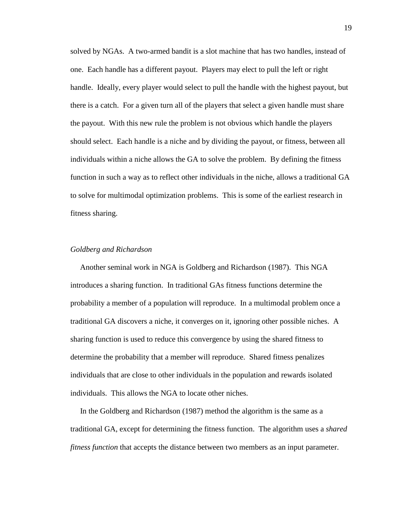solved by NGAs. A two-armed bandit is a slot machine that has two handles, instead of one. Each handle has a different payout. Players may elect to pull the left or right handle. Ideally, every player would select to pull the handle with the highest payout, but there is a catch. For a given turn all of the players that select a given handle must share the payout. With this new rule the problem is not obvious which handle the players should select. Each handle is a niche and by dividing the payout, or fitness, between all individuals within a niche allows the GA to solve the problem. By defining the fitness function in such a way as to reflect other individuals in the niche, allows a traditional GA to solve for multimodal optimization problems. This is some of the earliest research in fitness sharing.

#### *Goldberg and Richardson*

 Another seminal work in NGA is Goldberg and Richardson (1987). This NGA introduces a sharing function. In traditional GAs fitness functions determine the probability a member of a population will reproduce. In a multimodal problem once a traditional GA discovers a niche, it converges on it, ignoring other possible niches. A sharing function is used to reduce this convergence by using the shared fitness to determine the probability that a member will reproduce. Shared fitness penalizes individuals that are close to other individuals in the population and rewards isolated individuals. This allows the NGA to locate other niches.

 In the Goldberg and Richardson (1987) method the algorithm is the same as a traditional GA, except for determining the fitness function. The algorithm uses a *shared fitness function* that accepts the distance between two members as an input parameter.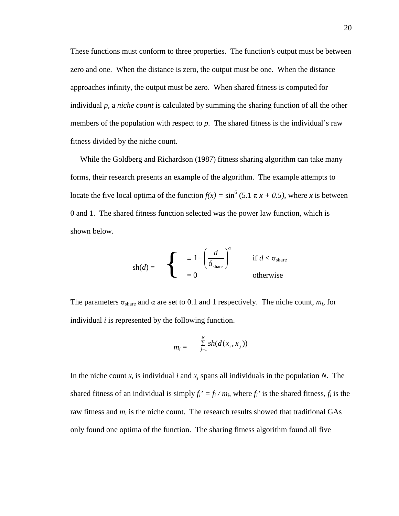These functions must conform to three properties. The function's output must be between zero and one. When the distance is zero, the output must be one. When the distance approaches infinity, the output must be zero. When shared fitness is computed for individual *p*, a *niche count* is calculated by summing the sharing function of all the other members of the population with respect to *p*. The shared fitness is the individual's raw fitness divided by the niche count.

 While the Goldberg and Richardson (1987) fitness sharing algorithm can take many forms, their research presents an example of the algorithm. The example attempts to locate the five local optima of the function  $f(x) = \sin^6 (5.1 \pi x + 0.5)$ , where *x* is between 0 and 1. The shared fitness function selected was the power law function, which is shown below.

$$
\text{sh}(d) = \begin{cases} \n\frac{1}{6} & \text{if } d < \sigma_{\text{share}} \\ \n= 0 & \text{otherwise} \n\end{cases}
$$

The parameters  $\sigma_{\text{share}}$  and  $\alpha$  are set to 0.1 and 1 respectively. The niche count,  $m_i$ , for individual *i* is represented by the following function.

$$
m_i = \sum_{j=1}^N sh(d(x_i, x_j))
$$

In the niche count  $x_i$  is individual *i* and  $x_j$  spans all individuals in the population *N*. The shared fitness of an individual is simply  $f_i' = f_i / m_i$ , where  $f_i'$  is the shared fitness,  $f_i$  is the raw fitness and  $m_i$  is the niche count. The research results showed that traditional GAs only found one optima of the function. The sharing fitness algorithm found all five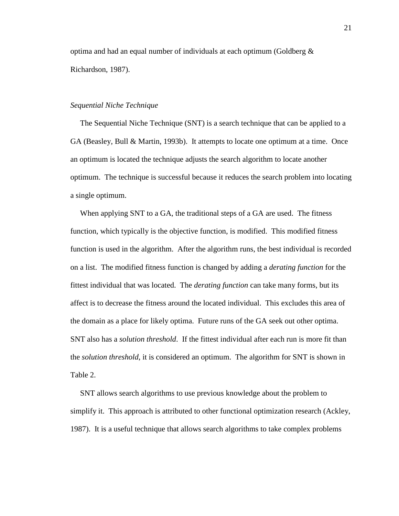optima and had an equal number of individuals at each optimum (Goldberg  $\&$ Richardson, 1987).

#### *Sequential Niche Technique*

 The Sequential Niche Technique (SNT) is a search technique that can be applied to a GA (Beasley, Bull & Martin, 1993b). It attempts to locate one optimum at a time. Once an optimum is located the technique adjusts the search algorithm to locate another optimum. The technique is successful because it reduces the search problem into locating a single optimum.

 When applying SNT to a GA, the traditional steps of a GA are used. The fitness function, which typically is the objective function, is modified. This modified fitness function is used in the algorithm. After the algorithm runs, the best individual is recorded on a list. The modified fitness function is changed by adding a *derating function* for the fittest individual that was located. The *derating function* can take many forms, but its affect is to decrease the fitness around the located individual. This excludes this area of the domain as a place for likely optima. Future runs of the GA seek out other optima. SNT also has a *solution threshold*. If the fittest individual after each run is more fit than the *solution threshold*, it is considered an optimum. The algorithm for SNT is shown in Table 2.

 SNT allows search algorithms to use previous knowledge about the problem to simplify it. This approach is attributed to other functional optimization research (Ackley, 1987). It is a useful technique that allows search algorithms to take complex problems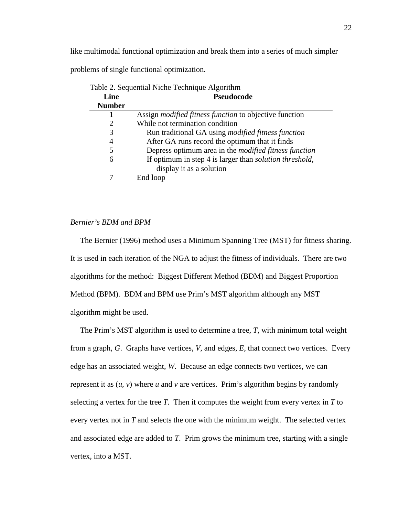like multimodal functional optimization and break them into a series of much simpler

problems of single functional optimization.

| Table 2. Sequential Niche Technique Algorithm |                                                                 |  |
|-----------------------------------------------|-----------------------------------------------------------------|--|
| Line                                          | <b>Pseudocode</b>                                               |  |
| <b>Number</b>                                 |                                                                 |  |
|                                               | Assign <i>modified fitness function</i> to objective function   |  |
| 2                                             | While not termination condition                                 |  |
| 3                                             | Run traditional GA using <i>modified fitness function</i>       |  |
| 4                                             | After GA runs record the optimum that it finds                  |  |
| 5                                             | Depress optimum area in the <i>modified fitness function</i>    |  |
| 6                                             | If optimum in step 4 is larger than <i>solution threshold</i> , |  |
|                                               | display it as a solution                                        |  |
|                                               | End loop                                                        |  |
|                                               |                                                                 |  |

Table 2. Sequential Niche Technique Algorithm

#### *Bernier's BDM and BPM*

 The Bernier (1996) method uses a Minimum Spanning Tree (MST) for fitness sharing. It is used in each iteration of the NGA to adjust the fitness of individuals. There are two algorithms for the method: Biggest Different Method (BDM) and Biggest Proportion Method (BPM). BDM and BPM use Prim's MST algorithm although any MST algorithm might be used.

 The Prim's MST algorithm is used to determine a tree, *T*, with minimum total weight from a graph, *G*. Graphs have vertices, *V*, and edges, *E*, that connect two vertices. Every edge has an associated weight, *W*. Because an edge connects two vertices, we can represent it as  $(u, v)$  where  $u$  and  $v$  are vertices. Prim's algorithm begins by randomly selecting a vertex for the tree  $T$ . Then it computes the weight from every vertex in  $T$  to every vertex not in *T* and selects the one with the minimum weight. The selected vertex and associated edge are added to *T*. Prim grows the minimum tree, starting with a single vertex, into a MST.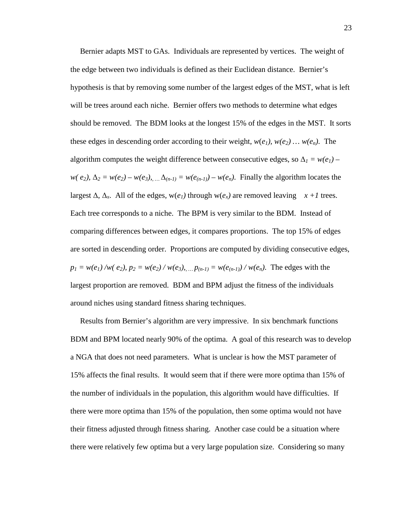Bernier adapts MST to GAs. Individuals are represented by vertices. The weight of the edge between two individuals is defined as their Euclidean distance. Bernier's hypothesis is that by removing some number of the largest edges of the MST, what is left will be trees around each niche. Bernier offers two methods to determine what edges should be removed. The BDM looks at the longest 15% of the edges in the MST. It sorts these edges in descending order according to their weight,  $w(e_1)$ ,  $w(e_2)$  ...  $w(e_n)$ . The algorithm computes the weight difference between consecutive edges, so  $\Delta_l = w(e_l) - w(e_l)$ *w*(*e*<sub>2</sub>), ∆<sub>2</sub> = *w*(*e*<sub>2</sub>) – *w*(*e*<sub>3</sub>), *...* ∆<sub>(*n-1*)</sub> = *w*(*e*<sub>(*n-1*)</sub>) – *w*(*e*<sub>*n*</sub>). Finally the algorithm locates the largest  $\Delta$ ,  $\Delta$ <sub>*x*</sub>. All of the edges, w(*e<sub>1</sub>*) through w(*e<sub>x</sub>*) are removed leaving *x* + *I* trees. Each tree corresponds to a niche. The BPM is very similar to the BDM. Instead of comparing differences between edges, it compares proportions. The top 15% of edges are sorted in descending order. Proportions are computed by dividing consecutive edges,  $p_1 = w(e_1) / w(e_2)$ ,  $p_2 = w(e_2) / w(e_3)$ , ...  $p_{(n-1)} = w(e_{(n-1)}) / w(e_n)$ . The edges with the largest proportion are removed. BDM and BPM adjust the fitness of the individuals around niches using standard fitness sharing techniques.

 Results from Bernier's algorithm are very impressive. In six benchmark functions BDM and BPM located nearly 90% of the optima. A goal of this research was to develop a NGA that does not need parameters. What is unclear is how the MST parameter of 15% affects the final results. It would seem that if there were more optima than 15% of the number of individuals in the population, this algorithm would have difficulties. If there were more optima than 15% of the population, then some optima would not have their fitness adjusted through fitness sharing. Another case could be a situation where there were relatively few optima but a very large population size. Considering so many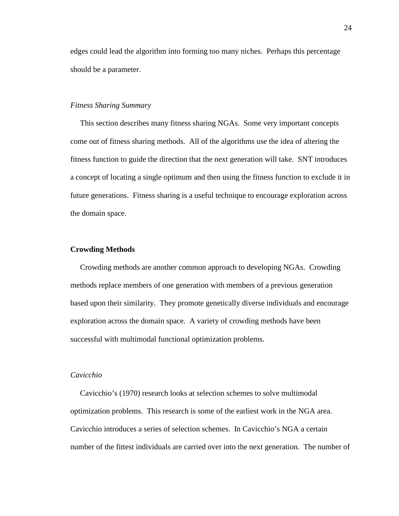edges could lead the algorithm into forming too many niches. Perhaps this percentage should be a parameter.

#### *Fitness Sharing Summary*

 This section describes many fitness sharing NGAs. Some very important concepts come out of fitness sharing methods. All of the algorithms use the idea of altering the fitness function to guide the direction that the next generation will take. SNT introduces a concept of locating a single optimum and then using the fitness function to exclude it in future generations. Fitness sharing is a useful technique to encourage exploration across the domain space.

#### **Crowding Methods**

 Crowding methods are another common approach to developing NGAs. Crowding methods replace members of one generation with members of a previous generation based upon their similarity. They promote genetically diverse individuals and encourage exploration across the domain space. A variety of crowding methods have been successful with multimodal functional optimization problems.

#### *Cavicchio*

 Cavicchio's (1970) research looks at selection schemes to solve multimodal optimization problems. This research is some of the earliest work in the NGA area. Cavicchio introduces a series of selection schemes. In Cavicchio's NGA a certain number of the fittest individuals are carried over into the next generation. The number of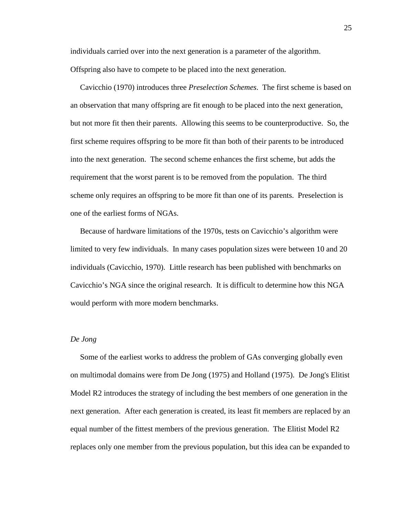individuals carried over into the next generation is a parameter of the algorithm.

Offspring also have to compete to be placed into the next generation.

 Cavicchio (1970) introduces three *Preselection Schemes*. The first scheme is based on an observation that many offspring are fit enough to be placed into the next generation, but not more fit then their parents. Allowing this seems to be counterproductive. So, the first scheme requires offspring to be more fit than both of their parents to be introduced into the next generation. The second scheme enhances the first scheme, but adds the requirement that the worst parent is to be removed from the population. The third scheme only requires an offspring to be more fit than one of its parents. Preselection is one of the earliest forms of NGAs.

 Because of hardware limitations of the 1970s, tests on Cavicchio's algorithm were limited to very few individuals. In many cases population sizes were between 10 and 20 individuals (Cavicchio, 1970). Little research has been published with benchmarks on Cavicchio's NGA since the original research. It is difficult to determine how this NGA would perform with more modern benchmarks.

#### *De Jong*

 Some of the earliest works to address the problem of GAs converging globally even on multimodal domains were from De Jong (1975) and Holland (1975). De Jong's Elitist Model R2 introduces the strategy of including the best members of one generation in the next generation. After each generation is created, its least fit members are replaced by an equal number of the fittest members of the previous generation. The Elitist Model R2 replaces only one member from the previous population, but this idea can be expanded to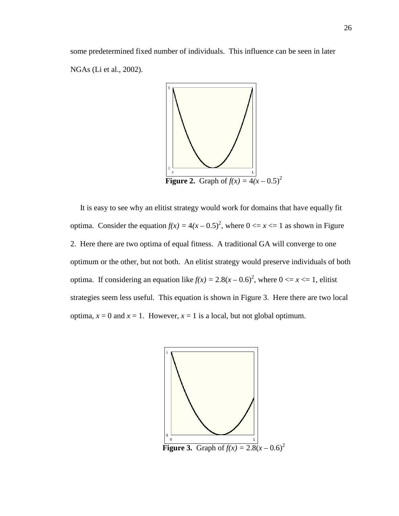some predetermined fixed number of individuals. This influence can be seen in later NGAs (Li et al., 2002).



 It is easy to see why an elitist strategy would work for domains that have equally fit optima. Consider the equation  $f(x) = 4(x - 0.5)^2$ , where  $0 \le x \le 1$  as shown in Figure 2. Here there are two optima of equal fitness. A traditional GA will converge to one optimum or the other, but not both. An elitist strategy would preserve individuals of both optima. If considering an equation like  $f(x) = 2.8(x - 0.6)^2$ , where  $0 \le x \le 1$ , elitist strategies seem less useful. This equation is shown in Figure 3. Here there are two local optima,  $x = 0$  and  $x = 1$ . However,  $x = 1$  is a local, but not global optimum.

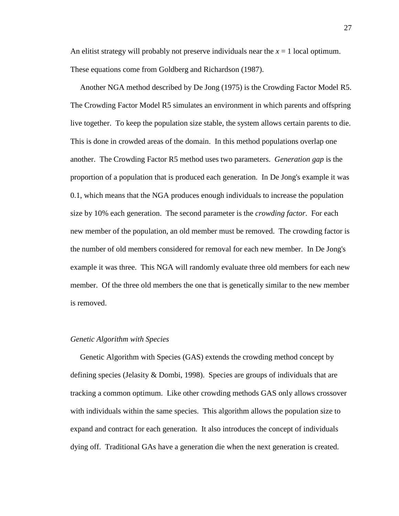An elitist strategy will probably not preserve individuals near the  $x = 1$  local optimum. These equations come from Goldberg and Richardson (1987).

 Another NGA method described by De Jong (1975) is the Crowding Factor Model R5. The Crowding Factor Model R5 simulates an environment in which parents and offspring live together. To keep the population size stable, the system allows certain parents to die. This is done in crowded areas of the domain. In this method populations overlap one another. The Crowding Factor R5 method uses two parameters. *Generation gap* is the proportion of a population that is produced each generation. In De Jong's example it was 0.1, which means that the NGA produces enough individuals to increase the population size by 10% each generation. The second parameter is the *crowding factor*. For each new member of the population, an old member must be removed. The crowding factor is the number of old members considered for removal for each new member. In De Jong's example it was three. This NGA will randomly evaluate three old members for each new member. Of the three old members the one that is genetically similar to the new member is removed.

### *Genetic Algorithm with Species*

 Genetic Algorithm with Species (GAS) extends the crowding method concept by defining species (Jelasity & Dombi, 1998). Species are groups of individuals that are tracking a common optimum. Like other crowding methods GAS only allows crossover with individuals within the same species. This algorithm allows the population size to expand and contract for each generation. It also introduces the concept of individuals dying off. Traditional GAs have a generation die when the next generation is created.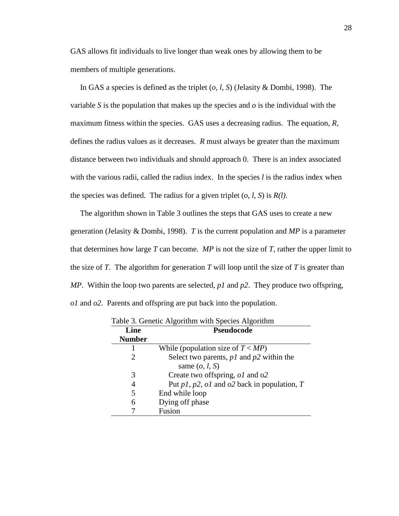GAS allows fit individuals to live longer than weak ones by allowing them to be members of multiple generations.

 In GAS a species is defined as the triplet (*o*, *l*, *S*) (Jelasity & Dombi, 1998). The variable *S* is the population that makes up the species and *o* is the individual with the maximum fitness within the species. GAS uses a decreasing radius. The equation, *R*, defines the radius values as it decreases. *R* must always be greater than the maximum distance between two individuals and should approach 0. There is an index associated with the various radii, called the radius index. In the species *l* is the radius index when the species was defined. The radius for a given triplet (*o*, *l*, *S*) is *R(l)*.

 The algorithm shown in Table 3 outlines the steps that GAS uses to create a new generation (Jelasity & Dombi, 1998). *T* is the current population and *MP* is a parameter that determines how large *T* can become. *MP* is not the size of *T*, rather the upper limit to the size of *T*. The algorithm for generation *T* will loop until the size of *T* is greater than *MP*. Within the loop two parents are selected, *p1* and *p2*. They produce two offspring, *o1* and *o2*. Parents and offspring are put back into the population.

| Line          | <b>Pseudocode</b>                                     |  |
|---------------|-------------------------------------------------------|--|
| <b>Number</b> |                                                       |  |
|               | While (population size of $T < MP$ )                  |  |
|               | Select two parents, $p1$ and $p2$ within the          |  |
|               | same $(o, l, S)$                                      |  |
| 3             | Create two offspring, <i>ol</i> and o2                |  |
| 4             | Put $p1$ , $p2$ , $o1$ and $o2$ back in population, T |  |
| 5             | End while loop                                        |  |
| 6             | Dying off phase                                       |  |
|               | Fusion                                                |  |

Table 3. Genetic Algorithm with Species Algorithm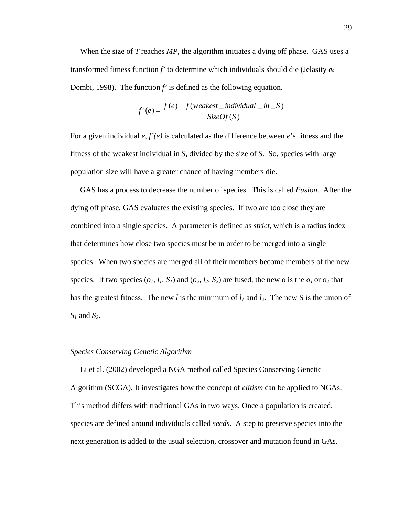When the size of *T* reaches *MP*, the algorithm initiates a dying off phase. GAS uses a transformed fitness function *f'* to determine which individuals should die (Jelasity & Dombi, 1998). The function *f'* is defined as the following equation.

$$
f'(e) = \frac{f(e) - f(weakest\_individual\_in\_S)}{SizeOf(S)}
$$

For a given individual *e*, *f'(e)* is calculated as the difference between *e*'s fitness and the fitness of the weakest individual in *S*, divided by the size of *S*. So, species with large population size will have a greater chance of having members die.

 GAS has a process to decrease the number of species. This is called *Fusion.* After the dying off phase, GAS evaluates the existing species. If two are too close they are combined into a single species. A parameter is defined as *strict*, which is a radius index that determines how close two species must be in order to be merged into a single species. When two species are merged all of their members become members of the new species. If two species  $(o_1, l_1, S_1)$  and  $(o_2, l_2, S_2)$  are fused, the new o is the  $o_1$  or  $o_2$  that has the greatest fitness. The new *l* is the minimum of  $l_1$  and  $l_2$ . The new S is the union of *S1* and *S2*.

## *Species Conserving Genetic Algorithm*

 Li et al. (2002) developed a NGA method called Species Conserving Genetic Algorithm (SCGA). It investigates how the concept of *elitism* can be applied to NGAs. This method differs with traditional GAs in two ways. Once a population is created, species are defined around individuals called *seeds*. A step to preserve species into the next generation is added to the usual selection, crossover and mutation found in GAs.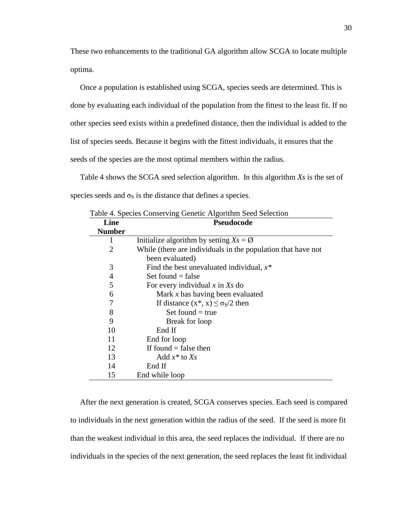These two enhancements to the traditional GA algorithm allow SCGA to locate multiple optima.

 Once a population is established using SCGA, species seeds are determined. This is done by evaluating each individual of the population from the fittest to the least fit. If no other species seed exists within a predefined distance, then the individual is added to the list of species seeds. Because it begins with the fittest individuals, it ensures that the seeds of the species are the most optimal members within the radius.

 Table 4 shows the SCGA seed selection algorithm. In this algorithm *Xs* is the set of species seeds and  $\sigma_S$  is the distance that defines a species.

| Line           | <b>Pseudocode</b>                                                               |  |
|----------------|---------------------------------------------------------------------------------|--|
| <b>Number</b>  |                                                                                 |  |
|                | Initialize algorithm by setting $X_s = \emptyset$                               |  |
| 2              | While (there are individuals in the population that have not<br>been evaluated) |  |
| 3              | Find the best unevaluated individual, $x^*$                                     |  |
| $\overline{4}$ | Set found $=$ false                                                             |  |
| 5              | For every individual $x$ in $X_s$ do                                            |  |
| 6              | Mark $x$ has having been evaluated                                              |  |
| 7              | If distance $(x^*, x) \le \sigma_s/2$ then                                      |  |
| 8              | Set found $=$ true                                                              |  |
| 9              | Break for loop                                                                  |  |
| 10             | End If                                                                          |  |
| 11             | End for loop                                                                    |  |
| 12             | If found $=$ false then                                                         |  |
| 13             | Add $x^*$ to Xs                                                                 |  |
| 14             | End If                                                                          |  |
| 15             | End while loop                                                                  |  |

 After the next generation is created, SCGA conserves species. Each seed is compared to individuals in the next generation within the radius of the seed. If the seed is more fit than the weakest individual in this area, the seed replaces the individual. If there are no individuals in the species of the next generation, the seed replaces the least fit individual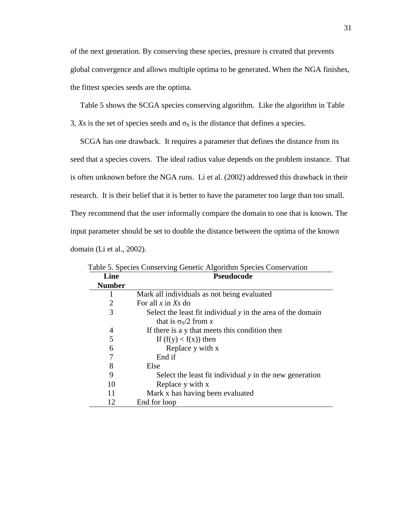of the next generation. By conserving these species, pressure is created that prevents global convergence and allows multiple optima to be generated. When the NGA finishes, the fittest species seeds are the optima.

Table 5 shows the SCGA species conserving algorithm. Like the algorithm in Table

3,  $X_s$  is the set of species seeds and  $\sigma_s$  is the distance that defines a species.

 SCGA has one drawback. It requires a parameter that defines the distance from its seed that a species covers. The ideal radius value depends on the problem instance. That is often unknown before the NGA runs. Li et al. (2002) addressed this drawback in their research. It is their belief that it is better to have the parameter too large than too small. They recommend that the user informally compare the domain to one that is known. The input parameter should be set to double the distance between the optima of the known domain (Li et al., 2002).

| Line           | Pseudocode                                                  |
|----------------|-------------------------------------------------------------|
| <b>Number</b>  |                                                             |
| 1              | Mark all individuals as not being evaluated                 |
| $\overline{2}$ | For all $x$ in $X_s$ do                                     |
| 3              | Select the least fit individual y in the area of the domain |
|                | that is $\sigma$ <sub>S</sub> /2 from x                     |
| 4              | If there is a y that meets this condition then              |
| 5              | If $(f(y) < f(x))$ then                                     |
| 6              | Replace y with x                                            |
| 7              | End if                                                      |
| 8              | Else                                                        |
| 9              | Select the least fit individual y in the new generation     |
| 10             | Replace y with x                                            |
| 11             | Mark x has having been evaluated                            |
| 12             | End for loop                                                |

Table 5. Species Conserving Genetic Algorithm Species Conservation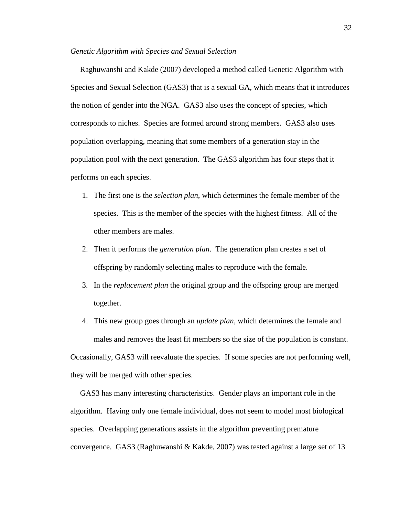### *Genetic Algorithm with Species and Sexual Selection*

 Raghuwanshi and Kakde (2007) developed a method called Genetic Algorithm with Species and Sexual Selection (GAS3) that is a sexual GA, which means that it introduces the notion of gender into the NGA. GAS3 also uses the concept of species, which corresponds to niches. Species are formed around strong members. GAS3 also uses population overlapping, meaning that some members of a generation stay in the population pool with the next generation. The GAS3 algorithm has four steps that it performs on each species.

- 1. The first one is the *selection plan*, which determines the female member of the species. This is the member of the species with the highest fitness. All of the other members are males.
- 2. Then it performs the *generation plan*. The generation plan creates a set of offspring by randomly selecting males to reproduce with the female.
- 3. In the *replacement plan* the original group and the offspring group are merged together.
- 4. This new group goes through an *update plan*, which determines the female and males and removes the least fit members so the size of the population is constant. Occasionally, GAS3 will reevaluate the species. If some species are not performing well, they will be merged with other species.

 GAS3 has many interesting characteristics. Gender plays an important role in the algorithm. Having only one female individual, does not seem to model most biological species. Overlapping generations assists in the algorithm preventing premature convergence. GAS3 (Raghuwanshi & Kakde, 2007) was tested against a large set of 13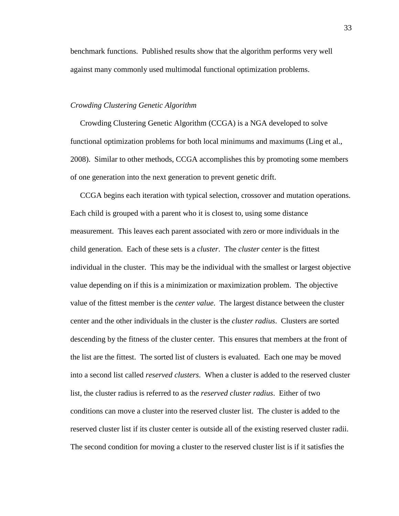benchmark functions. Published results show that the algorithm performs very well against many commonly used multimodal functional optimization problems.

## *Crowding Clustering Genetic Algorithm*

 Crowding Clustering Genetic Algorithm (CCGA) is a NGA developed to solve functional optimization problems for both local minimums and maximums (Ling et al., 2008). Similar to other methods, CCGA accomplishes this by promoting some members of one generation into the next generation to prevent genetic drift.

 CCGA begins each iteration with typical selection, crossover and mutation operations. Each child is grouped with a parent who it is closest to, using some distance measurement. This leaves each parent associated with zero or more individuals in the child generation. Each of these sets is a *cluster*. The *cluster center* is the fittest individual in the cluster. This may be the individual with the smallest or largest objective value depending on if this is a minimization or maximization problem. The objective value of the fittest member is the *center value*. The largest distance between the cluster center and the other individuals in the cluster is the *cluster radius*. Clusters are sorted descending by the fitness of the cluster center. This ensures that members at the front of the list are the fittest. The sorted list of clusters is evaluated. Each one may be moved into a second list called *reserved clusters*. When a cluster is added to the reserved cluster list, the cluster radius is referred to as the *reserved cluster radius*. Either of two conditions can move a cluster into the reserved cluster list. The cluster is added to the reserved cluster list if its cluster center is outside all of the existing reserved cluster radii. The second condition for moving a cluster to the reserved cluster list is if it satisfies the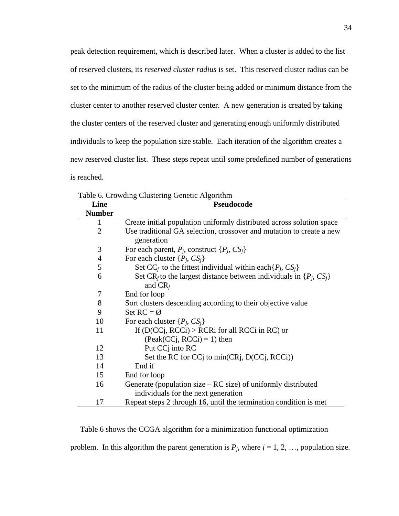peak detection requirement, which is described later. When a cluster is added to the list of reserved clusters, its *reserved cluster radius* is set. This reserved cluster radius can be set to the minimum of the radius of the cluster being added or minimum distance from the cluster center to another reserved cluster center. A new generation is created by taking the cluster centers of the reserved cluster and generating enough uniformly distributed individuals to keep the population size stable. Each iteration of the algorithm creates a new reserved cluster list. These steps repeat until some predefined number of generations is reached.

|                | Table 6. Crowding Clustering Genetic Algorithm                                                   |  |
|----------------|--------------------------------------------------------------------------------------------------|--|
| Line           | Pseudocode                                                                                       |  |
| <b>Number</b>  |                                                                                                  |  |
| 1              | Create initial population uniformly distributed across solution space                            |  |
| $\overline{2}$ | Use traditional GA selection, crossover and mutation to create a new<br>generation               |  |
| 3              | For each parent, $P_i$ , construct $\{P_i, CS_i\}$                                               |  |
| $\overline{4}$ | For each cluster $\{P_i, CS_i\}$                                                                 |  |
| 5              | Set CC <sub>i</sub> to the fittest individual within each $\{P_j, CS_j\}$                        |  |
| 6              | Set CR <sub>i</sub> to the largest distance between individuals in $\{P_i, CS_i\}$<br>and $CR_i$ |  |
| 7              | End for loop                                                                                     |  |
| 8              | Sort clusters descending according to their objective value                                      |  |
| 9              | Set $RC = \emptyset$                                                                             |  |
| 10             | For each cluster $\{P_i, CS_i\}$                                                                 |  |
| 11             | If $(D(CCj, RCCi) > RCRi$ for all RCCi in RC) or                                                 |  |
|                | $(Peak(CCj, RCCi) = 1)$ then                                                                     |  |
| 12             | Put CC <sub>j</sub> into RC                                                                      |  |
| 13             | Set the RC for CC to min(CR), D(CC), RCCi))                                                      |  |
| 14             | End if                                                                                           |  |
| 15             | End for loop                                                                                     |  |
| 16             | Generate (population size $- RC$ size) of uniformly distributed                                  |  |
|                | individuals for the next generation                                                              |  |
| 17             | Repeat steps 2 through 16, until the termination condition is met                                |  |

Table 6. Crowding Clustering Genetic Algorithm

Table 6 shows the CCGA algorithm for a minimization functional optimization

problem. In this algorithm the parent generation is  $P_j$ , where  $j = 1, 2, ...,$  population size.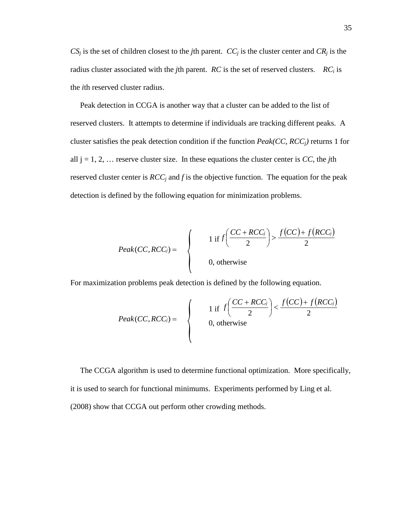$CS_j$  is the set of children closest to the *j*th parent.  $CC_j$  is the cluster center and  $CR_j$  is the radius cluster associated with the *j*th parent. *RC* is the set of reserved clusters. *RC<sup>i</sup>* is the *i*th reserved cluster radius.

 Peak detection in CCGA is another way that a cluster can be added to the list of reserved clusters. It attempts to determine if individuals are tracking different peaks. A cluster satisfies the peak detection condition if the function *Peak(CC, RCCj)* returns 1 for all  $j = 1, 2, \ldots$  reserve cluster size. In these equations the cluster center is CC, the *j*th reserved cluster center is  $RCC_j$  and f is the objective function. The equation for the peak detection is defined by the following equation for minimization problems.

$$
Peak(CC,RCC_j) = \begin{cases} 1 & \text{if } f\left(\frac{CC + RCC_j}{2}\right) > \frac{f(CC) + f(RCC_j)}{2} \\ 0, & \text{otherwise} \end{cases}
$$

For maximization problems peak detection is defined by the following equation.

$$
Peak(CC,RCC_j) = \begin{cases} 1 & \text{if } f\left(\frac{CC + RCC_j}{2}\right) < \frac{f(CC) + f(RCC_j)}{2} \\ 0, & \text{otherwise} \end{cases}
$$

 The CCGA algorithm is used to determine functional optimization. More specifically, it is used to search for functional minimums. Experiments performed by Ling et al. (2008) show that CCGA out perform other crowding methods.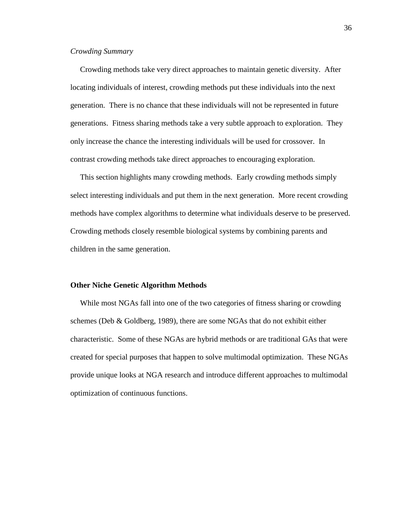## *Crowding Summary*

 Crowding methods take very direct approaches to maintain genetic diversity. After locating individuals of interest, crowding methods put these individuals into the next generation. There is no chance that these individuals will not be represented in future generations. Fitness sharing methods take a very subtle approach to exploration. They only increase the chance the interesting individuals will be used for crossover. In contrast crowding methods take direct approaches to encouraging exploration.

 This section highlights many crowding methods. Early crowding methods simply select interesting individuals and put them in the next generation. More recent crowding methods have complex algorithms to determine what individuals deserve to be preserved. Crowding methods closely resemble biological systems by combining parents and children in the same generation.

### **Other Niche Genetic Algorithm Methods**

 While most NGAs fall into one of the two categories of fitness sharing or crowding schemes (Deb & Goldberg, 1989), there are some NGAs that do not exhibit either characteristic. Some of these NGAs are hybrid methods or are traditional GAs that were created for special purposes that happen to solve multimodal optimization. These NGAs provide unique looks at NGA research and introduce different approaches to multimodal optimization of continuous functions.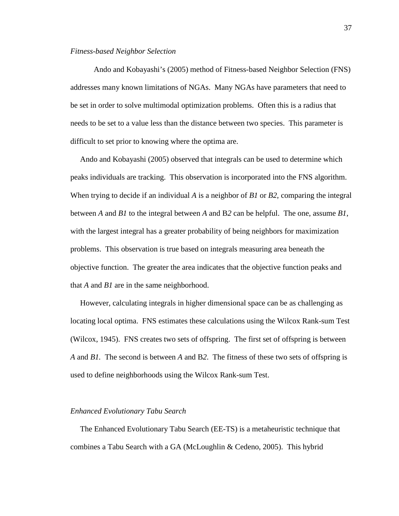### *Fitness-based Neighbor Selection*

 Ando and Kobayashi's (2005) method of Fitness-based Neighbor Selection (FNS) addresses many known limitations of NGAs. Many NGAs have parameters that need to be set in order to solve multimodal optimization problems. Often this is a radius that needs to be set to a value less than the distance between two species. This parameter is difficult to set prior to knowing where the optima are.

 Ando and Kobayashi (2005) observed that integrals can be used to determine which peaks individuals are tracking. This observation is incorporated into the FNS algorithm. When trying to decide if an individual *A* is a neighbor of *B1* or *B2*, comparing the integral between *A* and *B1* to the integral between *A* and B*2* can be helpful. The one, assume *B1*, with the largest integral has a greater probability of being neighbors for maximization problems. This observation is true based on integrals measuring area beneath the objective function. The greater the area indicates that the objective function peaks and that *A* and *B1* are in the same neighborhood.

 However, calculating integrals in higher dimensional space can be as challenging as locating local optima. FNS estimates these calculations using the Wilcox Rank-sum Test (Wilcox, 1945). FNS creates two sets of offspring. The first set of offspring is between *A* and *B1.* The second is between *A* and B*2*. The fitness of these two sets of offspring is used to define neighborhoods using the Wilcox Rank-sum Test.

### *Enhanced Evolutionary Tabu Search*

 The Enhanced Evolutionary Tabu Search (EE-TS) is a metaheuristic technique that combines a Tabu Search with a GA (McLoughlin & Cedeno, 2005). This hybrid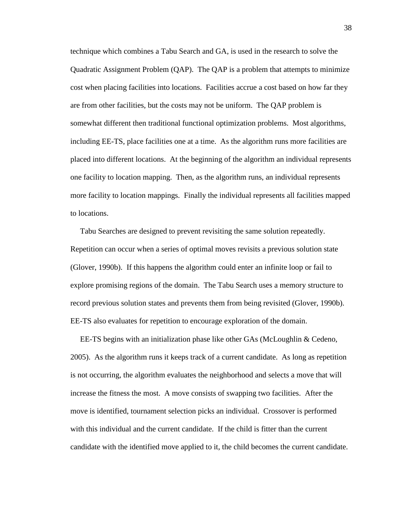technique which combines a Tabu Search and GA, is used in the research to solve the Quadratic Assignment Problem (QAP). The QAP is a problem that attempts to minimize cost when placing facilities into locations. Facilities accrue a cost based on how far they are from other facilities, but the costs may not be uniform. The QAP problem is somewhat different then traditional functional optimization problems. Most algorithms, including EE-TS, place facilities one at a time. As the algorithm runs more facilities are placed into different locations. At the beginning of the algorithm an individual represents one facility to location mapping. Then, as the algorithm runs, an individual represents more facility to location mappings. Finally the individual represents all facilities mapped to locations.

 Tabu Searches are designed to prevent revisiting the same solution repeatedly. Repetition can occur when a series of optimal moves revisits a previous solution state (Glover, 1990b). If this happens the algorithm could enter an infinite loop or fail to explore promising regions of the domain. The Tabu Search uses a memory structure to record previous solution states and prevents them from being revisited (Glover, 1990b). EE-TS also evaluates for repetition to encourage exploration of the domain.

 EE-TS begins with an initialization phase like other GAs (McLoughlin & Cedeno, 2005). As the algorithm runs it keeps track of a current candidate. As long as repetition is not occurring, the algorithm evaluates the neighborhood and selects a move that will increase the fitness the most. A move consists of swapping two facilities. After the move is identified, tournament selection picks an individual. Crossover is performed with this individual and the current candidate. If the child is fitter than the current candidate with the identified move applied to it, the child becomes the current candidate.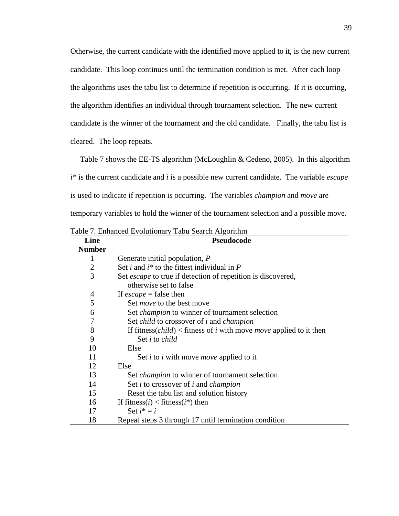Otherwise, the current candidate with the identified move applied to it, is the new current candidate. This loop continues until the termination condition is met. After each loop the algorithms uses the tabu list to determine if repetition is occurring. If it is occurring, the algorithm identifies an individual through tournament selection. The new current candidate is the winner of the tournament and the old candidate. Finally, the tabu list is cleared. The loop repeats.

 Table 7 shows the EE-TS algorithm (McLoughlin & Cedeno, 2005). In this algorithm *i\** is the current candidate and *i* is a possible new current candidate. The variable *escape* is used to indicate if repetition is occurring. The variables *champion* and *move* are temporary variables to hold the winner of the tournament selection and a possible move.

| Line           | Pseudocode                                                                                |
|----------------|-------------------------------------------------------------------------------------------|
| <b>Number</b>  |                                                                                           |
| 1              | Generate initial population, P                                                            |
| $\overline{2}$ | Set <i>i</i> and $i^*$ to the fittest individual in $P$                                   |
| 3              | Set <i>escape</i> to true if detection of repetition is discovered,                       |
|                | otherwise set to false                                                                    |
| $\overline{4}$ | If $escape = false$ then                                                                  |
| 5              | Set <i>move</i> to the best move                                                          |
| 6              | Set <i>champion</i> to winner of tournament selection                                     |
| $\overline{7}$ | Set <i>child</i> to crossover of <i>i</i> and <i>champion</i>                             |
| 8              | If fitness( <i>child</i> ) < fitness of <i>i</i> with move <i>move</i> applied to it then |
| 9              | Set <i>i</i> to <i>child</i>                                                              |
| 10             | Else                                                                                      |
| 11             | Set <i>i</i> to <i>i</i> with move <i>move</i> applied to it                              |
| 12             | Else                                                                                      |
| 13             | Set <i>champion</i> to winner of tournament selection                                     |
| 14             | Set <i>i</i> to crossover of <i>i</i> and <i>champion</i>                                 |
| 15             | Reset the tabu list and solution history                                                  |
| 16             | If fitness( <i>i</i> ) < fitness( <i>i</i> *) then                                        |
| 17             | Set $i^* = i$                                                                             |
| 18             | Repeat steps 3 through 17 until termination condition                                     |

Table 7. Enhanced Evolutionary Tabu Search Algorithm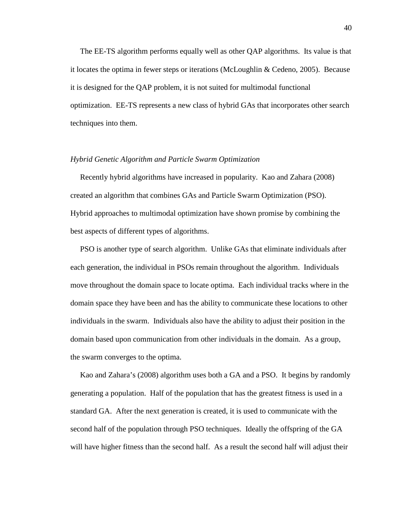The EE-TS algorithm performs equally well as other QAP algorithms. Its value is that it locates the optima in fewer steps or iterations (McLoughlin & Cedeno, 2005). Because it is designed for the QAP problem, it is not suited for multimodal functional optimization. EE-TS represents a new class of hybrid GAs that incorporates other search techniques into them.

### *Hybrid Genetic Algorithm and Particle Swarm Optimization*

 Recently hybrid algorithms have increased in popularity. Kao and Zahara (2008) created an algorithm that combines GAs and Particle Swarm Optimization (PSO). Hybrid approaches to multimodal optimization have shown promise by combining the best aspects of different types of algorithms.

 PSO is another type of search algorithm. Unlike GAs that eliminate individuals after each generation, the individual in PSOs remain throughout the algorithm. Individuals move throughout the domain space to locate optima. Each individual tracks where in the domain space they have been and has the ability to communicate these locations to other individuals in the swarm. Individuals also have the ability to adjust their position in the domain based upon communication from other individuals in the domain. As a group, the swarm converges to the optima.

 Kao and Zahara's (2008) algorithm uses both a GA and a PSO. It begins by randomly generating a population. Half of the population that has the greatest fitness is used in a standard GA. After the next generation is created, it is used to communicate with the second half of the population through PSO techniques. Ideally the offspring of the GA will have higher fitness than the second half. As a result the second half will adjust their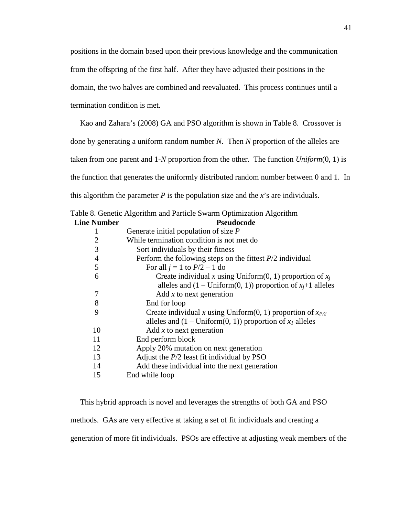positions in the domain based upon their previous knowledge and the communication from the offspring of the first half. After they have adjusted their positions in the domain, the two halves are combined and reevaluated. This process continues until a termination condition is met.

 Kao and Zahara's (2008) GA and PSO algorithm is shown in Table 8. Crossover is done by generating a uniform random number *N*. Then *N* proportion of the alleles are taken from one parent and 1-*N* proportion from the other. The function *Uniform*(0, 1) is the function that generates the uniformly distributed random number between 0 and 1. In this algorithm the parameter *P* is the population size and the *x*'s are individuals.

|                    | Table 8. Genetic Algorithm and Particle Swarm Optimization Algorithm   |
|--------------------|------------------------------------------------------------------------|
| <b>Line Number</b> | Pseudocode                                                             |
| 1                  | Generate initial population of size $P$                                |
| $\overline{2}$     | While termination condition is not met do                              |
| 3                  | Sort individuals by their fitness                                      |
| 4                  | Perform the following steps on the fittest $P/2$ individual            |
| 5                  | For all $j = 1$ to $P/2 - 1$ do                                        |
| 6                  | Create individual x using Uniform $(0, 1)$ proportion of $x_i$         |
|                    | alleles and $(1 - \text{Uniform}(0, 1))$ proportion of $x_i+1$ alleles |
| 7                  | Add $x$ to next generation                                             |
| 8                  | End for loop                                                           |
| 9                  | Create individual x using Uniform(0, 1) proportion of $x_{P2}$         |
|                    | alleles and $(1 - \text{Uniform}(0, 1))$ proportion of $x_1$ alleles   |
| 10                 | Add $x$ to next generation                                             |
| 11                 | End perform block                                                      |
| 12                 | Apply 20% mutation on next generation                                  |
| 13                 | Adjust the $P/2$ least fit individual by PSO                           |
| 14                 | Add these individual into the next generation                          |
| 15                 | End while loop                                                         |

Table 8. Genetic Algorithm and Particle Swarm Optimization Algorithm

 This hybrid approach is novel and leverages the strengths of both GA and PSO methods. GAs are very effective at taking a set of fit individuals and creating a generation of more fit individuals. PSOs are effective at adjusting weak members of the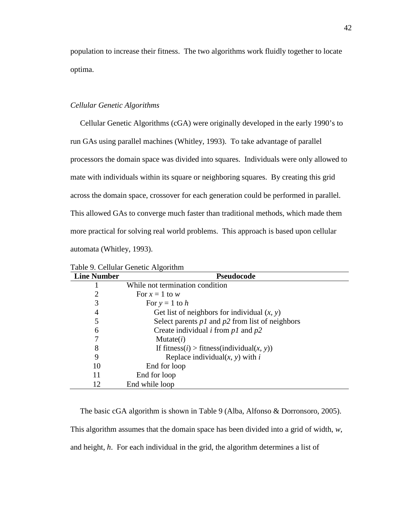population to increase their fitness. The two algorithms work fluidly together to locate optima.

## *Cellular Genetic Algorithms*

 Cellular Genetic Algorithms (cGA) were originally developed in the early 1990's to run GAs using parallel machines (Whitley, 1993). To take advantage of parallel processors the domain space was divided into squares. Individuals were only allowed to mate with individuals within its square or neighboring squares. By creating this grid across the domain space, crossover for each generation could be performed in parallel. This allowed GAs to converge much faster than traditional methods, which made them more practical for solving real world problems. This approach is based upon cellular automata (Whitley, 1993).

| <b>Line Number</b> | <b>Pseudocode</b>                                                   |
|--------------------|---------------------------------------------------------------------|
|                    | While not termination condition                                     |
| 2                  | For $x = 1$ to w                                                    |
| 3                  | For $y = 1$ to h                                                    |
| 4                  | Get list of neighbors for individual $(x, y)$                       |
| 5                  | Select parents $p1$ and $p2$ from list of neighbors                 |
| 6                  | Create individual <i>i</i> from $p1$ and $p2$                       |
|                    | Mutate(i)                                                           |
| 8                  | If fitness( <i>i</i> ) > fitness(individual( <i>x</i> , <i>y</i> )) |
| 9                  | Replace individual $(x, y)$ with i                                  |
| 10                 | End for loop                                                        |
| 11                 | End for loop                                                        |
| 12                 | End while loop                                                      |

Table 9. Cellular Genetic Algorithm

 The basic cGA algorithm is shown in Table 9 (Alba, Alfonso & Dorronsoro, 2005). This algorithm assumes that the domain space has been divided into a grid of width, *w*, and height, *h*. For each individual in the grid, the algorithm determines a list of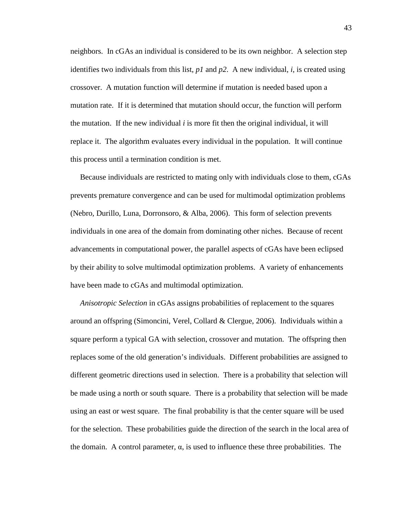neighbors. In cGAs an individual is considered to be its own neighbor. A selection step identifies two individuals from this list, *p1* and *p2*. A new individual, *i*, is created using crossover. A mutation function will determine if mutation is needed based upon a mutation rate. If it is determined that mutation should occur, the function will perform the mutation. If the new individual  $i$  is more fit then the original individual, it will replace it. The algorithm evaluates every individual in the population. It will continue this process until a termination condition is met.

 Because individuals are restricted to mating only with individuals close to them, cGAs prevents premature convergence and can be used for multimodal optimization problems (Nebro, Durillo, Luna, Dorronsoro, & Alba, 2006). This form of selection prevents individuals in one area of the domain from dominating other niches. Because of recent advancements in computational power, the parallel aspects of cGAs have been eclipsed by their ability to solve multimodal optimization problems. A variety of enhancements have been made to cGAs and multimodal optimization.

 *Anisotropic Selection* in cGAs assigns probabilities of replacement to the squares around an offspring (Simoncini, Verel, Collard & Clergue, 2006). Individuals within a square perform a typical GA with selection, crossover and mutation. The offspring then replaces some of the old generation's individuals. Different probabilities are assigned to different geometric directions used in selection. There is a probability that selection will be made using a north or south square. There is a probability that selection will be made using an east or west square. The final probability is that the center square will be used for the selection. These probabilities guide the direction of the search in the local area of the domain. A control parameter,  $\alpha$ , is used to influence these three probabilities. The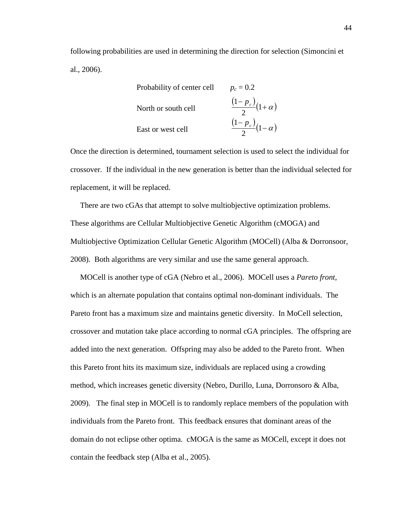following probabilities are used in determining the direction for selection (Simoncini et al., 2006).

Probability of center cell 
$$
p_c = 0.2
$$
  
North or south cell 
$$
\frac{(1 - p_c)}{2}(1 + \alpha)
$$
  
East or west cell 
$$
\frac{(1 - p_c)}{2}(1 - \alpha)
$$

Once the direction is determined, tournament selection is used to select the individual for crossover. If the individual in the new generation is better than the individual selected for replacement, it will be replaced.

 There are two cGAs that attempt to solve multiobjective optimization problems. These algorithms are Cellular Multiobjective Genetic Algorithm (cMOGA) and Multiobjective Optimization Cellular Genetic Algorithm (MOCell) (Alba & Dorronsoor, 2008). Both algorithms are very similar and use the same general approach.

 MOCell is another type of cGA (Nebro et al., 2006). MOCell uses a *Pareto front*, which is an alternate population that contains optimal non-dominant individuals. The Pareto front has a maximum size and maintains genetic diversity. In MoCell selection, crossover and mutation take place according to normal cGA principles. The offspring are added into the next generation. Offspring may also be added to the Pareto front. When this Pareto front hits its maximum size, individuals are replaced using a crowding method, which increases genetic diversity (Nebro, Durillo, Luna, Dorronsoro & Alba, 2009). The final step in MOCell is to randomly replace members of the population with individuals from the Pareto front. This feedback ensures that dominant areas of the domain do not eclipse other optima. cMOGA is the same as MOCell, except it does not contain the feedback step (Alba et al., 2005).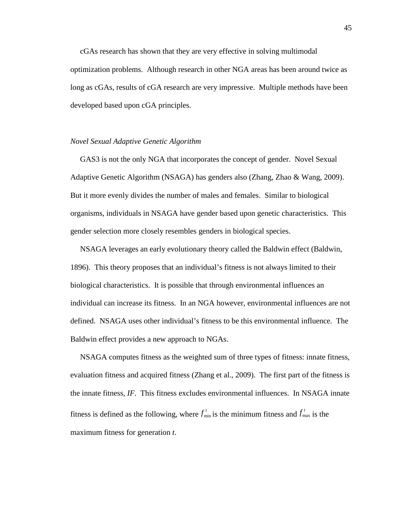cGAs research has shown that they are very effective in solving multimodal optimization problems. Although research in other NGA areas has been around twice as long as cGAs, results of cGA research are very impressive. Multiple methods have been developed based upon cGA principles.

### *Novel Sexual Adaptive Genetic Algorithm*

 GAS3 is not the only NGA that incorporates the concept of gender. Novel Sexual Adaptive Genetic Algorithm (NSAGA) has genders also (Zhang, Zhao & Wang, 2009). But it more evenly divides the number of males and females. Similar to biological organisms, individuals in NSAGA have gender based upon genetic characteristics. This gender selection more closely resembles genders in biological species.

 NSAGA leverages an early evolutionary theory called the Baldwin effect (Baldwin, 1896). This theory proposes that an individual's fitness is not always limited to their biological characteristics. It is possible that through environmental influences an individual can increase its fitness. In an NGA however, environmental influences are not defined. NSAGA uses other individual's fitness to be this environmental influence. The Baldwin effect provides a new approach to NGAs.

 NSAGA computes fitness as the weighted sum of three types of fitness: innate fitness, evaluation fitness and acquired fitness (Zhang et al., 2009). The first part of the fitness is the innate fitness, *IF*. This fitness excludes environmental influences. In NSAGA innate fitness is defined as the following, where  $f_{\min}^t$  is the minimum fitness and  $f_{\max}^t$  is the maximum fitness for generation *t*.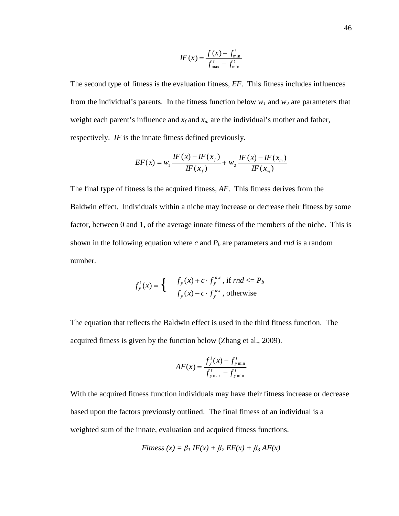$$
IF(x) = \frac{f(x) - f_{\min}^t}{f_{\max}^t - f_{\min}^t}
$$

The second type of fitness is the evaluation fitness, *EF*. This fitness includes influences from the individual's parents. In the fitness function below  $w_1$  and  $w_2$  are parameters that weight each parent's influence and  $x_f$  and  $x_m$  are the individual's mother and father, respectively. *IF* is the innate fitness defined previously.

$$
EF(x) = w_1 \frac{IF(x) - IF(x_f)}{IF(x_f)} + w_2 \frac{IF(x) - IF(x_m)}{IF(x_m)}
$$

The final type of fitness is the acquired fitness, *AF*. This fitness derives from the Baldwin effect. Individuals within a niche may increase or decrease their fitness by some factor, between 0 and 1, of the average innate fitness of the members of the niche. This is shown in the following equation where  $c$  and  $P_b$  are parameters and  $rnd$  is a random number.

$$
f_y^1(x) = \begin{cases} & f_y(x) + c \cdot f_y^{ave}, \text{ if } rnd \le P_b \\ & f_y(x) - c \cdot f_y^{ave}, \text{ otherwise} \end{cases}
$$

The equation that reflects the Baldwin effect is used in the third fitness function. The acquired fitness is given by the function below (Zhang et al., 2009).

$$
AF(x) = \frac{f_{y}^{1}(x) - f_{y}^{t}}{f_{y}^{t}} = f_{y}^{t}
$$

With the acquired fitness function individuals may have their fitness increase or decrease based upon the factors previously outlined. The final fitness of an individual is a weighted sum of the innate, evaluation and acquired fitness functions.

$$
Fitness(x) = \beta_1 IF(x) + \beta_2 EF(x) + \beta_3 AF(x)
$$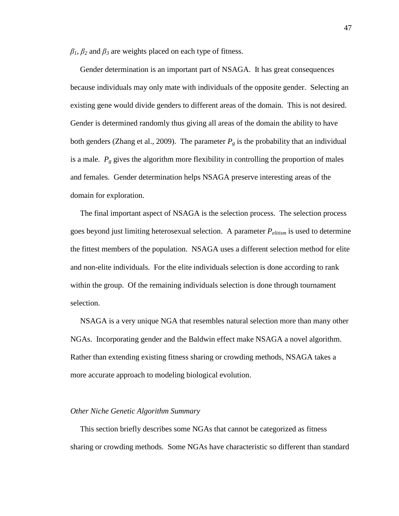$\beta_1$ ,  $\beta_2$  and  $\beta_3$  are weights placed on each type of fitness.

 Gender determination is an important part of NSAGA. It has great consequences because individuals may only mate with individuals of the opposite gender. Selecting an existing gene would divide genders to different areas of the domain. This is not desired. Gender is determined randomly thus giving all areas of the domain the ability to have both genders (Zhang et al., 2009). The parameter  $P_g$  is the probability that an individual is a male.  $P_g$  gives the algorithm more flexibility in controlling the proportion of males and females. Gender determination helps NSAGA preserve interesting areas of the domain for exploration.

 The final important aspect of NSAGA is the selection process. The selection process goes beyond just limiting heterosexual selection. A parameter *Pelitism* is used to determine the fittest members of the population. NSAGA uses a different selection method for elite and non-elite individuals. For the elite individuals selection is done according to rank within the group. Of the remaining individuals selection is done through tournament selection.

 NSAGA is a very unique NGA that resembles natural selection more than many other NGAs. Incorporating gender and the Baldwin effect make NSAGA a novel algorithm. Rather than extending existing fitness sharing or crowding methods, NSAGA takes a more accurate approach to modeling biological evolution.

### *Other Niche Genetic Algorithm Summary*

 This section briefly describes some NGAs that cannot be categorized as fitness sharing or crowding methods. Some NGAs have characteristic so different than standard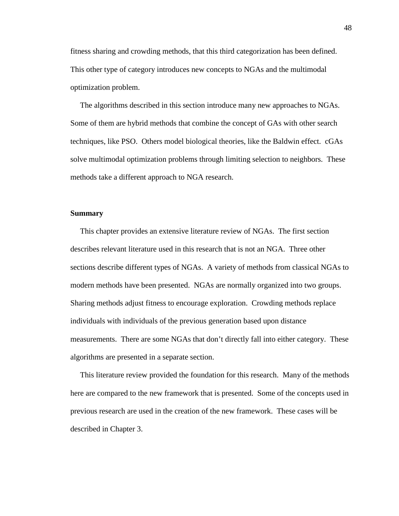fitness sharing and crowding methods, that this third categorization has been defined. This other type of category introduces new concepts to NGAs and the multimodal optimization problem.

 The algorithms described in this section introduce many new approaches to NGAs. Some of them are hybrid methods that combine the concept of GAs with other search techniques, like PSO. Others model biological theories, like the Baldwin effect. cGAs solve multimodal optimization problems through limiting selection to neighbors. These methods take a different approach to NGA research.

## **Summary**

 This chapter provides an extensive literature review of NGAs. The first section describes relevant literature used in this research that is not an NGA. Three other sections describe different types of NGAs. A variety of methods from classical NGAs to modern methods have been presented. NGAs are normally organized into two groups. Sharing methods adjust fitness to encourage exploration. Crowding methods replace individuals with individuals of the previous generation based upon distance measurements. There are some NGAs that don't directly fall into either category. These algorithms are presented in a separate section.

 This literature review provided the foundation for this research. Many of the methods here are compared to the new framework that is presented. Some of the concepts used in previous research are used in the creation of the new framework. These cases will be described in Chapter 3.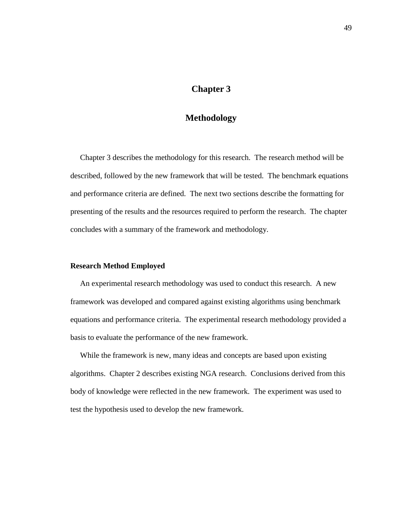# **Chapter 3**

## **Methodology**

 Chapter 3 describes the methodology for this research. The research method will be described, followed by the new framework that will be tested. The benchmark equations and performance criteria are defined. The next two sections describe the formatting for presenting of the results and the resources required to perform the research. The chapter concludes with a summary of the framework and methodology.

## **Research Method Employed**

 An experimental research methodology was used to conduct this research. A new framework was developed and compared against existing algorithms using benchmark equations and performance criteria. The experimental research methodology provided a basis to evaluate the performance of the new framework.

While the framework is new, many ideas and concepts are based upon existing algorithms. Chapter 2 describes existing NGA research. Conclusions derived from this body of knowledge were reflected in the new framework. The experiment was used to test the hypothesis used to develop the new framework.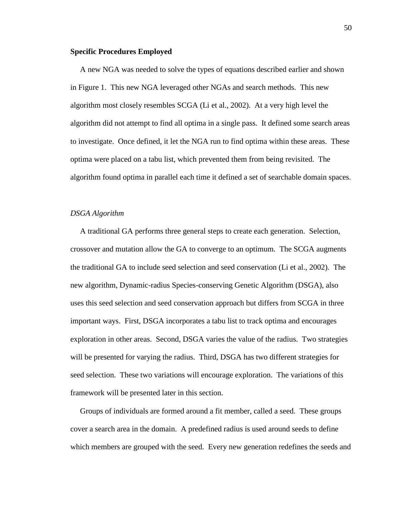### **Specific Procedures Employed**

 A new NGA was needed to solve the types of equations described earlier and shown in Figure 1. This new NGA leveraged other NGAs and search methods. This new algorithm most closely resembles SCGA (Li et al., 2002). At a very high level the algorithm did not attempt to find all optima in a single pass. It defined some search areas to investigate. Once defined, it let the NGA run to find optima within these areas. These optima were placed on a tabu list, which prevented them from being revisited. The algorithm found optima in parallel each time it defined a set of searchable domain spaces.

### *DSGA Algorithm*

 A traditional GA performs three general steps to create each generation. Selection, crossover and mutation allow the GA to converge to an optimum. The SCGA augments the traditional GA to include seed selection and seed conservation (Li et al., 2002). The new algorithm, Dynamic-radius Species-conserving Genetic Algorithm (DSGA), also uses this seed selection and seed conservation approach but differs from SCGA in three important ways. First, DSGA incorporates a tabu list to track optima and encourages exploration in other areas. Second, DSGA varies the value of the radius. Two strategies will be presented for varying the radius. Third, DSGA has two different strategies for seed selection. These two variations will encourage exploration. The variations of this framework will be presented later in this section.

 Groups of individuals are formed around a fit member, called a seed. These groups cover a search area in the domain. A predefined radius is used around seeds to define which members are grouped with the seed. Every new generation redefines the seeds and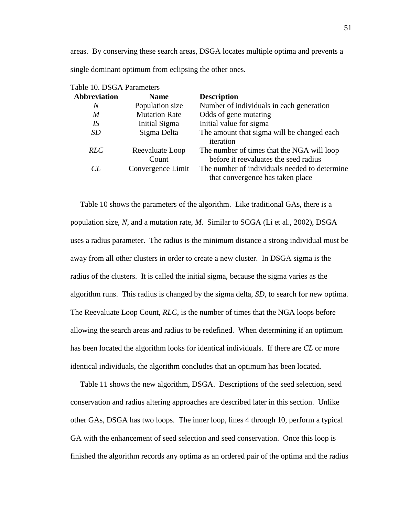areas. By conserving these search areas, DSGA locates multiple optima and prevents a single dominant optimum from eclipsing the other ones.

| <b>Abbreviation</b> | <b>Name</b>          | <b>Description</b>                            |
|---------------------|----------------------|-----------------------------------------------|
| Ν                   | Population size      | Number of individuals in each generation      |
| M                   | <b>Mutation Rate</b> | Odds of gene mutating                         |
| IS                  | Initial Sigma        | Initial value for sigma                       |
| <b>SD</b>           | Sigma Delta          | The amount that sigma will be changed each    |
|                     |                      | iteration                                     |
| RLC                 | Reevaluate Loop      | The number of times that the NGA will loop    |
|                     | Count                | before it reevaluates the seed radius         |
| CL                  | Convergence Limit    | The number of individuals needed to determine |
|                     |                      | that convergence has taken place              |

Table 10. DSGA Parameters

 Table 10 shows the parameters of the algorithm. Like traditional GAs, there is a population size, *N*, and a mutation rate, *M*. Similar to SCGA (Li et al., 2002), DSGA uses a radius parameter. The radius is the minimum distance a strong individual must be away from all other clusters in order to create a new cluster. In DSGA sigma is the radius of the clusters. It is called the initial sigma, because the sigma varies as the algorithm runs. This radius is changed by the sigma delta, *SD,* to search for new optima. The Reevaluate Loop Count, *RLC*, is the number of times that the NGA loops before allowing the search areas and radius to be redefined. When determining if an optimum has been located the algorithm looks for identical individuals. If there are *CL* or more identical individuals, the algorithm concludes that an optimum has been located.

 Table 11 shows the new algorithm, DSGA. Descriptions of the seed selection, seed conservation and radius altering approaches are described later in this section. Unlike other GAs, DSGA has two loops. The inner loop, lines 4 through 10, perform a typical GA with the enhancement of seed selection and seed conservation. Once this loop is finished the algorithm records any optima as an ordered pair of the optima and the radius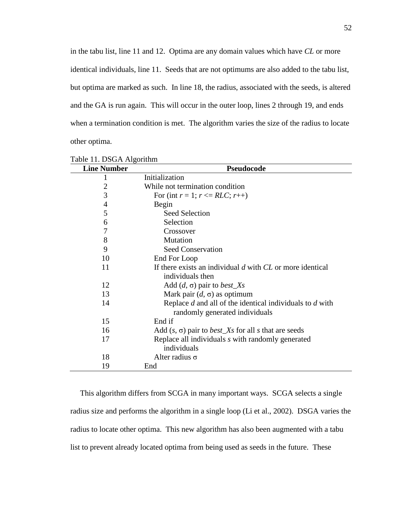in the tabu list, line 11 and 12. Optima are any domain values which have *CL* or more identical individuals, line 11. Seeds that are not optimums are also added to the tabu list, but optima are marked as such. In line 18, the radius, associated with the seeds, is altered and the GA is run again. This will occur in the outer loop, lines 2 through 19, and ends when a termination condition is met. The algorithm varies the size of the radius to locate other optima.

| <b>Line Number</b> | <b>Pseudocode</b>                                                        |  |
|--------------------|--------------------------------------------------------------------------|--|
| 1                  | Initialization                                                           |  |
| $\overline{2}$     | While not termination condition                                          |  |
| 3                  | For (int $r = 1$ ; $r \le RLC$ ; $r++$ )                                 |  |
| 4                  | Begin                                                                    |  |
| 5                  | <b>Seed Selection</b>                                                    |  |
| 6                  | Selection                                                                |  |
| 7                  | Crossover                                                                |  |
| 8                  | Mutation                                                                 |  |
| 9                  | <b>Seed Conservation</b>                                                 |  |
| 10                 | End For Loop                                                             |  |
| 11                 | If there exists an individual $d$ with $CL$ or more identical            |  |
|                    | individuals then                                                         |  |
| 12                 | Add $(d, \sigma)$ pair to <i>best_Xs</i>                                 |  |
| 13                 | Mark pair $(d, \sigma)$ as optimum                                       |  |
| 14                 | Replace $d$ and all of the identical individuals to $d$ with             |  |
|                    | randomly generated individuals                                           |  |
| 15                 | End if                                                                   |  |
| 16                 | Add $(s, \sigma)$ pair to <i>best_Xs</i> for all <i>s</i> that are seeds |  |
| 17                 | Replace all individuals s with randomly generated                        |  |
|                    | individuals                                                              |  |
| 18                 | Alter radius $\sigma$                                                    |  |
| 19                 | End                                                                      |  |

|  |  | Table 11. DSGA Algorithm |
|--|--|--------------------------|
|--|--|--------------------------|

 This algorithm differs from SCGA in many important ways. SCGA selects a single radius size and performs the algorithm in a single loop (Li et al., 2002). DSGA varies the radius to locate other optima. This new algorithm has also been augmented with a tabu list to prevent already located optima from being used as seeds in the future. These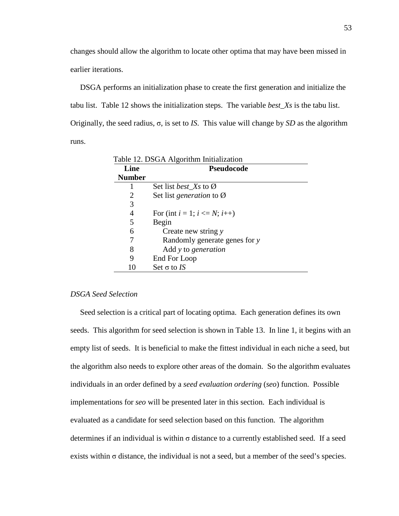changes should allow the algorithm to locate other optima that may have been missed in earlier iterations.

 DSGA performs an initialization phase to create the first generation and initialize the tabu list. Table 12 shows the initialization steps. The variable *best\_Xs* is the tabu list. Originally, the seed radius, σ, is set to *IS*. This value will change by *SD* as the algorithm runs.

| Line          | Pseudocode                                  |
|---------------|---------------------------------------------|
| <b>Number</b> |                                             |
|               | Set list <i>best</i> $X_s$ to $\varnothing$ |
| 2             | Set list generation to $\varnothing$        |
| 3             |                                             |
| 4             | For (int $i = 1$ ; $i \le N$ ; $i++$ )      |
| 5             | Begin                                       |
| 6             | Create new string y                         |
|               | Randomly generate genes for y               |
| 8             | Add y to generation                         |
| 9             | End For Loop                                |
|               | Set $\sigma$ to IS                          |

Table 12. DSGA Algorithm Initialization

## *DSGA Seed Selection*

 Seed selection is a critical part of locating optima. Each generation defines its own seeds. This algorithm for seed selection is shown in Table 13. In line 1, it begins with an empty list of seeds. It is beneficial to make the fittest individual in each niche a seed, but the algorithm also needs to explore other areas of the domain. So the algorithm evaluates individuals in an order defined by a *seed evaluation ordering* (*seo*) function. Possible implementations for *seo* will be presented later in this section. Each individual is evaluated as a candidate for seed selection based on this function. The algorithm determines if an individual is within  $\sigma$  distance to a currently established seed. If a seed exists within  $\sigma$  distance, the individual is not a seed, but a member of the seed's species.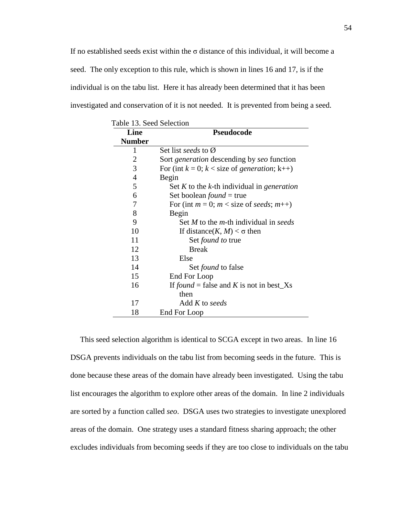If no established seeds exist within the  $\sigma$  distance of this individual, it will become a seed. The only exception to this rule, which is shown in lines 16 and 17, is if the individual is on the tabu list. Here it has already been determined that it has been investigated and conservation of it is not needed. It is prevented from being a seed.

| Table 13. Seed Selection |                                                           |  |
|--------------------------|-----------------------------------------------------------|--|
| Line                     | Pseudocode                                                |  |
| <b>Number</b>            |                                                           |  |
| 1                        | Set list seeds to $\varnothing$                           |  |
| 2                        | Sort <i>generation</i> descending by <i>seo</i> function  |  |
| 3                        | For (int $k = 0$ ; $k <$ size of <i>generation</i> ; k++) |  |
| 4                        | Begin                                                     |  |
| 5                        | Set $K$ to the $k$ -th individual in <i>generation</i>    |  |
| 6                        | Set boolean <i>found</i> = true                           |  |
| 7                        | For (int $m = 0$ ; $m <$ size of seeds; $m$ ++)           |  |
| 8                        | Begin                                                     |  |
| 9                        | Set M to the $m$ -th individual in seeds                  |  |
| 10                       | If distance(K, M) < $\sigma$ then                         |  |
| 11                       | Set <i>found to</i> true                                  |  |
| 12                       | <b>Break</b>                                              |  |
| 13                       | Else                                                      |  |
| 14                       | Set <i>found</i> to false                                 |  |
| 15                       | End For Loop                                              |  |
| 16                       | If found = false and K is not in best_Xs                  |  |
|                          | then                                                      |  |
| 17                       | Add K to seeds                                            |  |
| 18                       | End For Loop                                              |  |

 This seed selection algorithm is identical to SCGA except in two areas. In line 16 DSGA prevents individuals on the tabu list from becoming seeds in the future. This is done because these areas of the domain have already been investigated. Using the tabu list encourages the algorithm to explore other areas of the domain. In line 2 individuals are sorted by a function called *seo*. DSGA uses two strategies to investigate unexplored areas of the domain. One strategy uses a standard fitness sharing approach; the other excludes individuals from becoming seeds if they are too close to individuals on the tabu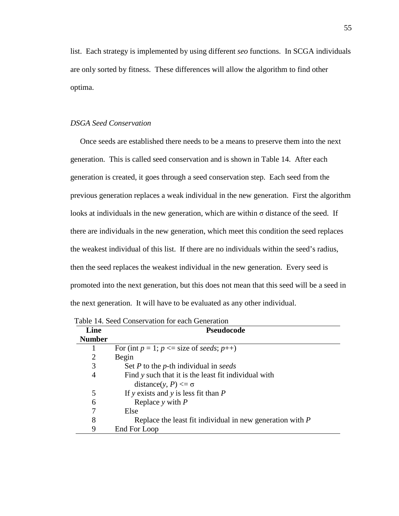list. Each strategy is implemented by using different *seo* functions. In SCGA individuals are only sorted by fitness. These differences will allow the algorithm to find other optima.

## *DSGA Seed Conservation*

 Once seeds are established there needs to be a means to preserve them into the next generation. This is called seed conservation and is shown in Table 14. After each generation is created, it goes through a seed conservation step. Each seed from the previous generation replaces a weak individual in the new generation. First the algorithm looks at individuals in the new generation, which are within  $\sigma$  distance of the seed. If there are individuals in the new generation, which meet this condition the seed replaces the weakest individual of this list. If there are no individuals within the seed's radius, then the seed replaces the weakest individual in the new generation. Every seed is promoted into the next generation, but this does not mean that this seed will be a seed in the next generation. It will have to be evaluated as any other individual.

| Line           | <b>Pseudocode</b>                                           |  |
|----------------|-------------------------------------------------------------|--|
| <b>Number</b>  |                                                             |  |
|                | For (int $p = 1$ ; $p \le$ size of seeds; $p$ ++)           |  |
| $\overline{2}$ | Begin                                                       |  |
| 3              | Set $P$ to the $p$ -th individual in seeds                  |  |
| 4              | Find y such that it is the least fit individual with        |  |
|                | distance(y, P) $\leq \sigma$                                |  |
| 5              | If y exists and y is less fit than $P$                      |  |
| 6              | Replace $y$ with $P$                                        |  |
| 7              | Else                                                        |  |
| 8              | Replace the least fit individual in new generation with $P$ |  |
| 9              | End For Loop                                                |  |

Table 14. Seed Conservation for each Generation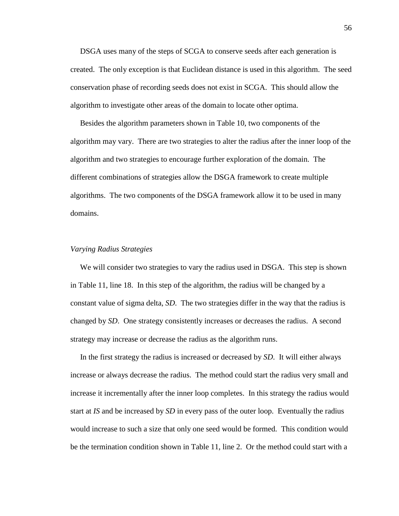DSGA uses many of the steps of SCGA to conserve seeds after each generation is created. The only exception is that Euclidean distance is used in this algorithm. The seed conservation phase of recording seeds does not exist in SCGA. This should allow the algorithm to investigate other areas of the domain to locate other optima.

 Besides the algorithm parameters shown in Table 10, two components of the algorithm may vary. There are two strategies to alter the radius after the inner loop of the algorithm and two strategies to encourage further exploration of the domain. The different combinations of strategies allow the DSGA framework to create multiple algorithms. The two components of the DSGA framework allow it to be used in many domains.

## *Varying Radius Strategies*

 We will consider two strategies to vary the radius used in DSGA. This step is shown in Table 11, line 18. In this step of the algorithm, the radius will be changed by a constant value of sigma delta, *SD*. The two strategies differ in the way that the radius is changed by *SD*. One strategy consistently increases or decreases the radius. A second strategy may increase or decrease the radius as the algorithm runs.

 In the first strategy the radius is increased or decreased by *SD*. It will either always increase or always decrease the radius. The method could start the radius very small and increase it incrementally after the inner loop completes. In this strategy the radius would start at *IS* and be increased by *SD* in every pass of the outer loop. Eventually the radius would increase to such a size that only one seed would be formed. This condition would be the termination condition shown in Table 11, line 2. Or the method could start with a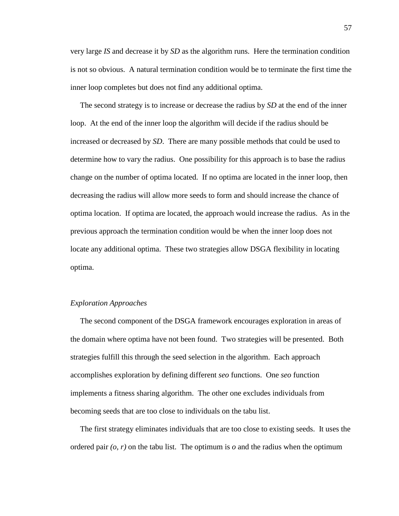very large *IS* and decrease it by *SD* as the algorithm runs. Here the termination condition is not so obvious. A natural termination condition would be to terminate the first time the inner loop completes but does not find any additional optima.

 The second strategy is to increase or decrease the radius by *SD* at the end of the inner loop. At the end of the inner loop the algorithm will decide if the radius should be increased or decreased by *SD*. There are many possible methods that could be used to determine how to vary the radius. One possibility for this approach is to base the radius change on the number of optima located. If no optima are located in the inner loop, then decreasing the radius will allow more seeds to form and should increase the chance of optima location. If optima are located, the approach would increase the radius. As in the previous approach the termination condition would be when the inner loop does not locate any additional optima. These two strategies allow DSGA flexibility in locating optima.

## *Exploration Approaches*

 The second component of the DSGA framework encourages exploration in areas of the domain where optima have not been found. Two strategies will be presented. Both strategies fulfill this through the seed selection in the algorithm. Each approach accomplishes exploration by defining different *seo* functions. One *seo* function implements a fitness sharing algorithm. The other one excludes individuals from becoming seeds that are too close to individuals on the tabu list.

 The first strategy eliminates individuals that are too close to existing seeds. It uses the ordered pair  $(o, r)$  on the tabu list. The optimum is  $o$  and the radius when the optimum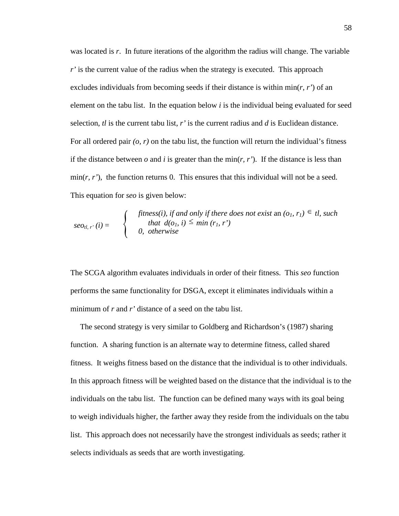was located is r. In future iterations of the algorithm the radius will change. The variable *r'* is the current value of the radius when the strategy is executed. This approach excludes individuals from becoming seeds if their distance is within min(*r, r'*) of an element on the tabu list. In the equation below *i* is the individual being evaluated for seed selection,  $t\ell$  is the current tabu list,  $r'$  is the current radius and  $d$  is Euclidean distance. For all ordered pair *(o, r)* on the tabu list, the function will return the individual's fitness if the distance between  $o$  and  $i$  is greater than the min $(r, r')$ . If the distance is less than  $\min(r, r')$ , the function returns 0. This ensures that this individual will not be a seed. This equation for *seo* is given below:

$$
seo_{tl, r'}(i) = \begin{cases} \text{fitness}(i), & \text{if and only if there does not exist an } (o_1, r_1) \in tl, \text{ such} \\ \text{that } d(o_1, i) \leq \min(r_1, r') \\ 0, & \text{otherwise} \end{cases}
$$

The SCGA algorithm evaluates individuals in order of their fitness. This *seo* function performs the same functionality for DSGA, except it eliminates individuals within a minimum of *r* and *r'* distance of a seed on the tabu list.

 The second strategy is very similar to Goldberg and Richardson's (1987) sharing function. A sharing function is an alternate way to determine fitness, called shared fitness. It weighs fitness based on the distance that the individual is to other individuals. In this approach fitness will be weighted based on the distance that the individual is to the individuals on the tabu list. The function can be defined many ways with its goal being to weigh individuals higher, the farther away they reside from the individuals on the tabu list. This approach does not necessarily have the strongest individuals as seeds; rather it selects individuals as seeds that are worth investigating.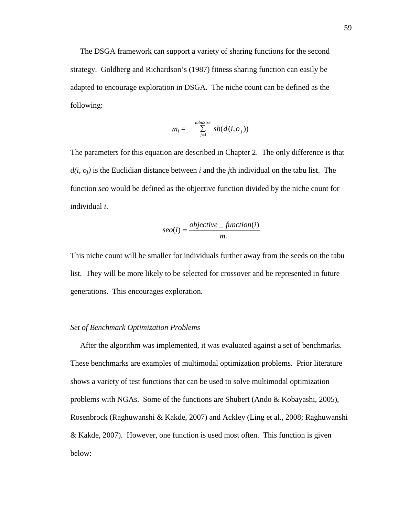The DSGA framework can support a variety of sharing functions for the second strategy. Goldberg and Richardson's (1987) fitness sharing function can easily be adapted to encourage exploration in DSGA. The niche count can be defined as the following:

$$
m_i = \sum_{j=1}^{tabuSize} sh(d(i, o_j))
$$

The parameters for this equation are described in Chapter 2. The only difference is that *d(i, oj)* is the Euclidian distance between *i* and the *j*th individual on the tabu list. The function *seo* would be defined as the objective function divided by the niche count for individual *i*.

$$
seo(i) = \frac{objective\_function(i)}{m_i}
$$

This niche count will be smaller for individuals further away from the seeds on the tabu list. They will be more likely to be selected for crossover and be represented in future generations. This encourages exploration.

## *Set of Benchmark Optimization Problems*

 After the algorithm was implemented, it was evaluated against a set of benchmarks. These benchmarks are examples of multimodal optimization problems. Prior literature shows a variety of test functions that can be used to solve multimodal optimization problems with NGAs. Some of the functions are Shubert (Ando & Kobayashi, 2005), Rosenbrock (Raghuwanshi & Kakde, 2007) and Ackley (Ling et al., 2008; Raghuwanshi & Kakde, 2007). However, one function is used most often. This function is given below: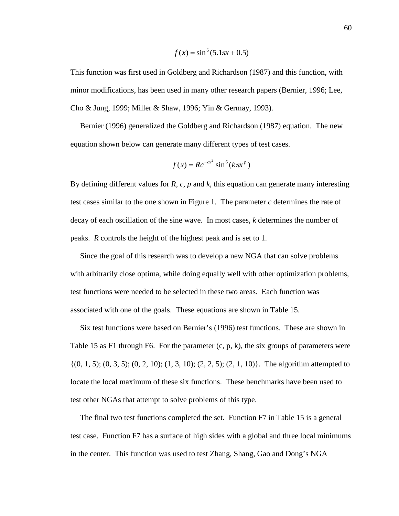$$
f(x) = \sin^6(5.1\pi x + 0.5)
$$

This function was first used in Goldberg and Richardson (1987) and this function, with minor modifications, has been used in many other research papers (Bernier, 1996; Lee, Cho & Jung, 1999; Miller & Shaw, 1996; Yin & Germay, 1993).

 Bernier (1996) generalized the Goldberg and Richardson (1987) equation. The new equation shown below can generate many different types of test cases.

$$
f(x) = R c^{-cx^2} \sin^6(k\pi x^p)
$$

By defining different values for *R*, *c*, *p* and *k*, this equation can generate many interesting test cases similar to the one shown in Figure 1. The parameter *c* determines the rate of decay of each oscillation of the sine wave. In most cases, *k* determines the number of peaks. *R* controls the height of the highest peak and is set to 1.

 Since the goal of this research was to develop a new NGA that can solve problems with arbitrarily close optima, while doing equally well with other optimization problems, test functions were needed to be selected in these two areas. Each function was associated with one of the goals. These equations are shown in Table 15.

 Six test functions were based on Bernier's (1996) test functions. These are shown in Table 15 as F1 through F6. For the parameter  $(c, p, k)$ , the six groups of parameters were  $\{(0, 1, 5); (0, 3, 5); (0, 2, 10); (1, 3, 10); (2, 2, 5); (2, 1, 10)\}.$  The algorithm attempted to locate the local maximum of these six functions. These benchmarks have been used to test other NGAs that attempt to solve problems of this type.

 The final two test functions completed the set. Function F7 in Table 15 is a general test case. Function F7 has a surface of high sides with a global and three local minimums in the center. This function was used to test Zhang, Shang, Gao and Dong's NGA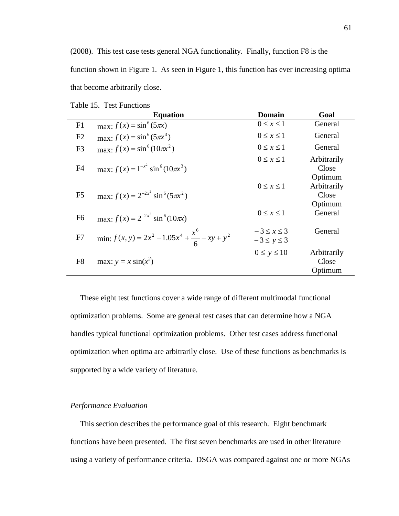(2008). This test case tests general NGA functionality. Finally, function F8 is the function shown in Figure 1. As seen in Figure 1, this function has ever increasing optima that become arbitrarily close.

| Table 15. Test functions |                                                            |                                        |                                 |  |
|--------------------------|------------------------------------------------------------|----------------------------------------|---------------------------------|--|
|                          | <b>Equation</b>                                            | <b>Domain</b>                          | Goal                            |  |
| F1                       | $max: f(x) = sin^6(5\pi x)$                                | $0 \leq x \leq 1$                      | General                         |  |
| F2                       | $max: f(x) = sin^{6}(5\pi x^{3})$                          | $0 \leq x \leq 1$                      | General                         |  |
| F <sub>3</sub>           | max: $f(x) = \sin^6(10\pi x^2)$                            | $0 \leq x \leq 1$                      | General                         |  |
| F <sub>4</sub>           | max: $f(x) = 1^{-x^2} \sin^6(10\pi x^3)$                   | $0 \leq x \leq 1$                      | Arbitrarily<br>Close<br>Optimum |  |
| F <sub>5</sub>           | max: $f(x) = 2^{-2x^2} \sin^6(5\pi x^2)$                   | $0 \leq x \leq 1$                      | Arbitrarily<br>Close<br>Optimum |  |
| F <sub>6</sub>           | max: $f(x) = 2^{-2x^2} \sin^6(10\pi x)$                    | $0 \leq x \leq 1$                      | General                         |  |
| F7                       | min: $f(x, y) = 2x^2 - 1.05x^4 + \frac{x^6}{6} - xy + y^2$ | $-3 \leq x \leq 3$<br>$-3 \le y \le 3$ | General                         |  |
| F <sub>8</sub>           | max: $y = x \sin(x^2)$                                     | $0 \leq y \leq 10$                     | Arbitrarily<br>Close<br>Optimum |  |

Table 15. Test Functions

 These eight test functions cover a wide range of different multimodal functional optimization problems. Some are general test cases that can determine how a NGA handles typical functional optimization problems. Other test cases address functional optimization when optima are arbitrarily close. Use of these functions as benchmarks is supported by a wide variety of literature.

## *Performance Evaluation*

 This section describes the performance goal of this research. Eight benchmark functions have been presented. The first seven benchmarks are used in other literature using a variety of performance criteria. DSGA was compared against one or more NGAs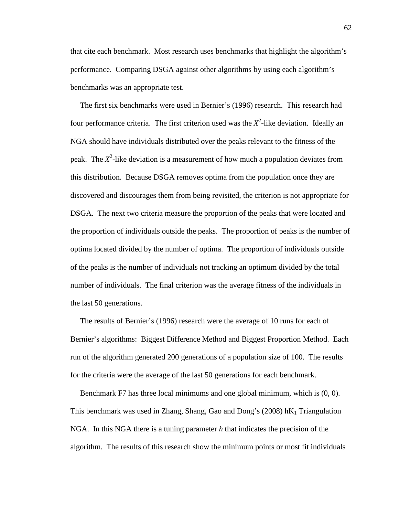that cite each benchmark. Most research uses benchmarks that highlight the algorithm's performance. Comparing DSGA against other algorithms by using each algorithm's benchmarks was an appropriate test.

 The first six benchmarks were used in Bernier's (1996) research. This research had four performance criteria. The first criterion used was the  $X^2$ -like deviation. Ideally an NGA should have individuals distributed over the peaks relevant to the fitness of the peak. The *X*<sup>2</sup>-like deviation is a measurement of how much a population deviates from this distribution. Because DSGA removes optima from the population once they are discovered and discourages them from being revisited, the criterion is not appropriate for DSGA. The next two criteria measure the proportion of the peaks that were located and the proportion of individuals outside the peaks. The proportion of peaks is the number of optima located divided by the number of optima. The proportion of individuals outside of the peaks is the number of individuals not tracking an optimum divided by the total number of individuals. The final criterion was the average fitness of the individuals in the last 50 generations.

 The results of Bernier's (1996) research were the average of 10 runs for each of Bernier's algorithms: Biggest Difference Method and Biggest Proportion Method. Each run of the algorithm generated 200 generations of a population size of 100. The results for the criteria were the average of the last 50 generations for each benchmark.

 Benchmark F7 has three local minimums and one global minimum, which is (0, 0). This benchmark was used in Zhang, Shang, Gao and Dong's (2008)  $\hbar K_1$  Triangulation NGA. In this NGA there is a tuning parameter *h* that indicates the precision of the algorithm. The results of this research show the minimum points or most fit individuals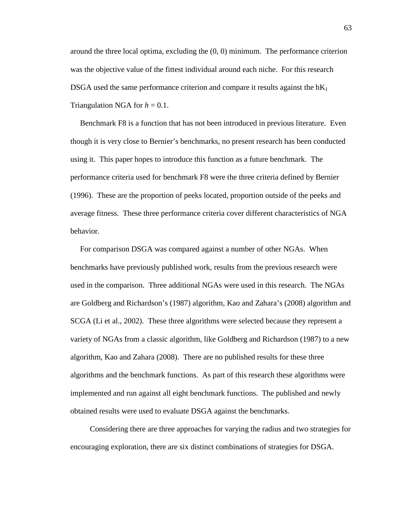around the three local optima, excluding the (0, 0) minimum. The performance criterion was the objective value of the fittest individual around each niche. For this research DSGA used the same performance criterion and compare it results against the  $hK_1$ Triangulation NGA for  $h = 0.1$ .

 Benchmark F8 is a function that has not been introduced in previous literature. Even though it is very close to Bernier's benchmarks, no present research has been conducted using it. This paper hopes to introduce this function as a future benchmark. The performance criteria used for benchmark F8 were the three criteria defined by Bernier (1996). These are the proportion of peeks located, proportion outside of the peeks and average fitness. These three performance criteria cover different characteristics of NGA behavior.

 For comparison DSGA was compared against a number of other NGAs. When benchmarks have previously published work, results from the previous research were used in the comparison. Three additional NGAs were used in this research. The NGAs are Goldberg and Richardson's (1987) algorithm, Kao and Zahara's (2008) algorithm and SCGA (Li et al., 2002). These three algorithms were selected because they represent a variety of NGAs from a classic algorithm, like Goldberg and Richardson (1987) to a new algorithm, Kao and Zahara (2008). There are no published results for these three algorithms and the benchmark functions. As part of this research these algorithms were implemented and run against all eight benchmark functions. The published and newly obtained results were used to evaluate DSGA against the benchmarks.

 Considering there are three approaches for varying the radius and two strategies for encouraging exploration, there are six distinct combinations of strategies for DSGA.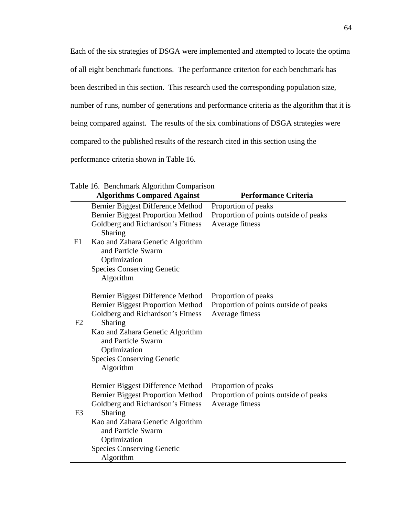Each of the six strategies of DSGA were implemented and attempted to locate the optima

of all eight benchmark functions. The performance criterion for each benchmark has

been described in this section. This research used the corresponding population size,

number of runs, number of generations and performance criteria as the algorithm that it is

being compared against. The results of the six combinations of DSGA strategies were

compared to the published results of the research cited in this section using the

performance criteria shown in Table 16.

|                | Table To. Dencimial R Algorium Comparison                                                                                                                                                                                                                 |                                                                                 |
|----------------|-----------------------------------------------------------------------------------------------------------------------------------------------------------------------------------------------------------------------------------------------------------|---------------------------------------------------------------------------------|
|                | <b>Algorithms Compared Against</b>                                                                                                                                                                                                                        | <b>Performance Criteria</b>                                                     |
| F1             | Bernier Biggest Difference Method<br><b>Bernier Biggest Proportion Method</b><br>Goldberg and Richardson's Fitness<br>Sharing<br>Kao and Zahara Genetic Algorithm<br>and Particle Swarm<br>Optimization<br><b>Species Conserving Genetic</b><br>Algorithm | Proportion of peaks<br>Proportion of points outside of peaks<br>Average fitness |
| F2             | Bernier Biggest Difference Method<br><b>Bernier Biggest Proportion Method</b><br>Goldberg and Richardson's Fitness<br>Sharing<br>Kao and Zahara Genetic Algorithm<br>and Particle Swarm<br>Optimization<br><b>Species Conserving Genetic</b><br>Algorithm | Proportion of peaks<br>Proportion of points outside of peaks<br>Average fitness |
| F <sub>3</sub> | Bernier Biggest Difference Method<br><b>Bernier Biggest Proportion Method</b><br>Goldberg and Richardson's Fitness<br>Sharing<br>Kao and Zahara Genetic Algorithm<br>and Particle Swarm<br>Optimization<br><b>Species Conserving Genetic</b><br>Algorithm | Proportion of peaks<br>Proportion of points outside of peaks<br>Average fitness |

Table 16. Benchmark Algorithm Comparison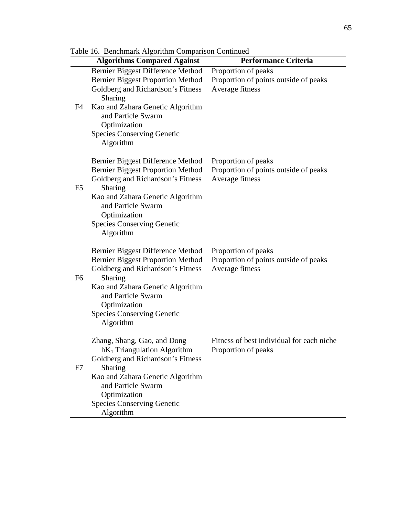|                | radie 10. Denchmark Argoriumi Comparison Communed                            |                                           |
|----------------|------------------------------------------------------------------------------|-------------------------------------------|
|                | <b>Algorithms Compared Against</b>                                           | <b>Performance Criteria</b>               |
|                | Bernier Biggest Difference Method                                            | Proportion of peaks                       |
|                | <b>Bernier Biggest Proportion Method</b>                                     | Proportion of points outside of peaks     |
|                | Goldberg and Richardson's Fitness<br>Sharing                                 | Average fitness                           |
| F4             | Kao and Zahara Genetic Algorithm<br>and Particle Swarm<br>Optimization       |                                           |
|                | <b>Species Conserving Genetic</b><br>Algorithm                               |                                           |
|                | Bernier Biggest Difference Method                                            | Proportion of peaks                       |
|                | <b>Bernier Biggest Proportion Method</b>                                     | Proportion of points outside of peaks     |
|                | Goldberg and Richardson's Fitness                                            | Average fitness                           |
| F <sub>5</sub> | Sharing<br>Kao and Zahara Genetic Algorithm                                  |                                           |
|                | and Particle Swarm                                                           |                                           |
|                | Optimization                                                                 |                                           |
|                | <b>Species Conserving Genetic</b>                                            |                                           |
|                | Algorithm                                                                    |                                           |
|                | Bernier Biggest Difference Method                                            | Proportion of peaks                       |
|                | <b>Bernier Biggest Proportion Method</b>                                     | Proportion of points outside of peaks     |
| F <sub>6</sub> | Goldberg and Richardson's Fitness<br>Sharing                                 | Average fitness                           |
|                | Kao and Zahara Genetic Algorithm                                             |                                           |
|                | and Particle Swarm                                                           |                                           |
|                | Optimization                                                                 |                                           |
|                | <b>Species Conserving Genetic</b><br>Algorithm                               |                                           |
|                |                                                                              |                                           |
|                | Zhang, Shang, Gao, and Dong                                                  | Fitness of best individual for each niche |
|                | hK <sub>1</sub> Triangulation Algorithm<br>Goldberg and Richardson's Fitness | Proportion of peaks                       |
| F7             | Sharing                                                                      |                                           |
|                | Kao and Zahara Genetic Algorithm                                             |                                           |
|                | and Particle Swarm                                                           |                                           |
|                | Optimization<br><b>Species Conserving Genetic</b>                            |                                           |
|                | Algorithm                                                                    |                                           |

Table 16. Benchmark Algorithm Comparison Continued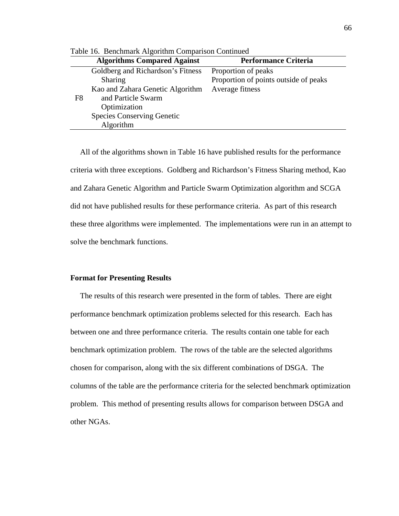|    | Table To. Denemian Trigoriumi Companion Communed |                                       |  |  |
|----|--------------------------------------------------|---------------------------------------|--|--|
|    | <b>Algorithms Compared Against</b>               | <b>Performance Criteria</b>           |  |  |
|    | Goldberg and Richardson's Fitness                | Proportion of peaks                   |  |  |
|    | Sharing                                          | Proportion of points outside of peaks |  |  |
|    | Kao and Zahara Genetic Algorithm                 | Average fitness                       |  |  |
| F8 | and Particle Swarm                               |                                       |  |  |
|    | Optimization                                     |                                       |  |  |
|    | <b>Species Conserving Genetic</b>                |                                       |  |  |
|    | Algorithm                                        |                                       |  |  |

Table 16. Benchmark Algorithm Comparison Continued

 All of the algorithms shown in Table 16 have published results for the performance criteria with three exceptions. Goldberg and Richardson's Fitness Sharing method, Kao and Zahara Genetic Algorithm and Particle Swarm Optimization algorithm and SCGA did not have published results for these performance criteria. As part of this research these three algorithms were implemented. The implementations were run in an attempt to solve the benchmark functions.

#### **Format for Presenting Results**

 The results of this research were presented in the form of tables. There are eight performance benchmark optimization problems selected for this research. Each has between one and three performance criteria. The results contain one table for each benchmark optimization problem. The rows of the table are the selected algorithms chosen for comparison, along with the six different combinations of DSGA. The columns of the table are the performance criteria for the selected benchmark optimization problem. This method of presenting results allows for comparison between DSGA and other NGAs.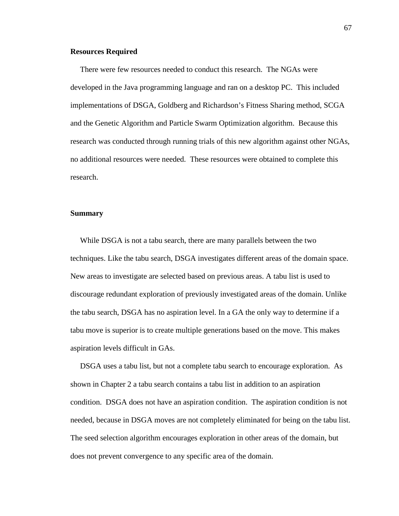## **Resources Required**

 There were few resources needed to conduct this research. The NGAs were developed in the Java programming language and ran on a desktop PC. This included implementations of DSGA, Goldberg and Richardson's Fitness Sharing method, SCGA and the Genetic Algorithm and Particle Swarm Optimization algorithm. Because this research was conducted through running trials of this new algorithm against other NGAs, no additional resources were needed. These resources were obtained to complete this research.

## **Summary**

 While DSGA is not a tabu search, there are many parallels between the two techniques. Like the tabu search, DSGA investigates different areas of the domain space. New areas to investigate are selected based on previous areas. A tabu list is used to discourage redundant exploration of previously investigated areas of the domain. Unlike the tabu search, DSGA has no aspiration level. In a GA the only way to determine if a tabu move is superior is to create multiple generations based on the move. This makes aspiration levels difficult in GAs.

 DSGA uses a tabu list, but not a complete tabu search to encourage exploration. As shown in Chapter 2 a tabu search contains a tabu list in addition to an aspiration condition. DSGA does not have an aspiration condition. The aspiration condition is not needed, because in DSGA moves are not completely eliminated for being on the tabu list. The seed selection algorithm encourages exploration in other areas of the domain, but does not prevent convergence to any specific area of the domain.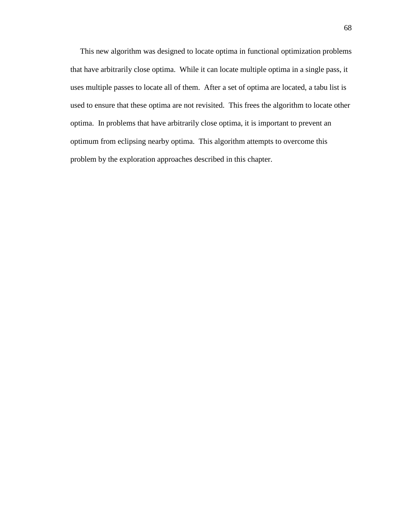This new algorithm was designed to locate optima in functional optimization problems that have arbitrarily close optima. While it can locate multiple optima in a single pass, it uses multiple passes to locate all of them. After a set of optima are located, a tabu list is used to ensure that these optima are not revisited. This frees the algorithm to locate other optima. In problems that have arbitrarily close optima, it is important to prevent an optimum from eclipsing nearby optima. This algorithm attempts to overcome this problem by the exploration approaches described in this chapter.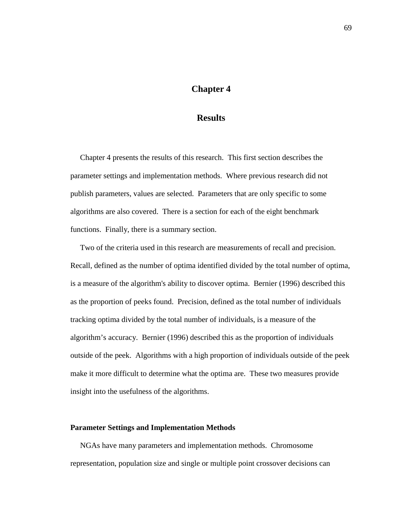# **Chapter 4**

# **Results**

 Chapter 4 presents the results of this research. This first section describes the parameter settings and implementation methods. Where previous research did not publish parameters, values are selected. Parameters that are only specific to some algorithms are also covered. There is a section for each of the eight benchmark functions. Finally, there is a summary section.

 Two of the criteria used in this research are measurements of recall and precision. Recall, defined as the number of optima identified divided by the total number of optima, is a measure of the algorithm's ability to discover optima. Bernier (1996) described this as the proportion of peeks found. Precision, defined as the total number of individuals tracking optima divided by the total number of individuals, is a measure of the algorithm's accuracy. Bernier (1996) described this as the proportion of individuals outside of the peek. Algorithms with a high proportion of individuals outside of the peek make it more difficult to determine what the optima are. These two measures provide insight into the usefulness of the algorithms.

# **Parameter Settings and Implementation Methods**

 NGAs have many parameters and implementation methods. Chromosome representation, population size and single or multiple point crossover decisions can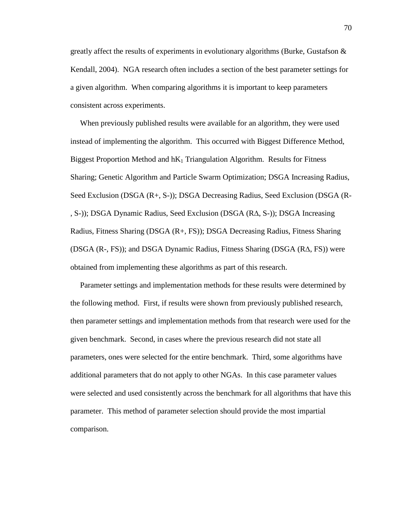greatly affect the results of experiments in evolutionary algorithms (Burke, Gustafson  $\&$ Kendall, 2004). NGA research often includes a section of the best parameter settings for a given algorithm. When comparing algorithms it is important to keep parameters consistent across experiments.

 When previously published results were available for an algorithm, they were used instead of implementing the algorithm. This occurred with Biggest Difference Method, Biggest Proportion Method and  $hK_1$  Triangulation Algorithm. Results for Fitness Sharing; Genetic Algorithm and Particle Swarm Optimization; DSGA Increasing Radius, Seed Exclusion (DSGA (R+, S-)); DSGA Decreasing Radius, Seed Exclusion (DSGA (R- , S-)); DSGA Dynamic Radius, Seed Exclusion (DSGA (R∆, S-)); DSGA Increasing Radius, Fitness Sharing (DSGA (R+, FS)); DSGA Decreasing Radius, Fitness Sharing (DSGA (R-, FS)); and DSGA Dynamic Radius, Fitness Sharing (DSGA (R∆, FS)) were obtained from implementing these algorithms as part of this research.

 Parameter settings and implementation methods for these results were determined by the following method. First, if results were shown from previously published research, then parameter settings and implementation methods from that research were used for the given benchmark. Second, in cases where the previous research did not state all parameters, ones were selected for the entire benchmark. Third, some algorithms have additional parameters that do not apply to other NGAs. In this case parameter values were selected and used consistently across the benchmark for all algorithms that have this parameter. This method of parameter selection should provide the most impartial comparison.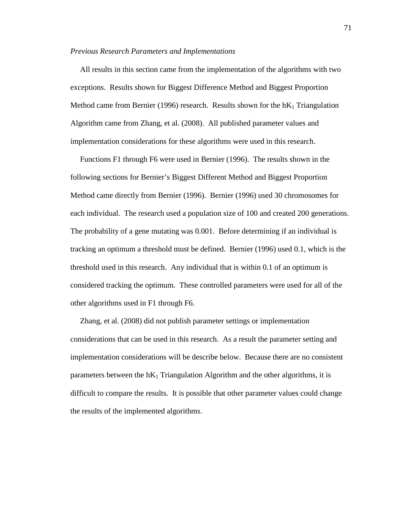#### *Previous Research Parameters and Implementations*

 All results in this section came from the implementation of the algorithms with two exceptions. Results shown for Biggest Difference Method and Biggest Proportion Method came from Bernier (1996) research. Results shown for the  $\mathbf{h}K_1$  Triangulation Algorithm came from Zhang, et al. (2008). All published parameter values and implementation considerations for these algorithms were used in this research.

 Functions F1 through F6 were used in Bernier (1996). The results shown in the following sections for Bernier's Biggest Different Method and Biggest Proportion Method came directly from Bernier (1996). Bernier (1996) used 30 chromosomes for each individual. The research used a population size of 100 and created 200 generations. The probability of a gene mutating was 0.001. Before determining if an individual is tracking an optimum a threshold must be defined. Bernier (1996) used 0.1, which is the threshold used in this research. Any individual that is within 0.1 of an optimum is considered tracking the optimum. These controlled parameters were used for all of the other algorithms used in F1 through F6.

 Zhang, et al. (2008) did not publish parameter settings or implementation considerations that can be used in this research. As a result the parameter setting and implementation considerations will be describe below. Because there are no consistent parameters between the  $hK_1$  Triangulation Algorithm and the other algorithms, it is difficult to compare the results. It is possible that other parameter values could change the results of the implemented algorithms.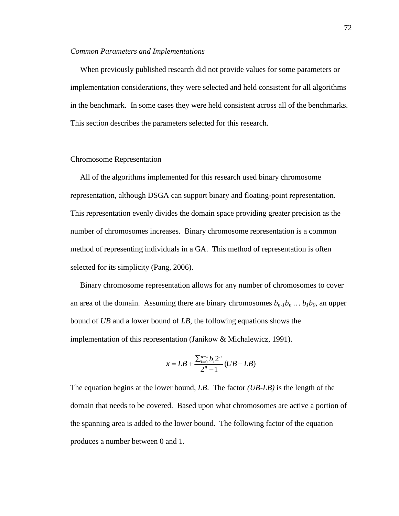#### *Common Parameters and Implementations*

 When previously published research did not provide values for some parameters or implementation considerations, they were selected and held consistent for all algorithms in the benchmark. In some cases they were held consistent across all of the benchmarks. This section describes the parameters selected for this research.

## Chromosome Representation

 All of the algorithms implemented for this research used binary chromosome representation, although DSGA can support binary and floating-point representation. This representation evenly divides the domain space providing greater precision as the number of chromosomes increases. Binary chromosome representation is a common method of representing individuals in a GA. This method of representation is often selected for its simplicity (Pang, 2006).

 Binary chromosome representation allows for any number of chromosomes to cover an area of the domain. Assuming there are binary chromosomes  $b_{n-1}b_n \dots b_1b_0$ , an upper bound of *UB* and a lower bound of *LB*, the following equations shows the implementation of this representation (Janikow & Michalewicz, 1991).

$$
x = LB + \frac{\sum_{i=0}^{n-1} b_i 2^n}{2^n - 1} (UB - LB)
$$

The equation begins at the lower bound, *LB*. The factor *(UB-LB)* is the length of the domain that needs to be covered. Based upon what chromosomes are active a portion of the spanning area is added to the lower bound. The following factor of the equation produces a number between 0 and 1.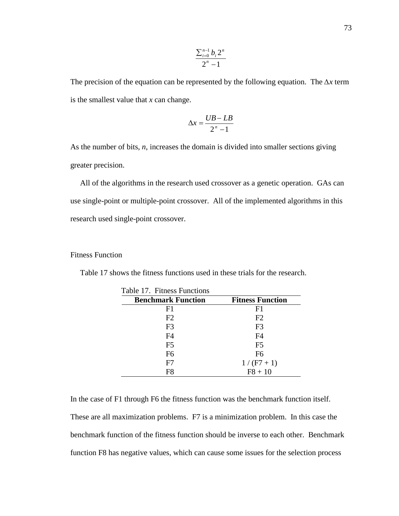$$
\frac{\sum_{i=0}^{n-1} b_i 2^n}{2^n - 1}
$$

The precision of the equation can be represented by the following equation. The ∆*x* term is the smallest value that *x* can change.

$$
\Delta x = \frac{UB - LB}{2^n - 1}
$$

As the number of bits, *n*, increases the domain is divided into smaller sections giving greater precision.

 All of the algorithms in the research used crossover as a genetic operation. GAs can use single-point or multiple-point crossover. All of the implemented algorithms in this research used single-point crossover.

# Fitness Function

| Table 17. Fitness Functions |                         |
|-----------------------------|-------------------------|
| <b>Benchmark Function</b>   | <b>Fitness Function</b> |
| F1                          | F1                      |
| F2                          | F <sub>2</sub>          |
| F <sub>3</sub>              | F <sub>3</sub>          |
| F <sub>4</sub>              | F <sub>4</sub>          |
| F <sub>5</sub>              | F <sub>5</sub>          |
| F <sub>6</sub>              | F <sub>6</sub>          |
| F7                          | $1/(F7+1)$              |
| F <sub>8</sub>              | $F8 + 10$               |

Table 17 shows the fitness functions used in these trials for the research.

In the case of F1 through F6 the fitness function was the benchmark function itself. These are all maximization problems. F7 is a minimization problem. In this case the benchmark function of the fitness function should be inverse to each other. Benchmark function F8 has negative values, which can cause some issues for the selection process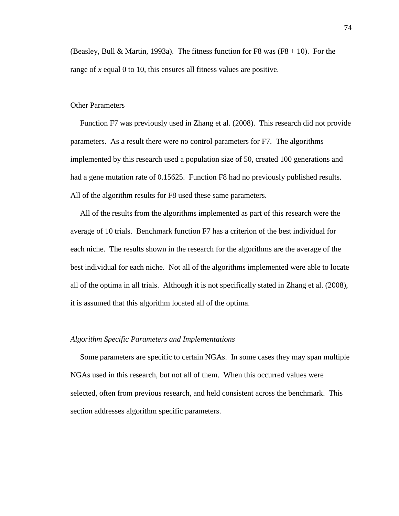(Beasley, Bull & Martin, 1993a). The fitness function for F8 was  $(F8 + 10)$ . For the range of *x* equal 0 to 10, this ensures all fitness values are positive.

## Other Parameters

 Function F7 was previously used in Zhang et al. (2008). This research did not provide parameters. As a result there were no control parameters for F7. The algorithms implemented by this research used a population size of 50, created 100 generations and had a gene mutation rate of 0.15625. Function F8 had no previously published results. All of the algorithm results for F8 used these same parameters.

 All of the results from the algorithms implemented as part of this research were the average of 10 trials. Benchmark function F7 has a criterion of the best individual for each niche. The results shown in the research for the algorithms are the average of the best individual for each niche. Not all of the algorithms implemented were able to locate all of the optima in all trials. Although it is not specifically stated in Zhang et al. (2008), it is assumed that this algorithm located all of the optima.

## *Algorithm Specific Parameters and Implementations*

 Some parameters are specific to certain NGAs. In some cases they may span multiple NGAs used in this research, but not all of them. When this occurred values were selected, often from previous research, and held consistent across the benchmark. This section addresses algorithm specific parameters.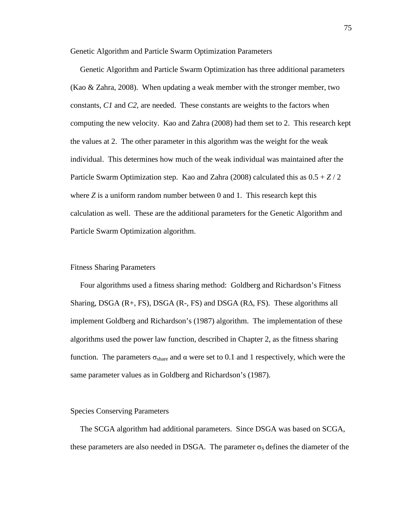Genetic Algorithm and Particle Swarm Optimization Parameters

 Genetic Algorithm and Particle Swarm Optimization has three additional parameters (Kao & Zahra, 2008). When updating a weak member with the stronger member, two constants, *C1* and *C2*, are needed. These constants are weights to the factors when computing the new velocity. Kao and Zahra (2008) had them set to 2. This research kept the values at 2. The other parameter in this algorithm was the weight for the weak individual. This determines how much of the weak individual was maintained after the Particle Swarm Optimization step. Kao and Zahra (2008) calculated this as 0.5 + *Z* / 2 where *Z* is a uniform random number between 0 and 1. This research kept this calculation as well. These are the additional parameters for the Genetic Algorithm and Particle Swarm Optimization algorithm.

## Fitness Sharing Parameters

 Four algorithms used a fitness sharing method: Goldberg and Richardson's Fitness Sharing, DSGA  $(R+, FS)$ , DSGA  $(R-, FS)$  and DSGA  $(R\Delta, FS)$ . These algorithms all implement Goldberg and Richardson's (1987) algorithm. The implementation of these algorithms used the power law function, described in Chapter 2, as the fitness sharing function. The parameters  $\sigma_{\text{share}}$  and  $\alpha$  were set to 0.1 and 1 respectively, which were the same parameter values as in Goldberg and Richardson's (1987).

## Species Conserving Parameters

 The SCGA algorithm had additional parameters. Since DSGA was based on SCGA, these parameters are also needed in DSGA. The parameter  $\sigma_S$  defines the diameter of the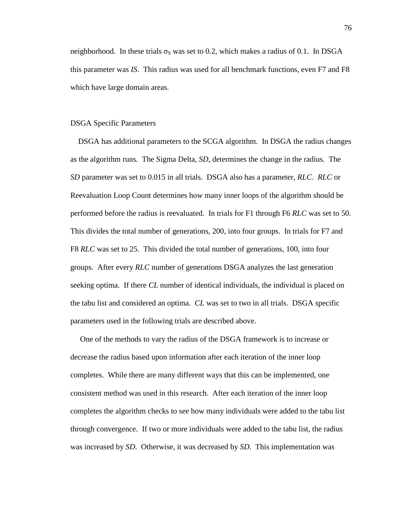neighborhood. In these trials  $\sigma_s$  was set to 0.2, which makes a radius of 0.1. In DSGA this parameter was *IS*. This radius was used for all benchmark functions, even F7 and F8 which have large domain areas.

## DSGA Specific Parameters

 DSGA has additional parameters to the SCGA algorithm. In DSGA the radius changes as the algorithm runs. The Sigma Delta, *SD*, determines the change in the radius. The *SD* parameter was set to 0.015 in all trials. DSGA also has a parameter, *RLC*. *RLC* or Reevaluation Loop Count determines how many inner loops of the algorithm should be performed before the radius is reevaluated. In trials for F1 through F6 *RLC* was set to 50. This divides the total number of generations, 200, into four groups. In trials for F7 and F8 *RLC* was set to 25. This divided the total number of generations, 100, into four groups. After every *RLC* number of generations DSGA analyzes the last generation seeking optima. If there *CL* number of identical individuals, the individual is placed on the tabu list and considered an optima. *CL* was set to two in all trials. DSGA specific parameters used in the following trials are described above.

 One of the methods to vary the radius of the DSGA framework is to increase or decrease the radius based upon information after each iteration of the inner loop completes. While there are many different ways that this can be implemented, one consistent method was used in this research. After each iteration of the inner loop completes the algorithm checks to see how many individuals were added to the tabu list through convergence. If two or more individuals were added to the tabu list, the radius was increased by *SD*. Otherwise, it was decreased by *SD*. This implementation was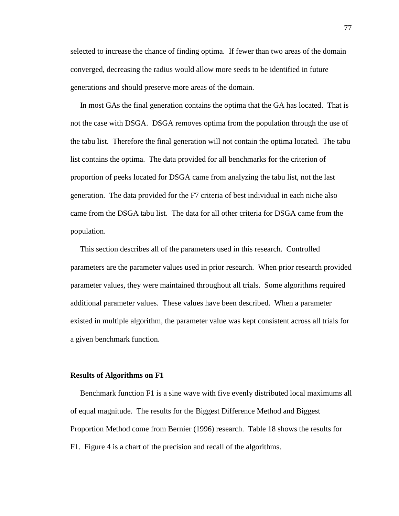selected to increase the chance of finding optima. If fewer than two areas of the domain converged, decreasing the radius would allow more seeds to be identified in future generations and should preserve more areas of the domain.

 In most GAs the final generation contains the optima that the GA has located. That is not the case with DSGA. DSGA removes optima from the population through the use of the tabu list. Therefore the final generation will not contain the optima located. The tabu list contains the optima. The data provided for all benchmarks for the criterion of proportion of peeks located for DSGA came from analyzing the tabu list, not the last generation. The data provided for the F7 criteria of best individual in each niche also came from the DSGA tabu list. The data for all other criteria for DSGA came from the population.

 This section describes all of the parameters used in this research. Controlled parameters are the parameter values used in prior research. When prior research provided parameter values, they were maintained throughout all trials. Some algorithms required additional parameter values. These values have been described. When a parameter existed in multiple algorithm, the parameter value was kept consistent across all trials for a given benchmark function.

#### **Results of Algorithms on F1**

 Benchmark function F1 is a sine wave with five evenly distributed local maximums all of equal magnitude. The results for the Biggest Difference Method and Biggest Proportion Method come from Bernier (1996) research. Table 18 shows the results for F1. Figure 4 is a chart of the precision and recall of the algorithms.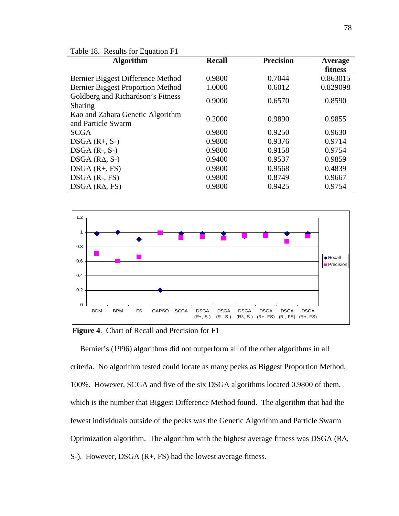| Table 18. Results for Equation F1                      |               |                  |          |  |
|--------------------------------------------------------|---------------|------------------|----------|--|
| <b>Algorithm</b>                                       | <b>Recall</b> | <b>Precision</b> | Average  |  |
|                                                        |               |                  | fitness  |  |
| Bernier Biggest Difference Method                      | 0.9800        | 0.7044           | 0.863015 |  |
| <b>Bernier Biggest Proportion Method</b>               | 1.0000        | 0.6012           | 0.829098 |  |
| Goldberg and Richardson's Fitness<br>Sharing           | 0.9000        | 0.6570           | 0.8590   |  |
| Kao and Zahara Genetic Algorithm<br>and Particle Swarm | 0.2000        | 0.9890           | 0.9855   |  |
| <b>SCGA</b>                                            | 0.9800        | 0.9250           | 0.9630   |  |
| $DSGA(R+, S-)$                                         | 0.9800        | 0.9376           | 0.9714   |  |
| $DSGA$ (R-, S-)                                        | 0.9800        | 0.9158           | 0.9754   |  |
| $DSGA$ ( $RA$ , $S$ -)                                 | 0.9400        | 0.9537           | 0.9859   |  |
| $DSGA(R+, FS)$                                         | 0.9800        | 0.9568           | 0.4839   |  |
| $DSGA$ $(R-, FS)$                                      | 0.9800        | 0.8749           | 0.9667   |  |
| $DSGA$ ( $RA$ , $FS$ )                                 | 0.9800        | 0.9425           | 0.9754   |  |



 **Figure 4**. Chart of Recall and Precision for F1

 Bernier's (1996) algorithms did not outperform all of the other algorithms in all criteria. No algorithm tested could locate as many peeks as Biggest Proportion Method, 100%. However, SCGA and five of the six DSGA algorithms located 0.9800 of them, which is the number that Biggest Difference Method found. The algorithm that had the fewest individuals outside of the peeks was the Genetic Algorithm and Particle Swarm Optimization algorithm. The algorithm with the highest average fitness was DSGA (R∆, S-). However, DSGA (R+, FS) had the lowest average fitness.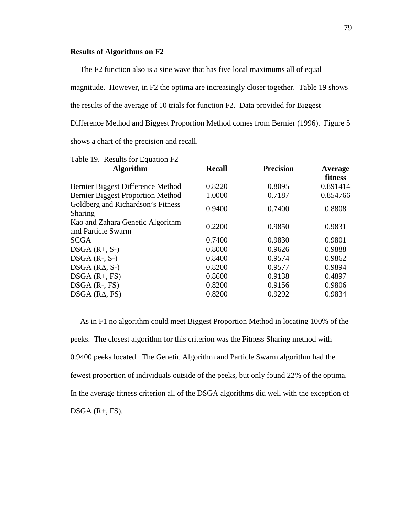# **Results of Algorithms on F2**

 The F2 function also is a sine wave that has five local maximums all of equal magnitude. However, in F2 the optima are increasingly closer together. Table 19 shows the results of the average of 10 trials for function F2. Data provided for Biggest Difference Method and Biggest Proportion Method comes from Bernier (1996). Figure 5 shows a chart of the precision and recall.

| <b>Algorithm</b>                                       | <b>Recall</b> | <b>Precision</b> | Average  |
|--------------------------------------------------------|---------------|------------------|----------|
|                                                        |               |                  | fitness  |
| Bernier Biggest Difference Method                      | 0.8220        | 0.8095           | 0.891414 |
| <b>Bernier Biggest Proportion Method</b>               | 1.0000        | 0.7187           | 0.854766 |
| Goldberg and Richardson's Fitness<br>Sharing           | 0.9400        | 0.7400           | 0.8808   |
| Kao and Zahara Genetic Algorithm<br>and Particle Swarm | 0.2200        | 0.9850           | 0.9831   |
| <b>SCGA</b>                                            | 0.7400        | 0.9830           | 0.9801   |
| $DSGA(R+, S-)$                                         | 0.8000        | 0.9626           | 0.9888   |
| $DSGA$ (R-, S-)                                        | 0.8400        | 0.9574           | 0.9862   |
| $DSGA$ ( $RA$ , $S$ -)                                 | 0.8200        | 0.9577           | 0.9894   |
| $DSGA(R+, FS)$                                         | 0.8600        | 0.9138           | 0.4897   |
| $DSGA$ (R-, FS)                                        | 0.8200        | 0.9156           | 0.9806   |
| $DSGA$ ( $RA$ , $FS$ )                                 | 0.8200        | 0.9292           | 0.9834   |

Table 19. Results for Equation F2

 As in F1 no algorithm could meet Biggest Proportion Method in locating 100% of the peeks. The closest algorithm for this criterion was the Fitness Sharing method with 0.9400 peeks located. The Genetic Algorithm and Particle Swarm algorithm had the fewest proportion of individuals outside of the peeks, but only found 22% of the optima. In the average fitness criterion all of the DSGA algorithms did well with the exception of  $DSGA$  (R+, FS).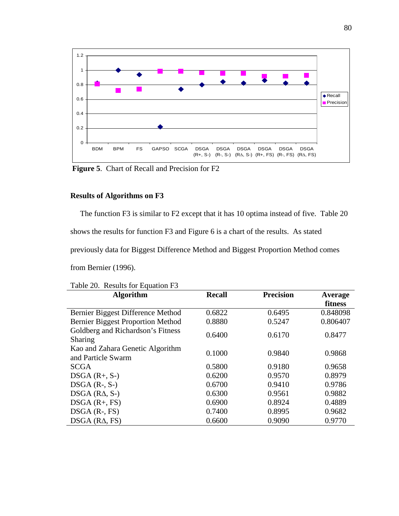

 **Figure 5**. Chart of Recall and Precision for F2

# **Results of Algorithms on F3**

The function F3 is similar to F2 except that it has 10 optima instead of five. Table 20

shows the results for function F3 and Figure 6 is a chart of the results. As stated

previously data for Biggest Difference Method and Biggest Proportion Method comes

from Bernier (1996).

| Table 20. Results for Equation F3                      |               |                  |          |
|--------------------------------------------------------|---------------|------------------|----------|
| <b>Algorithm</b>                                       | <b>Recall</b> | <b>Precision</b> | Average  |
|                                                        |               |                  | fitness  |
| Bernier Biggest Difference Method                      | 0.6822        | 0.6495           | 0.848098 |
| Bernier Biggest Proportion Method                      | 0.8880        | 0.5247           | 0.806407 |
| Goldberg and Richardson's Fitness<br>Sharing           | 0.6400        | 0.6170           | 0.8477   |
| Kao and Zahara Genetic Algorithm<br>and Particle Swarm | 0.1000        | 0.9840           | 0.9868   |
| <b>SCGA</b>                                            | 0.5800        | 0.9180           | 0.9658   |
| $DSGA(R+, S-)$                                         | 0.6200        | 0.9570           | 0.8979   |
| $DSGA$ (R-, S-)                                        | 0.6700        | 0.9410           | 0.9786   |
| $DSGA$ ( $RA$ , $S$ -)                                 | 0.6300        | 0.9561           | 0.9882   |
| $DSGA(R+, FS)$                                         | 0.6900        | 0.8924           | 0.4889   |
| $DSGA$ (R-, FS)                                        | 0.7400        | 0.8995           | 0.9682   |
| $DSGA$ ( $RA$ , $FS$ )                                 | 0.6600        | 0.9090           | 0.9770   |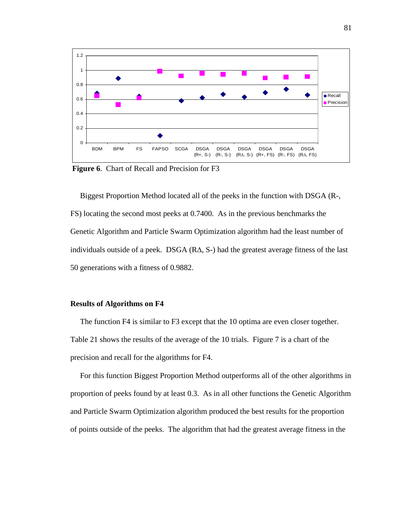

 **Figure 6**. Chart of Recall and Precision for F3

 Biggest Proportion Method located all of the peeks in the function with DSGA (R-, FS) locating the second most peeks at 0.7400. As in the previous benchmarks the Genetic Algorithm and Particle Swarm Optimization algorithm had the least number of individuals outside of a peek. DSGA  $(R\Delta, S<sub>z</sub>)$  had the greatest average fitness of the last 50 generations with a fitness of 0.9882.

## **Results of Algorithms on F4**

 The function F4 is similar to F3 except that the 10 optima are even closer together. Table 21 shows the results of the average of the 10 trials. Figure 7 is a chart of the precision and recall for the algorithms for F4.

 For this function Biggest Proportion Method outperforms all of the other algorithms in proportion of peeks found by at least 0.3. As in all other functions the Genetic Algorithm and Particle Swarm Optimization algorithm produced the best results for the proportion of points outside of the peeks. The algorithm that had the greatest average fitness in the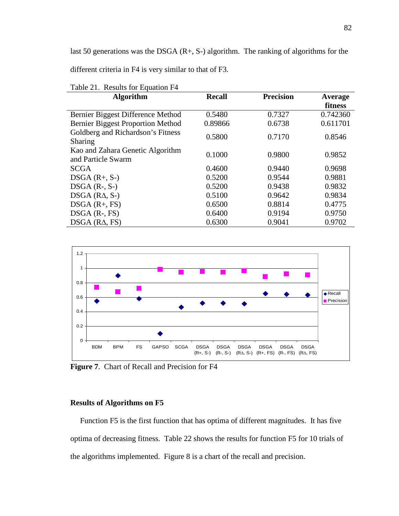last 50 generations was the DSGA  $(R+$ , S- $)$  algorithm. The ranking of algorithms for the

different criteria in F4 is very similar to that of F3.

| <b>Algorithm</b>                                       | <b>Recall</b> | <b>Precision</b> | Average  |
|--------------------------------------------------------|---------------|------------------|----------|
|                                                        |               |                  | fitness  |
| Bernier Biggest Difference Method                      | 0.5480        | 0.7327           | 0.742360 |
| <b>Bernier Biggest Proportion Method</b>               | 0.89866       | 0.6738           | 0.611701 |
| Goldberg and Richardson's Fitness<br>Sharing           | 0.5800        | 0.7170           | 0.8546   |
| Kao and Zahara Genetic Algorithm<br>and Particle Swarm | 0.1000        | 0.9800           | 0.9852   |
| <b>SCGA</b>                                            | 0.4600        | 0.9440           | 0.9698   |
| $DSGA(R+, S-)$                                         | 0.5200        | 0.9544           | 0.9881   |
| $DSGA$ (R-, S-)                                        | 0.5200        | 0.9438           | 0.9832   |
| $DSGA$ ( $RA$ , $S$ -)                                 | 0.5100        | 0.9642           | 0.9834   |
| $DSGA(R+, FS)$                                         | 0.6500        | 0.8814           | 0.4775   |
| $DSGA$ (R-, FS)                                        | 0.6400        | 0.9194           | 0.9750   |
| $DSGA$ ( $RA$ , $FS$ )                                 | 0.6300        | 0.9041           | 0.9702   |

Table 21. Results for Equation F4



**Figure 7**. Chart of Recall and Precision for F4

# **Results of Algorithms on F5**

 Function F5 is the first function that has optima of different magnitudes. It has five optima of decreasing fitness. Table 22 shows the results for function F5 for 10 trials of the algorithms implemented. Figure 8 is a chart of the recall and precision.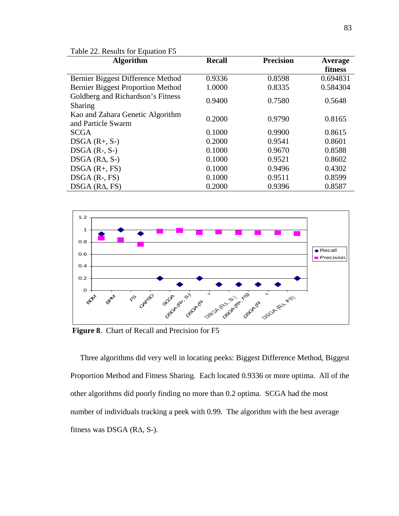| Table 22. Results for Equation F5                      |               |                  |          |  |
|--------------------------------------------------------|---------------|------------------|----------|--|
| <b>Algorithm</b>                                       | <b>Recall</b> | <b>Precision</b> | Average  |  |
|                                                        |               |                  | fitness  |  |
| Bernier Biggest Difference Method                      | 0.9336        | 0.8598           | 0.694831 |  |
| <b>Bernier Biggest Proportion Method</b>               | 1.0000        | 0.8335           | 0.584304 |  |
| Goldberg and Richardson's Fitness                      | 0.9400        | 0.7580           | 0.5648   |  |
| Sharing                                                |               |                  |          |  |
| Kao and Zahara Genetic Algorithm<br>and Particle Swarm | 0.2000        | 0.9790           | 0.8165   |  |
| <b>SCGA</b>                                            | 0.1000        | 0.9900           | 0.8615   |  |
| $DSGA(R+, S-)$                                         | 0.2000        | 0.9541           | 0.8601   |  |
| $DSGA$ (R-, S-)                                        | 0.1000        | 0.9670           | 0.8588   |  |
| $DSGA$ ( $RA$ , $S-$ )                                 | 0.1000        | 0.9521           | 0.8602   |  |
| $DSGA$ $(R+, FS)$                                      | 0.1000        | 0.9496           | 0.4302   |  |
| $DSGA$ (R-, FS)                                        | 0.1000        | 0.9511           | 0.8599   |  |
| $DSGA$ ( $RA$ , $FS$ )                                 | 0.2000        | 0.9396           | 0.8587   |  |



 **Figure 8**. Chart of Recall and Precision for F5

 Three algorithms did very well in locating peeks: Biggest Difference Method, Biggest Proportion Method and Fitness Sharing. Each located 0.9336 or more optima. All of the other algorithms did poorly finding no more than 0.2 optima. SCGA had the most number of individuals tracking a peek with 0.99. The algorithm with the best average fitness was DSGA (R∆, S-).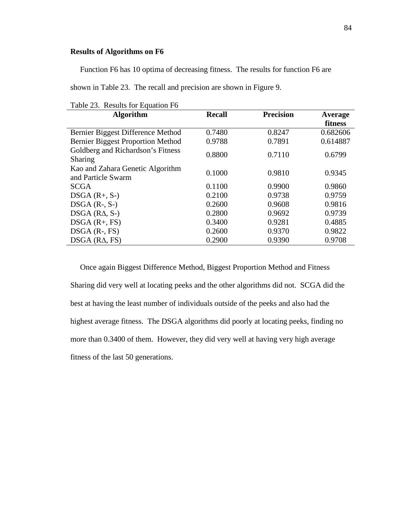# **Results of Algorithms on F6**

Function F6 has 10 optima of decreasing fitness. The results for function F6 are

shown in Table 23. The recall and precision are shown in Figure 9.

| Table 23. Results for Equation F6                      |               |                  |          |
|--------------------------------------------------------|---------------|------------------|----------|
| <b>Algorithm</b>                                       | <b>Recall</b> | <b>Precision</b> | Average  |
|                                                        |               |                  | fitness  |
| Bernier Biggest Difference Method                      | 0.7480        | 0.8247           | 0.682606 |
| <b>Bernier Biggest Proportion Method</b>               | 0.9788        | 0.7891           | 0.614887 |
| Goldberg and Richardson's Fitness<br>Sharing           | 0.8800        | 0.7110           | 0.6799   |
| Kao and Zahara Genetic Algorithm<br>and Particle Swarm | 0.1000        | 0.9810           | 0.9345   |
| <b>SCGA</b>                                            | 0.1100        | 0.9900           | 0.9860   |
| $DSGA(R+, S-)$                                         | 0.2100        | 0.9738           | 0.9759   |
| $DSGA$ (R-, S-)                                        | 0.2600        | 0.9608           | 0.9816   |
| $DSGA$ ( $RA$ , $S$ -)                                 | 0.2800        | 0.9692           | 0.9739   |
| $DSGA(R+, FS)$                                         | 0.3400        | 0.9281           | 0.4885   |
| $DSGA$ $(R-, FS)$                                      | 0.2600        | 0.9370           | 0.9822   |
| $DSGA$ ( $RA$ , $FS$ )                                 | 0.2900        | 0.9390           | 0.9708   |

 Once again Biggest Difference Method, Biggest Proportion Method and Fitness Sharing did very well at locating peeks and the other algorithms did not. SCGA did the best at having the least number of individuals outside of the peeks and also had the highest average fitness. The DSGA algorithms did poorly at locating peeks, finding no more than 0.3400 of them. However, they did very well at having very high average fitness of the last 50 generations.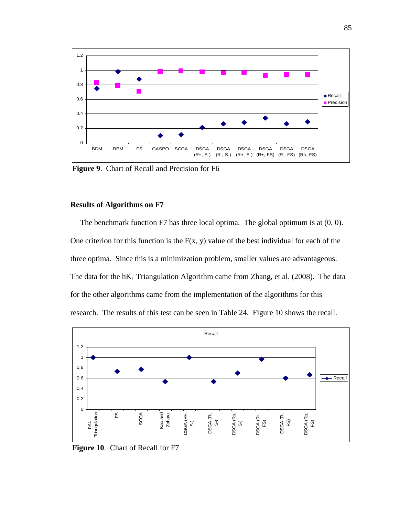

 **Figure 9**. Chart of Recall and Precision for F6

# **Results of Algorithms on F7**

 The benchmark function F7 has three local optima. The global optimum is at (0, 0). One criterion for this function is the  $F(x, y)$  value of the best individual for each of the three optima. Since this is a minimization problem, smaller values are advantageous. The data for the  $hK_1$  Triangulation Algorithm came from Zhang, et al. (2008). The data for the other algorithms came from the implementation of the algorithms for this research. The results of this test can be seen in Table 24. Figure 10 shows the recall.



 **Figure 10**. Chart of Recall for F7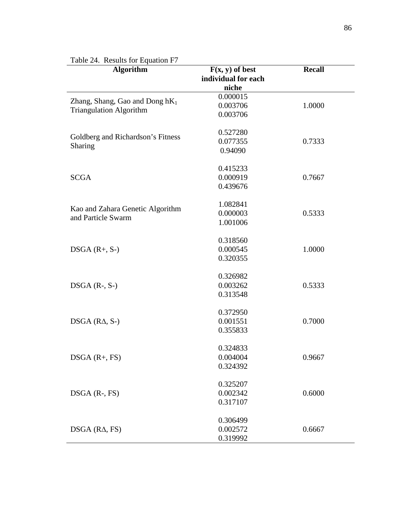| <b>Algorithm</b>                  | $F(x, y)$ of best<br>individual for each<br>niche | <b>Recall</b> |
|-----------------------------------|---------------------------------------------------|---------------|
|                                   | 0.000015                                          |               |
| Zhang, Shang, Gao and Dong $hK_1$ | 0.003706                                          | 1.0000        |
| <b>Triangulation Algorithm</b>    | 0.003706                                          |               |
|                                   | 0.527280                                          |               |
| Goldberg and Richardson's Fitness | 0.077355                                          | 0.7333        |
| Sharing                           | 0.94090                                           |               |
|                                   | 0.415233                                          |               |
| <b>SCGA</b>                       | 0.000919                                          | 0.7667        |
|                                   | 0.439676                                          |               |
|                                   | 1.082841                                          |               |
| Kao and Zahara Genetic Algorithm  | 0.000003                                          | 0.5333        |
| and Particle Swarm                | 1.001006                                          |               |
|                                   | 0.318560                                          |               |
| $DSGA(R+, S-)$                    | 0.000545                                          | 1.0000        |
|                                   | 0.320355                                          |               |
|                                   | 0.326982                                          |               |
| $DSGA$ (R-, S-)                   | 0.003262                                          | 0.5333        |
|                                   | 0.313548                                          |               |
|                                   | 0.372950                                          |               |
| $DSGA$ ( $RA$ , $S$ -)            | 0.001551                                          | 0.7000        |
|                                   | 0.355833                                          |               |
|                                   | 0.324833                                          |               |
| $DSGA(R+, FS)$                    | 0.004004                                          | 0.9667        |
|                                   | 0.324392                                          |               |
|                                   | 0.325207                                          |               |
| $DSGA$ $(R-, FS)$                 | 0.002342                                          | 0.6000        |
|                                   | 0.317107                                          |               |
|                                   | 0.306499                                          |               |
| $DSGA$ ( $RA$ , $FS$ )            | 0.002572                                          | 0.6667        |
|                                   | 0.319992                                          |               |

# Table 24. Results for Equation F7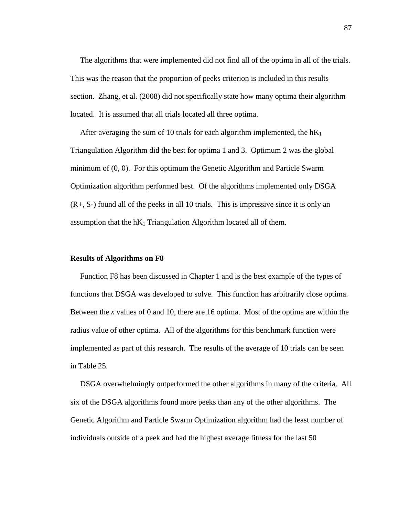The algorithms that were implemented did not find all of the optima in all of the trials. This was the reason that the proportion of peeks criterion is included in this results section. Zhang, et al. (2008) did not specifically state how many optima their algorithm located. It is assumed that all trials located all three optima.

After averaging the sum of 10 trials for each algorithm implemented, the  $hK_1$ Triangulation Algorithm did the best for optima 1 and 3. Optimum 2 was the global minimum of (0, 0). For this optimum the Genetic Algorithm and Particle Swarm Optimization algorithm performed best. Of the algorithms implemented only DSGA (R+, S-) found all of the peeks in all 10 trials. This is impressive since it is only an assumption that the  $hK_1$  Triangulation Algorithm located all of them.

## **Results of Algorithms on F8**

 Function F8 has been discussed in Chapter 1 and is the best example of the types of functions that DSGA was developed to solve. This function has arbitrarily close optima. Between the *x* values of 0 and 10, there are 16 optima. Most of the optima are within the radius value of other optima. All of the algorithms for this benchmark function were implemented as part of this research. The results of the average of 10 trials can be seen in Table 25.

 DSGA overwhelmingly outperformed the other algorithms in many of the criteria. All six of the DSGA algorithms found more peeks than any of the other algorithms. The Genetic Algorithm and Particle Swarm Optimization algorithm had the least number of individuals outside of a peek and had the highest average fitness for the last 50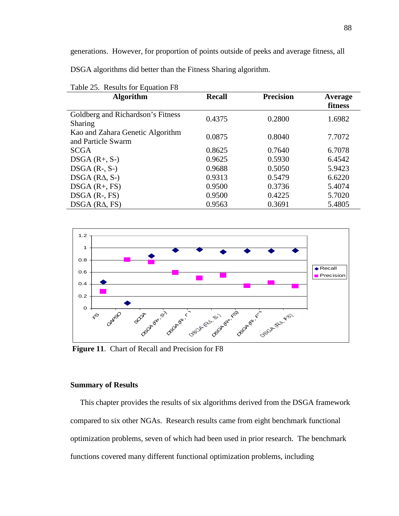generations. However, for proportion of points outside of peeks and average fitness, all

DSGA algorithms did better than the Fitness Sharing algorithm.

| <b>Algorithm</b>                  | <b>Recall</b> | <b>Precision</b> | Average |
|-----------------------------------|---------------|------------------|---------|
|                                   |               |                  | fitness |
| Goldberg and Richardson's Fitness |               |                  |         |
| Sharing                           | 0.4375        | 0.2800           | 1.6982  |
| Kao and Zahara Genetic Algorithm  |               |                  |         |
| and Particle Swarm                | 0.0875        | 0.8040           | 7.7072  |
| <b>SCGA</b>                       | 0.8625        | 0.7640           | 6.7078  |
| $DSGA(R+, S-)$                    | 0.9625        | 0.5930           | 6.4542  |
| $DSGA$ (R-, S-)                   | 0.9688        | 0.5050           | 5.9423  |
| $DSGA$ ( $RA$ , $S$ -)            | 0.9313        | 0.5479           | 6.6220  |
| $DSGA(R+, FS)$                    | 0.9500        | 0.3736           | 5.4074  |
| $DSGA$ (R-, FS)                   | 0.9500        | 0.4225           | 5.7020  |
| $DSGA$ ( $RA$ , $FS$ )            | 0.9563        | 0.3691           | 5.4805  |

Table 25. Results for Equation F8



 **Figure 11**. Chart of Recall and Precision for F8

# **Summary of Results**

 This chapter provides the results of six algorithms derived from the DSGA framework compared to six other NGAs. Research results came from eight benchmark functional optimization problems, seven of which had been used in prior research. The benchmark functions covered many different functional optimization problems, including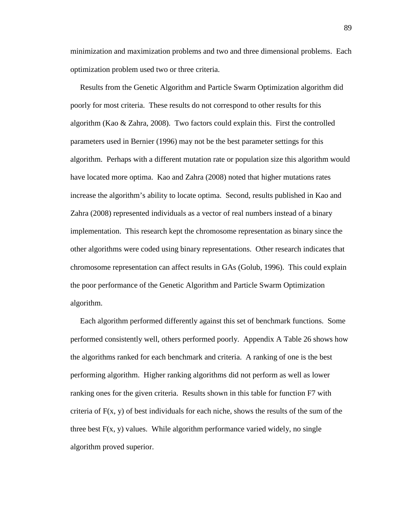minimization and maximization problems and two and three dimensional problems. Each optimization problem used two or three criteria.

 Results from the Genetic Algorithm and Particle Swarm Optimization algorithm did poorly for most criteria. These results do not correspond to other results for this algorithm (Kao  $\&$  Zahra, 2008). Two factors could explain this. First the controlled parameters used in Bernier (1996) may not be the best parameter settings for this algorithm. Perhaps with a different mutation rate or population size this algorithm would have located more optima. Kao and Zahra (2008) noted that higher mutations rates increase the algorithm's ability to locate optima. Second, results published in Kao and Zahra (2008) represented individuals as a vector of real numbers instead of a binary implementation. This research kept the chromosome representation as binary since the other algorithms were coded using binary representations. Other research indicates that chromosome representation can affect results in GAs (Golub, 1996). This could explain the poor performance of the Genetic Algorithm and Particle Swarm Optimization algorithm.

 Each algorithm performed differently against this set of benchmark functions. Some performed consistently well, others performed poorly. Appendix A Table 26 shows how the algorithms ranked for each benchmark and criteria. A ranking of one is the best performing algorithm. Higher ranking algorithms did not perform as well as lower ranking ones for the given criteria. Results shown in this table for function F7 with criteria of  $F(x, y)$  of best individuals for each niche, shows the results of the sum of the three best  $F(x, y)$  values. While algorithm performance varied widely, no single algorithm proved superior.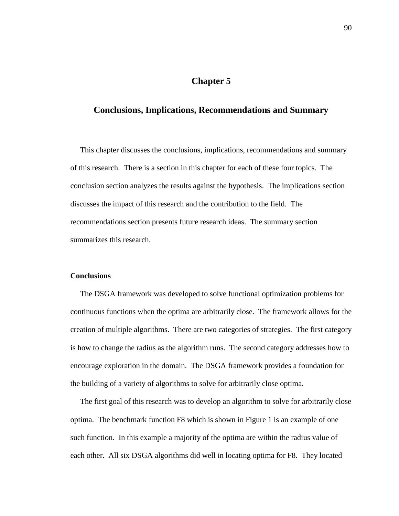# **Chapter 5**

# **Conclusions, Implications, Recommendations and Summary**

 This chapter discusses the conclusions, implications, recommendations and summary of this research. There is a section in this chapter for each of these four topics. The conclusion section analyzes the results against the hypothesis. The implications section discusses the impact of this research and the contribution to the field. The recommendations section presents future research ideas. The summary section summarizes this research.

# **Conclusions**

 The DSGA framework was developed to solve functional optimization problems for continuous functions when the optima are arbitrarily close. The framework allows for the creation of multiple algorithms. There are two categories of strategies. The first category is how to change the radius as the algorithm runs. The second category addresses how to encourage exploration in the domain. The DSGA framework provides a foundation for the building of a variety of algorithms to solve for arbitrarily close optima.

 The first goal of this research was to develop an algorithm to solve for arbitrarily close optima. The benchmark function F8 which is shown in Figure 1 is an example of one such function. In this example a majority of the optima are within the radius value of each other. All six DSGA algorithms did well in locating optima for F8. They located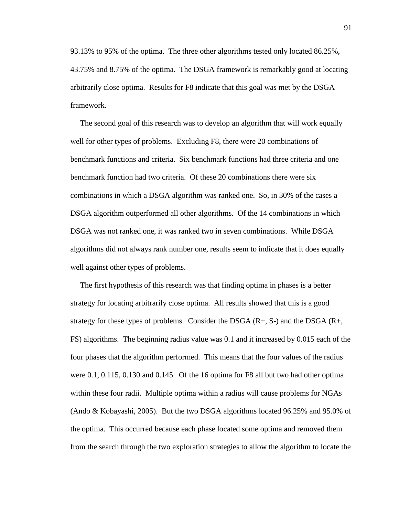93.13% to 95% of the optima. The three other algorithms tested only located 86.25%, 43.75% and 8.75% of the optima. The DSGA framework is remarkably good at locating arbitrarily close optima. Results for F8 indicate that this goal was met by the DSGA framework.

 The second goal of this research was to develop an algorithm that will work equally well for other types of problems. Excluding F8, there were 20 combinations of benchmark functions and criteria. Six benchmark functions had three criteria and one benchmark function had two criteria. Of these 20 combinations there were six combinations in which a DSGA algorithm was ranked one. So, in 30% of the cases a DSGA algorithm outperformed all other algorithms. Of the 14 combinations in which DSGA was not ranked one, it was ranked two in seven combinations. While DSGA algorithms did not always rank number one, results seem to indicate that it does equally well against other types of problems.

 The first hypothesis of this research was that finding optima in phases is a better strategy for locating arbitrarily close optima. All results showed that this is a good strategy for these types of problems. Consider the DSGA  $(R+$ , S-) and the DSGA  $(R+$ , FS) algorithms. The beginning radius value was 0.1 and it increased by 0.015 each of the four phases that the algorithm performed. This means that the four values of the radius were 0.1, 0.115, 0.130 and 0.145. Of the 16 optima for F8 all but two had other optima within these four radii. Multiple optima within a radius will cause problems for NGAs (Ando & Kobayashi, 2005). But the two DSGA algorithms located 96.25% and 95.0% of the optima. This occurred because each phase located some optima and removed them from the search through the two exploration strategies to allow the algorithm to locate the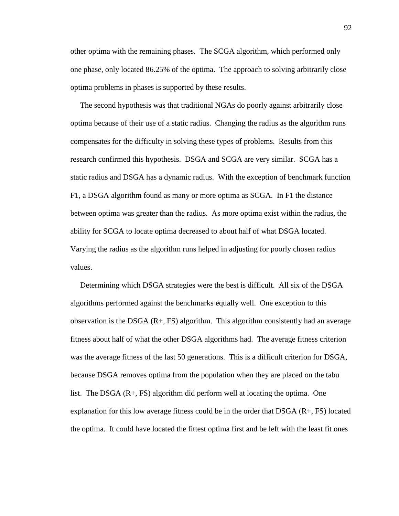other optima with the remaining phases. The SCGA algorithm, which performed only one phase, only located 86.25% of the optima. The approach to solving arbitrarily close optima problems in phases is supported by these results.

 The second hypothesis was that traditional NGAs do poorly against arbitrarily close optima because of their use of a static radius. Changing the radius as the algorithm runs compensates for the difficulty in solving these types of problems. Results from this research confirmed this hypothesis. DSGA and SCGA are very similar. SCGA has a static radius and DSGA has a dynamic radius. With the exception of benchmark function F1, a DSGA algorithm found as many or more optima as SCGA. In F1 the distance between optima was greater than the radius. As more optima exist within the radius, the ability for SCGA to locate optima decreased to about half of what DSGA located. Varying the radius as the algorithm runs helped in adjusting for poorly chosen radius values.

 Determining which DSGA strategies were the best is difficult. All six of the DSGA algorithms performed against the benchmarks equally well. One exception to this observation is the DSGA (R+, FS) algorithm. This algorithm consistently had an average fitness about half of what the other DSGA algorithms had. The average fitness criterion was the average fitness of the last 50 generations. This is a difficult criterion for DSGA, because DSGA removes optima from the population when they are placed on the tabu list. The DSGA (R+, FS) algorithm did perform well at locating the optima. One explanation for this low average fitness could be in the order that DSGA (R+, FS) located the optima. It could have located the fittest optima first and be left with the least fit ones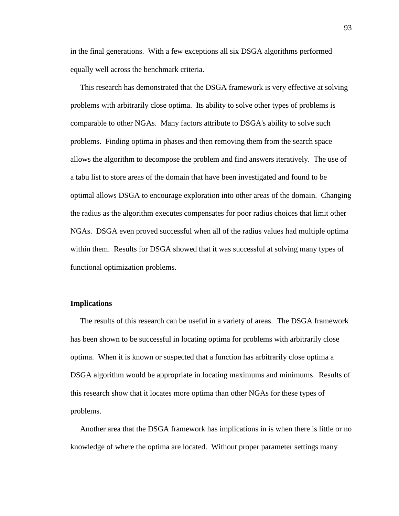in the final generations. With a few exceptions all six DSGA algorithms performed equally well across the benchmark criteria.

 This research has demonstrated that the DSGA framework is very effective at solving problems with arbitrarily close optima. Its ability to solve other types of problems is comparable to other NGAs. Many factors attribute to DSGA's ability to solve such problems. Finding optima in phases and then removing them from the search space allows the algorithm to decompose the problem and find answers iteratively. The use of a tabu list to store areas of the domain that have been investigated and found to be optimal allows DSGA to encourage exploration into other areas of the domain. Changing the radius as the algorithm executes compensates for poor radius choices that limit other NGAs. DSGA even proved successful when all of the radius values had multiple optima within them. Results for DSGA showed that it was successful at solving many types of functional optimization problems.

# **Implications**

 The results of this research can be useful in a variety of areas. The DSGA framework has been shown to be successful in locating optima for problems with arbitrarily close optima. When it is known or suspected that a function has arbitrarily close optima a DSGA algorithm would be appropriate in locating maximums and minimums. Results of this research show that it locates more optima than other NGAs for these types of problems.

 Another area that the DSGA framework has implications in is when there is little or no knowledge of where the optima are located. Without proper parameter settings many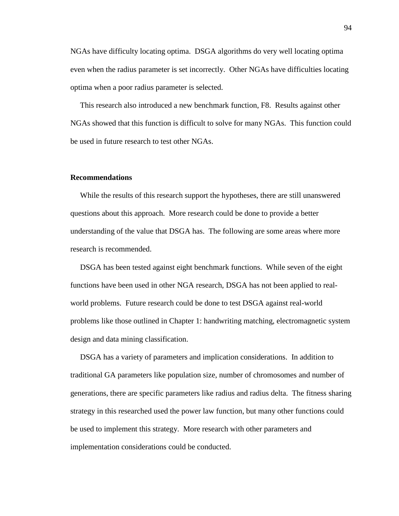NGAs have difficulty locating optima. DSGA algorithms do very well locating optima even when the radius parameter is set incorrectly. Other NGAs have difficulties locating optima when a poor radius parameter is selected.

 This research also introduced a new benchmark function, F8. Results against other NGAs showed that this function is difficult to solve for many NGAs. This function could be used in future research to test other NGAs.

#### **Recommendations**

 While the results of this research support the hypotheses, there are still unanswered questions about this approach. More research could be done to provide a better understanding of the value that DSGA has. The following are some areas where more research is recommended.

 DSGA has been tested against eight benchmark functions. While seven of the eight functions have been used in other NGA research, DSGA has not been applied to realworld problems. Future research could be done to test DSGA against real-world problems like those outlined in Chapter 1: handwriting matching, electromagnetic system design and data mining classification.

 DSGA has a variety of parameters and implication considerations. In addition to traditional GA parameters like population size, number of chromosomes and number of generations, there are specific parameters like radius and radius delta. The fitness sharing strategy in this researched used the power law function, but many other functions could be used to implement this strategy. More research with other parameters and implementation considerations could be conducted.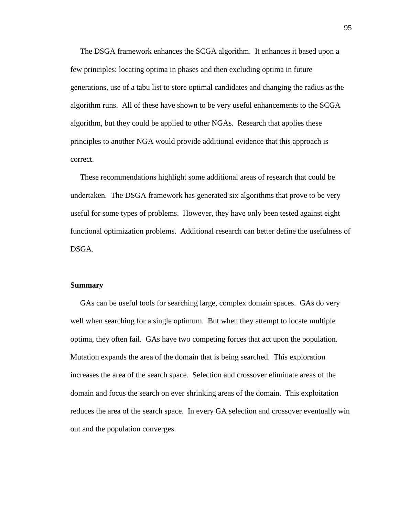The DSGA framework enhances the SCGA algorithm. It enhances it based upon a few principles: locating optima in phases and then excluding optima in future generations, use of a tabu list to store optimal candidates and changing the radius as the algorithm runs. All of these have shown to be very useful enhancements to the SCGA algorithm, but they could be applied to other NGAs. Research that applies these principles to another NGA would provide additional evidence that this approach is correct.

 These recommendations highlight some additional areas of research that could be undertaken. The DSGA framework has generated six algorithms that prove to be very useful for some types of problems. However, they have only been tested against eight functional optimization problems. Additional research can better define the usefulness of DSGA.

#### **Summary**

 GAs can be useful tools for searching large, complex domain spaces. GAs do very well when searching for a single optimum. But when they attempt to locate multiple optima, they often fail. GAs have two competing forces that act upon the population. Mutation expands the area of the domain that is being searched. This exploration increases the area of the search space. Selection and crossover eliminate areas of the domain and focus the search on ever shrinking areas of the domain. This exploitation reduces the area of the search space. In every GA selection and crossover eventually win out and the population converges.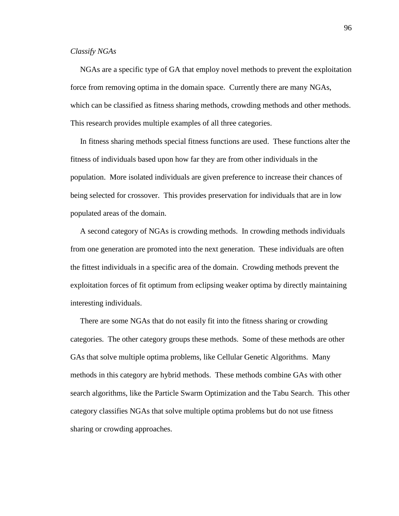# *Classify NGAs*

 NGAs are a specific type of GA that employ novel methods to prevent the exploitation force from removing optima in the domain space. Currently there are many NGAs, which can be classified as fitness sharing methods, crowding methods and other methods. This research provides multiple examples of all three categories.

 In fitness sharing methods special fitness functions are used. These functions alter the fitness of individuals based upon how far they are from other individuals in the population. More isolated individuals are given preference to increase their chances of being selected for crossover. This provides preservation for individuals that are in low populated areas of the domain.

 A second category of NGAs is crowding methods. In crowding methods individuals from one generation are promoted into the next generation. These individuals are often the fittest individuals in a specific area of the domain. Crowding methods prevent the exploitation forces of fit optimum from eclipsing weaker optima by directly maintaining interesting individuals.

 There are some NGAs that do not easily fit into the fitness sharing or crowding categories. The other category groups these methods. Some of these methods are other GAs that solve multiple optima problems, like Cellular Genetic Algorithms. Many methods in this category are hybrid methods. These methods combine GAs with other search algorithms, like the Particle Swarm Optimization and the Tabu Search. This other category classifies NGAs that solve multiple optima problems but do not use fitness sharing or crowding approaches.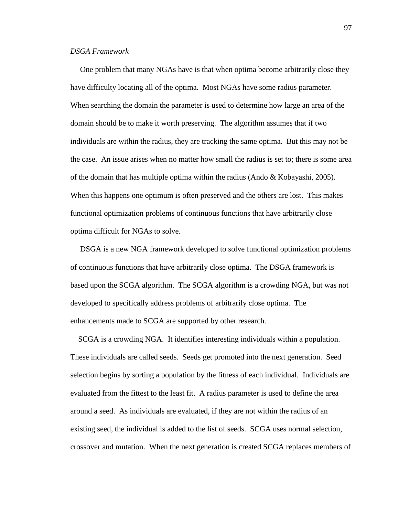# *DSGA Framework*

 One problem that many NGAs have is that when optima become arbitrarily close they have difficulty locating all of the optima. Most NGAs have some radius parameter. When searching the domain the parameter is used to determine how large an area of the domain should be to make it worth preserving. The algorithm assumes that if two individuals are within the radius, they are tracking the same optima. But this may not be the case. An issue arises when no matter how small the radius is set to; there is some area of the domain that has multiple optima within the radius (Ando & Kobayashi, 2005). When this happens one optimum is often preserved and the others are lost. This makes functional optimization problems of continuous functions that have arbitrarily close optima difficult for NGAs to solve.

 DSGA is a new NGA framework developed to solve functional optimization problems of continuous functions that have arbitrarily close optima. The DSGA framework is based upon the SCGA algorithm. The SCGA algorithm is a crowding NGA, but was not developed to specifically address problems of arbitrarily close optima. The enhancements made to SCGA are supported by other research.

 SCGA is a crowding NGA. It identifies interesting individuals within a population. These individuals are called seeds. Seeds get promoted into the next generation. Seed selection begins by sorting a population by the fitness of each individual. Individuals are evaluated from the fittest to the least fit. A radius parameter is used to define the area around a seed. As individuals are evaluated, if they are not within the radius of an existing seed, the individual is added to the list of seeds. SCGA uses normal selection, crossover and mutation. When the next generation is created SCGA replaces members of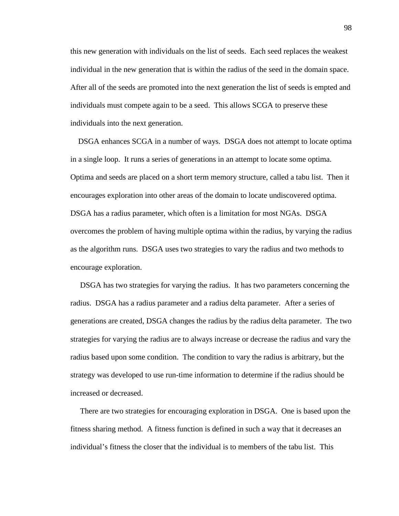this new generation with individuals on the list of seeds. Each seed replaces the weakest individual in the new generation that is within the radius of the seed in the domain space. After all of the seeds are promoted into the next generation the list of seeds is empted and individuals must compete again to be a seed. This allows SCGA to preserve these individuals into the next generation.

 DSGA enhances SCGA in a number of ways. DSGA does not attempt to locate optima in a single loop. It runs a series of generations in an attempt to locate some optima. Optima and seeds are placed on a short term memory structure, called a tabu list. Then it encourages exploration into other areas of the domain to locate undiscovered optima. DSGA has a radius parameter, which often is a limitation for most NGAs. DSGA overcomes the problem of having multiple optima within the radius, by varying the radius as the algorithm runs. DSGA uses two strategies to vary the radius and two methods to encourage exploration.

 DSGA has two strategies for varying the radius. It has two parameters concerning the radius. DSGA has a radius parameter and a radius delta parameter. After a series of generations are created, DSGA changes the radius by the radius delta parameter. The two strategies for varying the radius are to always increase or decrease the radius and vary the radius based upon some condition. The condition to vary the radius is arbitrary, but the strategy was developed to use run-time information to determine if the radius should be increased or decreased.

 There are two strategies for encouraging exploration in DSGA. One is based upon the fitness sharing method. A fitness function is defined in such a way that it decreases an individual's fitness the closer that the individual is to members of the tabu list. This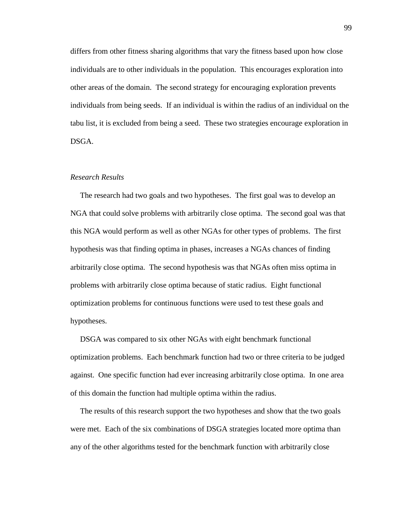differs from other fitness sharing algorithms that vary the fitness based upon how close individuals are to other individuals in the population. This encourages exploration into other areas of the domain. The second strategy for encouraging exploration prevents individuals from being seeds. If an individual is within the radius of an individual on the tabu list, it is excluded from being a seed. These two strategies encourage exploration in DSGA.

#### *Research Results*

 The research had two goals and two hypotheses. The first goal was to develop an NGA that could solve problems with arbitrarily close optima. The second goal was that this NGA would perform as well as other NGAs for other types of problems. The first hypothesis was that finding optima in phases, increases a NGAs chances of finding arbitrarily close optima. The second hypothesis was that NGAs often miss optima in problems with arbitrarily close optima because of static radius. Eight functional optimization problems for continuous functions were used to test these goals and hypotheses.

 DSGA was compared to six other NGAs with eight benchmark functional optimization problems. Each benchmark function had two or three criteria to be judged against. One specific function had ever increasing arbitrarily close optima. In one area of this domain the function had multiple optima within the radius.

 The results of this research support the two hypotheses and show that the two goals were met. Each of the six combinations of DSGA strategies located more optima than any of the other algorithms tested for the benchmark function with arbitrarily close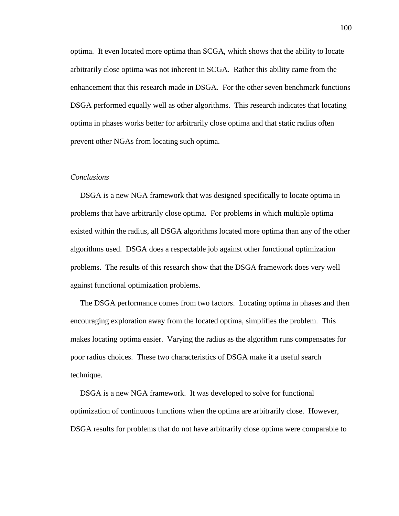optima. It even located more optima than SCGA, which shows that the ability to locate arbitrarily close optima was not inherent in SCGA. Rather this ability came from the enhancement that this research made in DSGA. For the other seven benchmark functions DSGA performed equally well as other algorithms. This research indicates that locating optima in phases works better for arbitrarily close optima and that static radius often prevent other NGAs from locating such optima.

#### *Conclusions*

 DSGA is a new NGA framework that was designed specifically to locate optima in problems that have arbitrarily close optima. For problems in which multiple optima existed within the radius, all DSGA algorithms located more optima than any of the other algorithms used. DSGA does a respectable job against other functional optimization problems. The results of this research show that the DSGA framework does very well against functional optimization problems.

 The DSGA performance comes from two factors. Locating optima in phases and then encouraging exploration away from the located optima, simplifies the problem. This makes locating optima easier. Varying the radius as the algorithm runs compensates for poor radius choices. These two characteristics of DSGA make it a useful search technique.

 DSGA is a new NGA framework. It was developed to solve for functional optimization of continuous functions when the optima are arbitrarily close. However, DSGA results for problems that do not have arbitrarily close optima were comparable to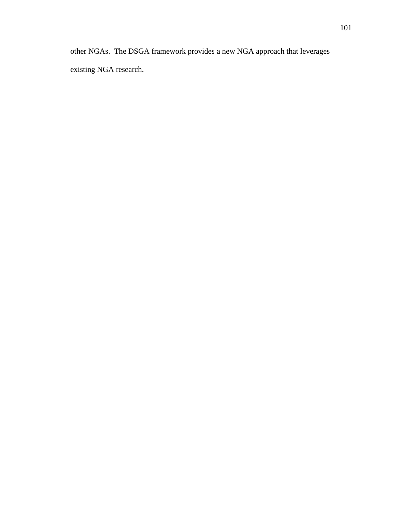other NGAs. The DSGA framework provides a new NGA approach that leverages existing NGA research.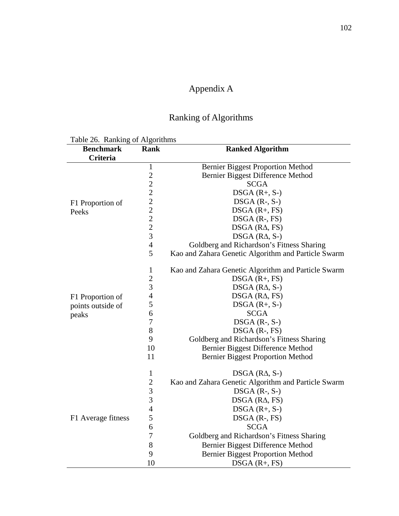# Appendix A

# Ranking of Algorithms

Table 26. Ranking of Algorithms

| $1401020$ . Running 0. 1 hgommon<br><b>Benchmark</b> | Rank           | <b>Ranked Algorithm</b>                             |
|------------------------------------------------------|----------------|-----------------------------------------------------|
| Criteria                                             |                |                                                     |
|                                                      | 1              | <b>Bernier Biggest Proportion Method</b>            |
|                                                      |                | Bernier Biggest Difference Method                   |
|                                                      | 22222222       | <b>SCGA</b>                                         |
|                                                      |                | $DSGA(R+, S-)$                                      |
| F1 Proportion of                                     |                | $DSGA$ $(R-, S-)$                                   |
| Peeks                                                |                | $DSGA(R+, FS)$                                      |
|                                                      |                | $DSGA$ $(R-, FS)$                                   |
|                                                      |                | $DSGA$ ( $RA$ , $FS$ )                              |
|                                                      |                | $DSGA$ ( $RA$ , $S$ -)                              |
|                                                      | $\overline{4}$ | Goldberg and Richardson's Fitness Sharing           |
|                                                      | 5              | Kao and Zahara Genetic Algorithm and Particle Swarm |
|                                                      | $\mathbf{1}$   | Kao and Zahara Genetic Algorithm and Particle Swarm |
|                                                      | $\overline{2}$ | $DSGA(R+, FS)$                                      |
|                                                      | 3              | DSGA $(R\Delta, S-)$                                |
| F1 Proportion of                                     | $\overline{4}$ | $DSGA$ ( $RA$ , $FS$ )                              |
| points outside of                                    | 5              | $DSGA(R+, S-)$                                      |
| peaks                                                | 6              | <b>SCGA</b>                                         |
|                                                      | $\tau$         | $DSGA$ (R-, S-)                                     |
|                                                      | 8              | $DSGA$ $(R-, FS)$                                   |
|                                                      | 9              | Goldberg and Richardson's Fitness Sharing           |
|                                                      | 10             | Bernier Biggest Difference Method                   |
|                                                      | 11             | <b>Bernier Biggest Proportion Method</b>            |
|                                                      | $\mathbf{1}$   | DSGA $(R\Delta, S-)$                                |
|                                                      | $\sqrt{2}$     | Kao and Zahara Genetic Algorithm and Particle Swarm |
|                                                      | 3              | $DSGA$ (R-, S-)                                     |
| F1 Average fitness                                   | 3              | $DSGA$ ( $RA$ , $FS$ )                              |
|                                                      | $\overline{4}$ | $DSGA(R+, S-)$                                      |
|                                                      | 5              | $DSGA$ (R-, FS)                                     |
|                                                      | 6              | <b>SCGA</b>                                         |
|                                                      | $\overline{7}$ | Goldberg and Richardson's Fitness Sharing           |
|                                                      | $8\,$          | Bernier Biggest Difference Method                   |
|                                                      | 9              | <b>Bernier Biggest Proportion Method</b>            |
|                                                      | 10             | $DSGA(R+, FS)$                                      |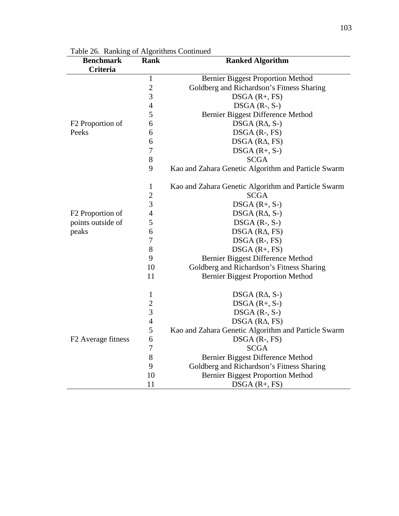| <b>Benchmark</b>               | Rank           | <b>Ranked Algorithm</b>                             |
|--------------------------------|----------------|-----------------------------------------------------|
| <b>Criteria</b>                |                |                                                     |
|                                | $\mathbf{1}$   | <b>Bernier Biggest Proportion Method</b>            |
|                                | $\overline{2}$ | Goldberg and Richardson's Fitness Sharing           |
|                                | 3              | $DSGA(R+, FS)$                                      |
|                                | $\overline{4}$ | $DSGA$ (R-, S-)                                     |
|                                | 5              | Bernier Biggest Difference Method                   |
| F <sub>2</sub> Proportion of   | 6              | DSGA $(R\Delta, S-)$                                |
| Peeks                          | 6              | $DSGA$ $(R-, FS)$                                   |
|                                | 6              | $DSGA$ ( $RA$ , $FS$ )                              |
|                                | 7              | $DSGA(R+, S-)$                                      |
|                                | $8\,$          | <b>SCGA</b>                                         |
|                                | 9              | Kao and Zahara Genetic Algorithm and Particle Swarm |
|                                | 1              | Kao and Zahara Genetic Algorithm and Particle Swarm |
|                                | $\overline{c}$ | <b>SCGA</b>                                         |
|                                | 3              | $DSGA(R+, S-)$                                      |
| F <sub>2</sub> Proportion of   | 4              | $DSGA$ ( $RA$ , $S$ -)                              |
| points outside of              | 5              | $DSGA$ (R-, S-)                                     |
| peaks                          | 6              | $DSGA$ ( $RA$ , $FS$ )                              |
|                                | 7              | $DSGA$ $(R-, FS)$                                   |
|                                | $8\,$          | DSGA (R+, FS)                                       |
|                                | 9              | Bernier Biggest Difference Method                   |
|                                | 10             | Goldberg and Richardson's Fitness Sharing           |
|                                | 11             | <b>Bernier Biggest Proportion Method</b>            |
|                                | $\mathbf{1}$   | DSGA $(R\Delta, S)$                                 |
|                                | $\overline{2}$ | $DSGA(R+, S-)$                                      |
|                                | 3              | $DSGA$ $(R-, S-)$                                   |
|                                | $\overline{4}$ | $DSGA$ ( $RA$ , $FS$ )                              |
|                                | 5              | Kao and Zahara Genetic Algorithm and Particle Swarm |
| F <sub>2</sub> Average fitness | 6              | $DSGA$ (R-, FS)                                     |
|                                | 7              | <b>SCGA</b>                                         |
|                                | 8              | Bernier Biggest Difference Method                   |
|                                | 9              | Goldberg and Richardson's Fitness Sharing           |
|                                | 10             | <b>Bernier Biggest Proportion Method</b>            |
|                                | 11             | $DSGA(R+, FS)$                                      |

Table 26. Ranking of Algorithms Continued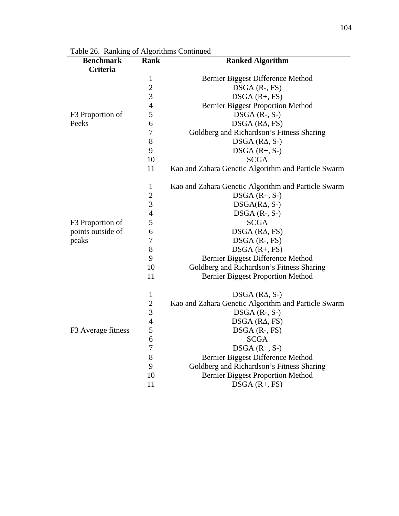| rable 20. Kalikung of Argoriumis Continued<br><b>Benchmark</b> | <b>Rank</b>    | <b>Ranked Algorithm</b>                             |
|----------------------------------------------------------------|----------------|-----------------------------------------------------|
| Criteria                                                       |                |                                                     |
|                                                                | $\mathbf{1}$   | Bernier Biggest Difference Method                   |
|                                                                | $\overline{c}$ | $DSGA$ (R-, FS)                                     |
|                                                                | 3              | $DSGA(R+, FS)$                                      |
|                                                                | $\overline{4}$ | <b>Bernier Biggest Proportion Method</b>            |
| F3 Proportion of                                               | 5              | $DSGA(R-, S-)$                                      |
| Peeks                                                          | 6              | $DSGA$ ( $RA$ , $FS$ )                              |
|                                                                | $\overline{7}$ | Goldberg and Richardson's Fitness Sharing           |
|                                                                | 8              | DSGA $(R\Delta, S-)$                                |
|                                                                | 9              | DSGA (R+, S-)                                       |
|                                                                | 10             | <b>SCGA</b>                                         |
|                                                                | 11             | Kao and Zahara Genetic Algorithm and Particle Swarm |
|                                                                | $\mathbf{1}$   | Kao and Zahara Genetic Algorithm and Particle Swarm |
|                                                                | $\overline{c}$ | $DSGA(R+, S-)$                                      |
|                                                                | 3              | $DSGA(R\Delta, S-)$                                 |
|                                                                | $\overline{4}$ | $DSGA$ (R-, S-)                                     |
| F3 Proportion of                                               | 5              | <b>SCGA</b>                                         |
| points outside of                                              | 6              | $DSGA$ ( $RA$ , $FS$ )                              |
| peaks                                                          | $\overline{7}$ | $DSGA$ $(R-, FS)$                                   |
|                                                                | 8              | $DSGA(R+, FS)$                                      |
|                                                                | 9              | Bernier Biggest Difference Method                   |
|                                                                | 10             | Goldberg and Richardson's Fitness Sharing           |
|                                                                | 11             | <b>Bernier Biggest Proportion Method</b>            |
|                                                                | $\mathbf{1}$   | DSGA $(R\Delta, S)$                                 |
|                                                                | $\overline{c}$ | Kao and Zahara Genetic Algorithm and Particle Swarm |
|                                                                | 3              | DSGA (R-, S-)                                       |
|                                                                | $\overline{4}$ | $DSGA$ ( $RA$ , $FS$ )                              |
| F3 Average fitness                                             | 5              | $DSGA$ (R-, FS)                                     |
|                                                                | 6              | <b>SCGA</b>                                         |
|                                                                | $\overline{7}$ | $DSGA$ $(R+, S-)$                                   |
|                                                                | 8              | Bernier Biggest Difference Method                   |
|                                                                | 9              | Goldberg and Richardson's Fitness Sharing           |
|                                                                | 10             | <b>Bernier Biggest Proportion Method</b>            |
|                                                                | 11             | $DSGA(R+, FS)$                                      |

Table 26. Ranking of Algorithms Continued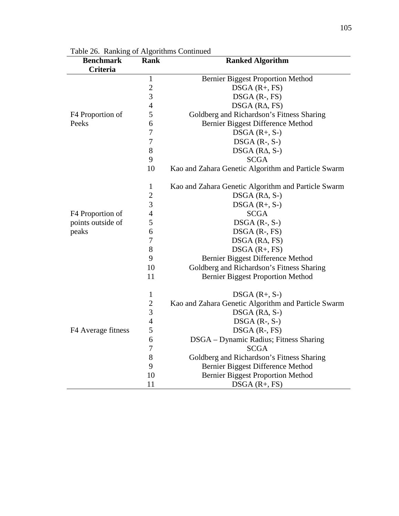| raone 20. Training or rugbrithms communed<br><b>Benchmark</b> | <b>Rank</b>    | <b>Ranked Algorithm</b>                             |
|---------------------------------------------------------------|----------------|-----------------------------------------------------|
| Criteria                                                      |                |                                                     |
|                                                               | 1              | <b>Bernier Biggest Proportion Method</b>            |
|                                                               | $\overline{c}$ | $DSGA(R+, FS)$                                      |
|                                                               | 3              | $DSGA$ (R-, FS)                                     |
|                                                               | $\overline{4}$ | $DSGA$ ( $RA$ , $FS$ )                              |
| F4 Proportion of                                              | 5              | Goldberg and Richardson's Fitness Sharing           |
| Peeks                                                         | 6              | Bernier Biggest Difference Method                   |
|                                                               | $\overline{7}$ | $DSGA(R+, S-)$                                      |
|                                                               | $\overline{7}$ | $DSGA$ (R-, S-)                                     |
|                                                               | 8              | $DSGA$ ( $RA$ , $S$ -)                              |
|                                                               | 9              | <b>SCGA</b>                                         |
|                                                               | 10             | Kao and Zahara Genetic Algorithm and Particle Swarm |
|                                                               | $\mathbf{1}$   | Kao and Zahara Genetic Algorithm and Particle Swarm |
|                                                               | $\overline{c}$ | $DSGA$ ( $RA$ , $S$ -)                              |
|                                                               | 3              | $DSGA(R+, S-)$                                      |
| F4 Proportion of                                              | $\overline{4}$ | <b>SCGA</b>                                         |
| points outside of                                             | 5              | $DSGA$ (R-, S-)                                     |
| peaks                                                         | 6              | $DSGA$ $(R-, FS)$                                   |
|                                                               | $\overline{7}$ | $DSGA$ ( $RA$ , $FS$ )                              |
|                                                               | 8              | $DSGA(R+, FS)$                                      |
|                                                               | 9              | Bernier Biggest Difference Method                   |
|                                                               | 10             | Goldberg and Richardson's Fitness Sharing           |
|                                                               | 11             | <b>Bernier Biggest Proportion Method</b>            |
|                                                               | $\mathbf{1}$   | $DSGA(R+, S-)$                                      |
|                                                               | $\overline{c}$ | Kao and Zahara Genetic Algorithm and Particle Swarm |
|                                                               | 3              | $DSGA$ ( $RA$ , $S$ -)                              |
|                                                               | $\overline{4}$ | $DSGA$ (R-, S-)                                     |
| F4 Average fitness                                            | 5              | $DSGA$ (R-, FS)                                     |
|                                                               | 6              | DSGA - Dynamic Radius; Fitness Sharing              |
|                                                               | 7              | <b>SCGA</b>                                         |
|                                                               | 8              | Goldberg and Richardson's Fitness Sharing           |
|                                                               | 9              | Bernier Biggest Difference Method                   |
|                                                               | 10             | <b>Bernier Biggest Proportion Method</b>            |
|                                                               | 11             | $DSGA(R+, FS)$                                      |

Table 26. Ranking of Algorithms Continued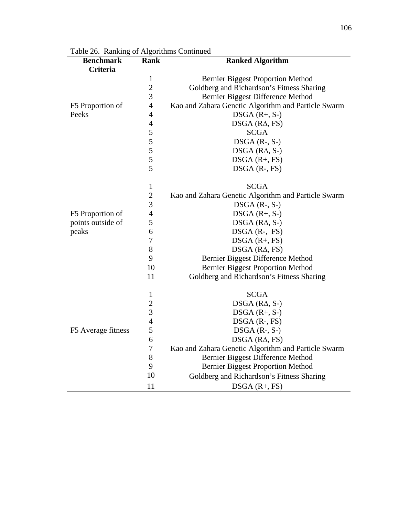| rable 20. Kalikung of Argoriumis Continued<br><b>Benchmark</b> | <b>Rank</b>      | <b>Ranked Algorithm</b>                             |
|----------------------------------------------------------------|------------------|-----------------------------------------------------|
| Criteria                                                       |                  |                                                     |
|                                                                | $\mathbf{1}$     | <b>Bernier Biggest Proportion Method</b>            |
|                                                                | $\overline{c}$   | Goldberg and Richardson's Fitness Sharing           |
|                                                                | 3                | Bernier Biggest Difference Method                   |
| F5 Proportion of                                               | $\overline{4}$   | Kao and Zahara Genetic Algorithm and Particle Swarm |
| Peeks                                                          | $\overline{4}$   | $DSGA(R+, S-)$                                      |
|                                                                | $\overline{4}$   | $DSGA$ ( $RA$ , $FS$ )                              |
|                                                                | 5                | <b>SCGA</b>                                         |
|                                                                | 5                | $DSGA$ (R-, S-)                                     |
|                                                                |                  | $DSGA$ ( $RA$ , $S$ -)                              |
|                                                                | $rac{5}{5}$      | $DSGA(R+, FS)$                                      |
|                                                                | 5                | $DSGA$ $(R-, FS)$                                   |
|                                                                | $\mathbf{1}$     | <b>SCGA</b>                                         |
|                                                                | $\overline{2}$   | Kao and Zahara Genetic Algorithm and Particle Swarm |
|                                                                | 3                | $DSGA$ (R-, S-)                                     |
| F5 Proportion of                                               | $\overline{4}$   | $DSGA(R+, S-)$                                      |
| points outside of                                              | 5                | $DSGA$ ( $RA$ , $S$ -)                              |
| peaks                                                          | 6                | $DSGA$ (R-, FS)                                     |
|                                                                | $\overline{7}$   | $DSGA(R+, FS)$                                      |
|                                                                | 8                | $DSGA$ ( $RA$ , $FS$ )                              |
|                                                                | 9                | Bernier Biggest Difference Method                   |
|                                                                | 10               | <b>Bernier Biggest Proportion Method</b>            |
|                                                                | 11               | Goldberg and Richardson's Fitness Sharing           |
|                                                                | $\mathbf{1}$     | <b>SCGA</b>                                         |
|                                                                | $\overline{c}$   | $DSGA$ ( $RA$ , $S$ -)                              |
|                                                                | 3                | $DSGA(R+, S-)$                                      |
|                                                                | $\overline{4}$   | $DSGA$ $(R-, FS)$                                   |
| F5 Average fitness                                             | 5                | $DSGA$ $(R-, S-)$                                   |
|                                                                | 6                | $DSGA$ ( $RA$ , $FS$ )                              |
|                                                                | $\boldsymbol{7}$ | Kao and Zahara Genetic Algorithm and Particle Swarm |
|                                                                | $8\,$            | Bernier Biggest Difference Method                   |
|                                                                | 9                | <b>Bernier Biggest Proportion Method</b>            |
|                                                                | 10               | Goldberg and Richardson's Fitness Sharing           |
|                                                                | 11               | $DSGA(R+, FS)$                                      |

Table 26. Ranking of Algorithms Continued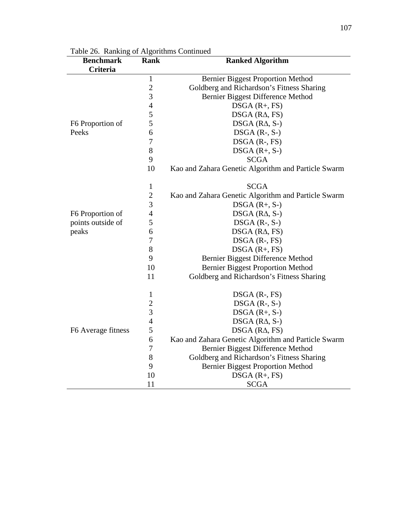| rable 20. Kalikung of Argoriumis Comunued<br><b>Benchmark</b> | <b>Rank</b>      | <b>Ranked Algorithm</b>                             |
|---------------------------------------------------------------|------------------|-----------------------------------------------------|
| <b>Criteria</b>                                               |                  |                                                     |
|                                                               | $\mathbf{1}$     | <b>Bernier Biggest Proportion Method</b>            |
|                                                               | $\overline{2}$   | Goldberg and Richardson's Fitness Sharing           |
|                                                               | 3                | Bernier Biggest Difference Method                   |
|                                                               | $\overline{4}$   | $DSGA(R+, FS)$                                      |
|                                                               | 5                | $DSGA$ ( $RA$ , $FS$ )                              |
| F6 Proportion of                                              | 5                | $DSGA$ ( $RA$ , S-)                                 |
| Peeks                                                         | 6                | $DSGA$ $(R-, S-)$                                   |
|                                                               | $\overline{7}$   | $DSGA$ $(R-, FS)$                                   |
|                                                               | 8                | $DSGA(R+, S-)$                                      |
|                                                               | 9                | <b>SCGA</b>                                         |
|                                                               | 10               | Kao and Zahara Genetic Algorithm and Particle Swarm |
|                                                               | $\mathbf{1}$     | <b>SCGA</b>                                         |
|                                                               | $\overline{2}$   | Kao and Zahara Genetic Algorithm and Particle Swarm |
|                                                               | 3                | $DSGA$ $(R+, S-)$                                   |
| F6 Proportion of                                              | 4                | $DSGA$ ( $RA$ , $S$ -)                              |
| points outside of                                             | 5                | $DSGA$ (R-, S-)                                     |
| peaks                                                         | 6                | $DSGA$ ( $RA$ , $FS$ )                              |
|                                                               | $\boldsymbol{7}$ | $DSGA$ $(R-, FS)$                                   |
|                                                               | 8                | $DSGA(R+, FS)$                                      |
|                                                               | 9                | Bernier Biggest Difference Method                   |
|                                                               | 10               | <b>Bernier Biggest Proportion Method</b>            |
|                                                               | 11               | Goldberg and Richardson's Fitness Sharing           |
|                                                               | $\mathbf{1}$     | $DSGA$ $(R-, FS)$                                   |
|                                                               | $\overline{c}$   | $DSGA$ $(R-, S-)$                                   |
|                                                               | 3                | $DSGA(R+, S-)$                                      |
|                                                               | 4                | DSGA $(R\Delta, S)$                                 |
| F6 Average fitness                                            | 5                | $DSGA$ ( $RA$ , $FS$ )                              |
|                                                               | 6                | Kao and Zahara Genetic Algorithm and Particle Swarm |
|                                                               | 7                | Bernier Biggest Difference Method                   |
|                                                               | 8                | Goldberg and Richardson's Fitness Sharing           |
|                                                               | 9                | <b>Bernier Biggest Proportion Method</b>            |
|                                                               | 10               | $DSGA(R+, FS)$                                      |
|                                                               | 11               | <b>SCGA</b>                                         |

Table 26. Ranking of Algorithms Continued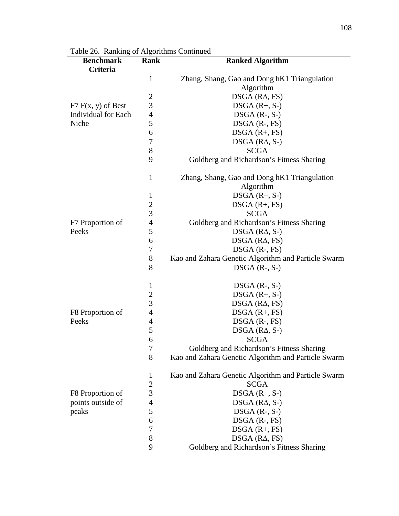| Table 20. Kaliking of Algoriumis Continued<br><b>Benchmark</b> | Rank                     | <b>Ranked Algorithm</b>                             |
|----------------------------------------------------------------|--------------------------|-----------------------------------------------------|
| Criteria                                                       |                          |                                                     |
|                                                                | $\mathbf{1}$             | Zhang, Shang, Gao and Dong hK1 Triangulation        |
|                                                                |                          | Algorithm                                           |
|                                                                | $\overline{c}$           | $DSGA$ ( $RA$ , $FS$ )                              |
| $F7 F(x, y)$ of Best                                           | 3                        | $DSGA(R+, S-)$                                      |
| Individual for Each                                            | $\overline{4}$           | $DSGA$ $(R-, S-)$                                   |
| Niche                                                          | 5                        | $DSGA$ $(R-, FS)$                                   |
|                                                                | 6                        | $DSGA(R+, FS)$                                      |
|                                                                | 7                        | DSGA $(R\Delta, S-)$                                |
|                                                                | $8\,$                    | <b>SCGA</b>                                         |
|                                                                | 9                        | Goldberg and Richardson's Fitness Sharing           |
|                                                                | $\mathbf{1}$             | Zhang, Shang, Gao and Dong hK1 Triangulation        |
|                                                                |                          | Algorithm                                           |
|                                                                | $\mathbf{1}$             | $DSGA(R+, S-)$                                      |
|                                                                | $\sqrt{2}$               | $DSGA(R+, FS)$                                      |
|                                                                | $\overline{3}$           | <b>SCGA</b>                                         |
| F7 Proportion of                                               | $\overline{4}$           | Goldberg and Richardson's Fitness Sharing           |
| Peeks                                                          | 5                        | $DSGA$ ( $RA$ , $S$ -)                              |
|                                                                | 6                        | $DSGA$ ( $RA$ , $FS$ )                              |
|                                                                | $\tau$                   | $DSGA$ $(R-, FS)$                                   |
|                                                                | 8                        | Kao and Zahara Genetic Algorithm and Particle Swarm |
|                                                                | 8                        | $DSGA$ (R-, S-)                                     |
|                                                                | $\mathbf{1}$             | $DSGA$ (R-, S-)                                     |
|                                                                | $\boldsymbol{2}$         | $DSGA(R+, S-)$                                      |
|                                                                | $\overline{3}$           | $DSGA$ ( $RA$ , $FS$ )                              |
| F8 Proportion of                                               | $\overline{4}$           | $DSGA(R+, FS)$                                      |
| Peeks                                                          | $\overline{4}$           | $DSGA$ (R-, FS)                                     |
|                                                                | 5                        | DSGA $(R\Delta, S)$                                 |
|                                                                | 6                        | <b>SCGA</b>                                         |
|                                                                | 7                        | Goldberg and Richardson's Fitness Sharing           |
|                                                                | 8                        | Kao and Zahara Genetic Algorithm and Particle Swarm |
|                                                                | $\mathbf{1}$             | Kao and Zahara Genetic Algorithm and Particle Swarm |
|                                                                | $\boldsymbol{2}$         | <b>SCGA</b>                                         |
| F8 Proportion of                                               | 3                        | $DSGA(R+, S-)$                                      |
| points outside of                                              | $\overline{\mathcal{A}}$ | $DSGA$ ( $RA$ , $S$ -)                              |
| peaks                                                          | 5                        | $DSGA$ (R-, S-)                                     |
|                                                                | 6                        | $DSGA$ $(R-, FS)$                                   |
|                                                                | $\tau$                   | $DSGA(R+, FS)$                                      |
|                                                                | 8                        | $DSGA$ ( $RA$ , $FS$ )                              |
|                                                                | 9                        | Goldberg and Richardson's Fitness Sharing           |

Table 26. Ranking of Algorithms Continued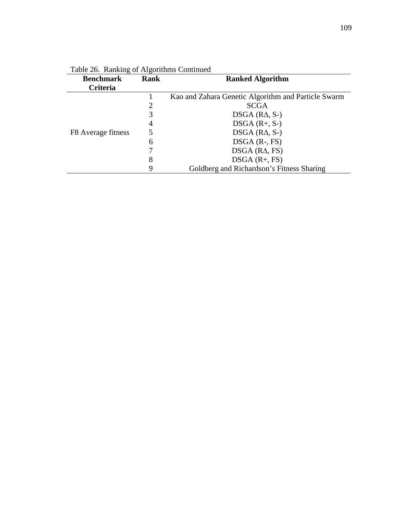| <b>Benchmark</b><br><b>Criteria</b> | Rank | <b>Ranked Algorithm</b>                             |
|-------------------------------------|------|-----------------------------------------------------|
| F8 Average fitness                  |      | Kao and Zahara Genetic Algorithm and Particle Swarm |
|                                     |      | <b>SCGA</b>                                         |
|                                     | 3    | $DSGA$ ( $RA$ , S-)                                 |
|                                     | 4    | $DSGA(R+, S-)$                                      |
|                                     |      | $DSGA$ ( $RA$ , $S$ -)                              |
|                                     | 6    | $DSGA$ $(R-, FS)$                                   |
|                                     |      | $DSGA$ ( $RA$ , $FS$ )                              |
|                                     | 8    | $DSGA(R+, FS)$                                      |
|                                     | 9    | Goldberg and Richardson's Fitness Sharing           |

Table 26. Ranking of Algorithms Continued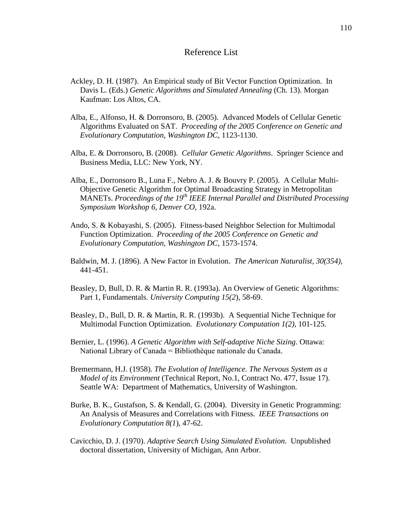### Reference List

- Ackley, D. H. (1987). An Empirical study of Bit Vector Function Optimization. In Davis L. (Eds.) *Genetic Algorithms and Simulated Annealing* (Ch. 13). Morgan Kaufman: Los Altos, CA.
- Alba, E., Alfonso, H. & Dorronsoro, B. (2005). Advanced Models of Cellular Genetic Algorithms Evaluated on SAT. *Proceeding of the 2005 Conference on Genetic and Evolutionary Computation, Washington DC*, 1123-1130.
- Alba, E. & Dorronsoro, B. (2008). *Cellular Genetic Algorithms*. Springer Science and Business Media, LLC: New York, NY.
- Alba, E., Dorronsoro B., Luna F., Nebro A. J. & Bouvry P. (2005). A Cellular Multi- Objective Genetic Algorithm for Optimal Broadcasting Strategy in Metropolitan MANETs. *Proceedings of the 19th IEEE Internal Parallel and Distributed Processing Symposium Workshop 6, Denver CO*, 192a.
- Ando, S. & Kobayashi, S. (2005). Fitness-based Neighbor Selection for Multimodal Function Optimization. *Proceeding of the 2005 Conference on Genetic and Evolutionary Computation, Washington DC*, 1573-1574.
- Baldwin, M. J. (1896). A New Factor in Evolution. *The American Naturalist, 30(354),* 441-451.
- Beasley, D, Bull, D. R. & Martin R. R. (1993a). An Overview of Genetic Algorithms: Part 1, Fundamentals. *University Computing 15(2*), 58-69.
- Beasley, D., Bull, D. R. & Martin, R. R. (1993b). A Sequential Niche Technique for Multimodal Function Optimization. *Evolutionary Computation 1(2),* 101-125.
- Bernier, L. (1996). *A Genetic Algorithm with Self-adaptive Niche Sizing*. Ottawa: National Library of Canada = Bibliothèque nationale du Canada.
- Bremermann, H.J. (1958). *The Evolution of Intelligence. The Nervous System as a Model of its Environment* (Technical Report, No.1, Contract No. 477, Issue 17). Seattle WA: Department of Mathematics, University of Washington.
- Burke, B. K., Gustafson, S. & Kendall, G. (2004). Diversity in Genetic Programming: An Analysis of Measures and Correlations with Fitness. *IEEE Transactions on Evolutionary Computation 8(1*), 47-62.
- Cavicchio, D. J. (1970). *Adaptive Search Using Simulated Evolution*. Unpublished doctoral dissertation, University of Michigan, Ann Arbor.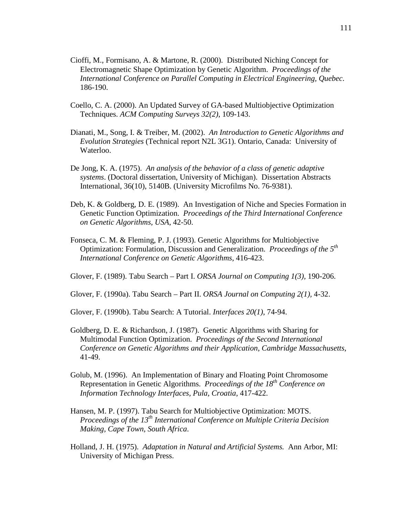- Cioffi, M., Formisano, A. & Martone, R. (2000). Distributed Niching Concept for Electromagnetic Shape Optimization by Genetic Algorithm. *Proceedings of the International Conference on Parallel Computing in Electrical Engineering, Quebec*. 186-190.
- Coello, C. A. (2000). An Updated Survey of GA-based Multiobjective Optimization Techniques. *ACM Computing Surveys 32(2)*, 109-143.
- Dianati, M., Song, I. & Treiber, M. (2002). *An Introduction to Genetic Algorithms and Evolution Strategies* (Technical report N2L 3G1). Ontario, Canada: University of Waterloo.
- De Jong, K. A. (1975). *An analysis of the behavior of a class of genetic adaptive systems*. (Doctoral dissertation, University of Michigan). Dissertation Abstracts International, 36(10), 5140B. (University Microfilms No. 76-9381).
- Deb, K. & Goldberg, D. E. (1989). An Investigation of Niche and Species Formation in Genetic Function Optimization. *Proceedings of the Third International Conference on Genetic Algorithms, USA*, 42-50.
- Fonseca, C. M. & Fleming, P. J. (1993). Genetic Algorithms for Multiobjective Optimization: Formulation, Discussion and Generalization. *Proceedings of the 5th International Conference on Genetic Algorithms*, 416-423.
- Glover, F. (1989). Tabu Search Part I. *ORSA Journal on Computing 1(3),* 190-206.
- Glover, F. (1990a). Tabu Search Part II. *ORSA Journal on Computing 2(1),* 4-32.

Glover, F. (1990b). Tabu Search: A Tutorial. *Interfaces 20(1)*, 74-94.

- Goldberg, D. E. & Richardson, J. (1987). Genetic Algorithms with Sharing for Multimodal Function Optimization. *Proceedings of the Second International Conference on Genetic Algorithms and their Application, Cambridge Massachusetts*, 41-49.
- Golub, M. (1996). An Implementation of Binary and Floating Point Chromosome Representation in Genetic Algorithms. *Proceedings of the 18th Conference on Information Technology Interfaces, Pula, Croatia*, 417-422.
- Hansen, M. P. (1997). Tabu Search for Multiobjective Optimization: MOTS. *Proceedings of the 13th International Conference on Multiple Criteria Decision Making, Cape Town, South Africa*.
- Holland, J. H. (1975). *Adaptation in Natural and Artificial Systems.* Ann Arbor, MI: University of Michigan Press.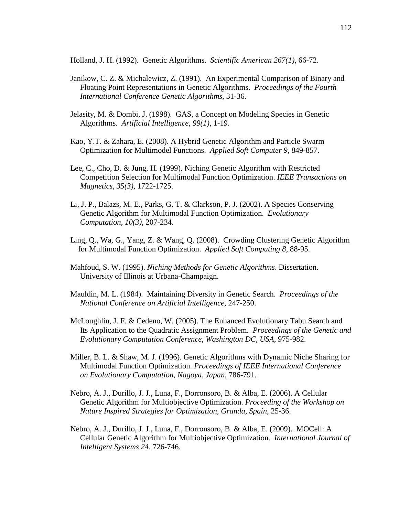Holland, J. H. (1992). Genetic Algorithms. *Scientific American 267(1)*, 66-72.

- Janikow, C. Z. & Michalewicz, Z. (1991). An Experimental Comparison of Binary and Floating Point Representations in Genetic Algorithms. *Proceedings of the Fourth International Conference Genetic Algorithms*, 31-36.
- Jelasity, M. & Dombi, J. (1998). GAS, a Concept on Modeling Species in Genetic Algorithms. *Artificial Intelligence, 99(1)*, 1-19.
- Kao, Y.T. & Zahara, E. (2008). A Hybrid Genetic Algorithm and Particle Swarm Optimization for Multimodel Functions. *Applied Soft Computer 9*, 849-857.
- Lee, C., Cho, D. & Jung, H. (1999). Niching Genetic Algorithm with Restricted Competition Selection for Multimodal Function Optimization. *IEEE Transactions on Magnetics, 35(3)*, 1722-1725.
- Li, J. P., Balazs, M. E., Parks, G. T. & Clarkson, P. J. (2002). A Species Conserving Genetic Algorithm for Multimodal Function Optimization. *Evolutionary Computation, 10(3)*, 207-234.
- Ling, Q., Wa, G., Yang, Z. & Wang, Q. (2008). Crowding Clustering Genetic Algorithm for Multimodal Function Optimization. *Applied Soft Computing 8*, 88-95.
- Mahfoud, S. W. (1995). *Niching Methods for Genetic Algorithms*. Dissertation. University of Illinois at Urbana-Champaign.
- Mauldin, M. L. (1984). Maintaining Diversity in Genetic Search. *Proceedings of the National Conference on Artificial Intelligence*, 247-250.
- McLoughlin, J. F. & Cedeno, W. (2005). The Enhanced Evolutionary Tabu Search and Its Application to the Quadratic Assignment Problem. *Proceedings of the Genetic and Evolutionary Computation Conference, Washington DC, USA*, 975-982.
- Miller, B. L. & Shaw, M. J. (1996). Genetic Algorithms with Dynamic Niche Sharing for Multimodal Function Optimization. *Proceedings of IEEE International Conference on Evolutionary Computation, Nagoya, Japan*, 786-791.
- Nebro, A. J., Durillo, J. J., Luna, F., Dorronsoro, B. & Alba, E. (2006). A Cellular Genetic Algorithm for Multiobjective Optimization. *Proceeding of the Workshop on Nature Inspired Strategies for Optimization, Granda, Spain*, 25-36.
- Nebro, A. J., Durillo, J. J., Luna, F., Dorronsoro, B. & Alba, E. (2009). MOCell: A Cellular Genetic Algorithm for Multiobjective Optimization. *International Journal of Intelligent Systems 24*, 726-746.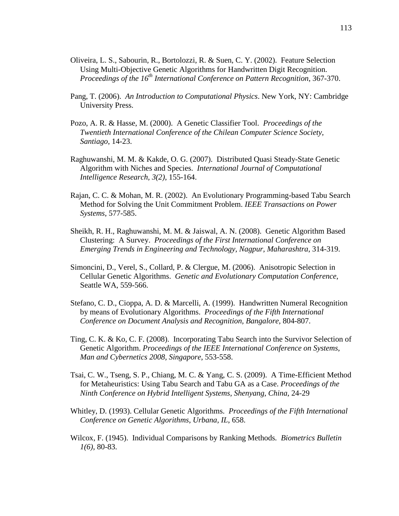- Oliveira, L. S., Sabourin, R., Bortolozzi, R. & Suen, C. Y. (2002). Feature Selection Using Multi-Objective Genetic Algorithms for Handwritten Digit Recognition.  *Proceedings of the 16th International Conference on Pattern Recognition*, 367-370.
- Pang, T. (2006). *An Introduction to Computational Physics*. New York, NY: Cambridge University Press.
- Pozo, A. R. & Hasse, M. (2000). A Genetic Classifier Tool. *Proceedings of the Twentieth International Conference of the Chilean Computer Science Society, Santiago*, 14-23.
- Raghuwanshi, M. M. & Kakde, O. G. (2007). Distributed Quasi Steady-State Genetic Algorithm with Niches and Species. *International Journal of Computational Intelligence Research, 3(2)*, 155-164.
- Rajan, C. C. & Mohan, M. R. (2002). An Evolutionary Programming-based Tabu Search Method for Solving the Unit Commitment Problem. *IEEE Transactions on Power Systems*, 577-585.
- Sheikh, R. H., Raghuwanshi, M. M. & Jaiswal, A. N. (2008). Genetic Algorithm Based Clustering: A Survey. *Proceedings of the First International Conference on Emerging Trends in Engineering and Technology, Nagpur, Maharashtra*, 314-319.
- Simoncini, D., Verel, S., Collard, P. & Clergue, M. (2006). Anisotropic Selection in Cellular Genetic Algorithms. *Genetic and Evolutionary Computation Conference*, Seattle WA, 559-566.
- Stefano, C. D., Cioppa, A. D. & Marcelli, A. (1999). Handwritten Numeral Recognition by means of Evolutionary Algorithms. *Proceedings of the Fifth International Conference on Document Analysis and Recognition, Bangalore,* 804-807.
- Ting, C. K. & Ko, C. F. (2008). Incorporating Tabu Search into the Survivor Selection of Genetic Algorithm. *Proceedings of the IEEE International Conference on Systems, Man and Cybernetics 2008, Singapore*, 553-558.
- Tsai, C. W., Tseng, S. P., Chiang, M. C. & Yang, C. S. (2009). A Time-Efficient Method for Metaheuristics: Using Tabu Search and Tabu GA as a Case. *Proceedings of the Ninth Conference on Hybrid Intelligent Systems, Shenyang, China*, 24-29
- Whitley, D. (1993). Cellular Genetic Algorithms. *Proceedings of the Fifth International Conference on Genetic Algorithms*, *Urbana, IL*, 658.
- Wilcox, F. (1945). Individual Comparisons by Ranking Methods*. Biometrics Bulletin 1(6)*, 80-83.